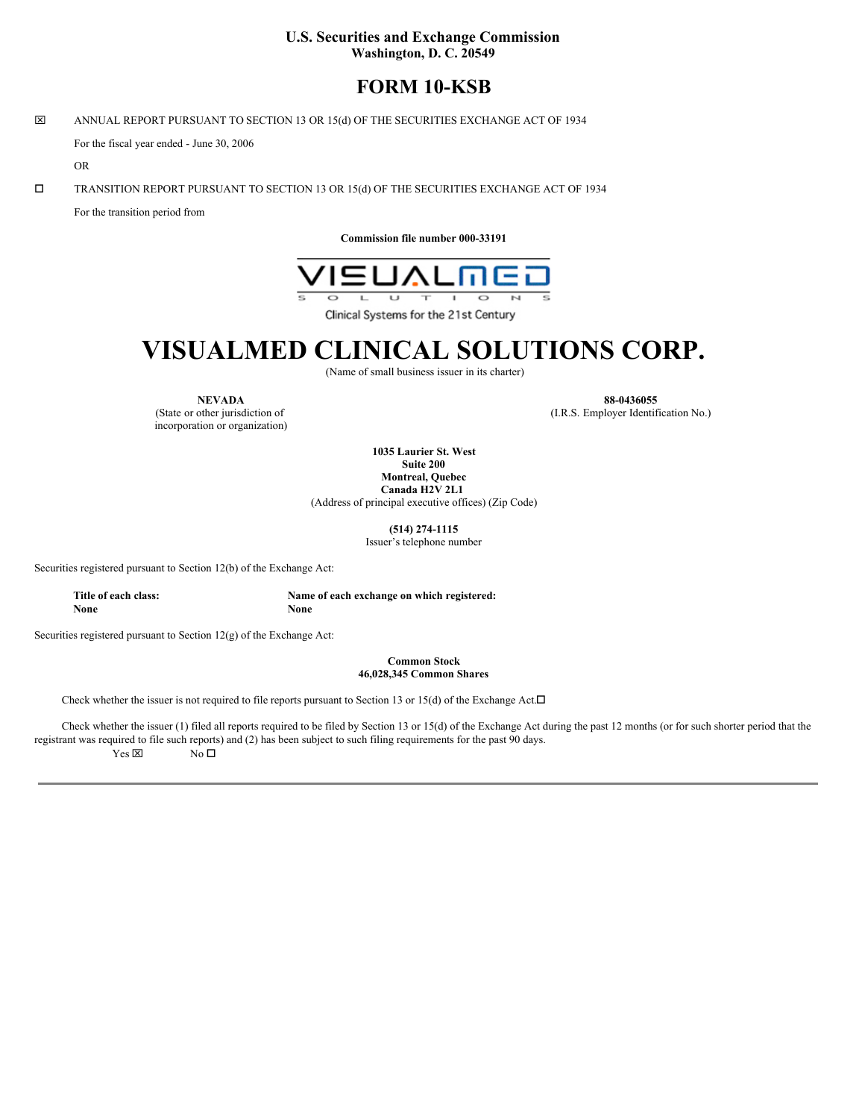## **U.S. Securities and Exchange Commission Washington, D. C. 20549**

## **FORM 10-KSB**

## x ANNUAL REPORT PURSUANT TO SECTION 13 OR 15(d) OF THE SECURITIES EXCHANGE ACT OF 1934

For the fiscal year ended - June 30, 2006

OR

o TRANSITION REPORT PURSUANT TO SECTION 13 OR 15(d) OF THE SECURITIES EXCHANGE ACT OF 1934

For the transition period from

**Commission file number 000-33191**



Clinical Systems for the 21st Century

# **VISUALMED CLINICAL SOLUTIONS CORP.**

(Name of small business issuer in its charter)

(State or other jurisdiction of incorporation or organization)

**NEVADA 88-0436055**

(I.R.S. Employer Identification No.)

**1035 Laurier St. West Suite 200 Montreal, Quebec Canada H2V 2L1** (Address of principal executive offices) (Zip Code)

> **(514) 274-1115** Issuer's telephone number

Securities registered pursuant to Section 12(b) of the Exchange Act:

**None None**

**Title of each class: Name of each exchange on which registered:**

Securities registered pursuant to Section 12(g) of the Exchange Act:

**Common Stock 46,028,345 Common Shares**

Check whether the issuer is not required to file reports pursuant to Section 13 or 15(d) of the Exchange Act. $\Box$ 

Check whether the issuer (1) filed all reports required to be filed by Section 13 or 15(d) of the Exchange Act during the past 12 months (or for such shorter period that the registrant was required to file such reports) and (2) has been subject to such filing requirements for the past 90 days.  $Yes \boxtimes$  No  $\square$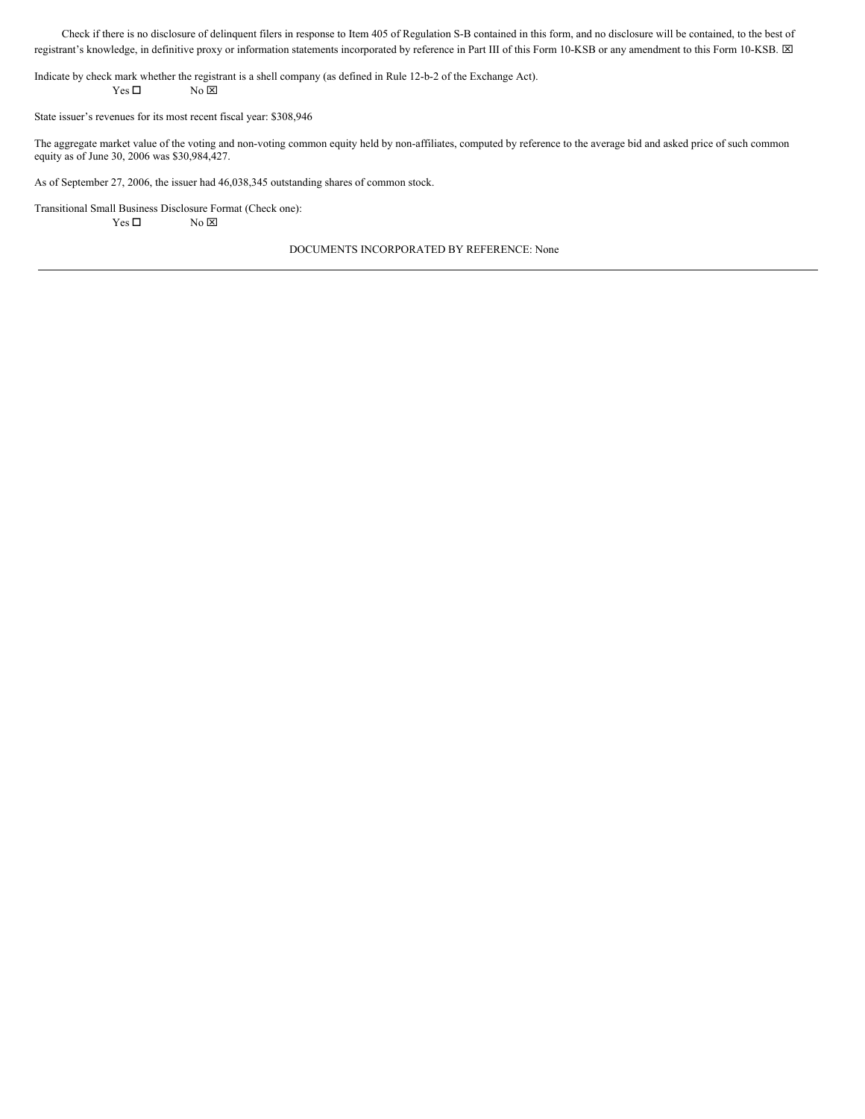Check if there is no disclosure of delinquent filers in response to Item 405 of Regulation S-B contained in this form, and no disclosure will be contained, to the best of registrant's knowledge, in definitive proxy or information statements incorporated by reference in Part III of this Form 10-KSB or any amendment to this Form 10-KSB.  $\boxtimes$ 

Indicate by check mark whether the registrant is a shell company (as defined in Rule 12-b-2 of the Exchange Act).  $Yes \Box$  No  $X$ 

State issuer's revenues for its most recent fiscal year: \$308,946

The aggregate market value of the voting and non-voting common equity held by non-affiliates, computed by reference to the average bid and asked price of such common equity as of June 30, 2006 was \$30,984,427.

As of September 27, 2006, the issuer had 46,038,345 outstanding shares of common stock.

Transitional Small Business Disclosure Format (Check one):  $Yes \Box$  No  $\boxtimes$ 

## DOCUMENTS INCORPORATED BY REFERENCE: None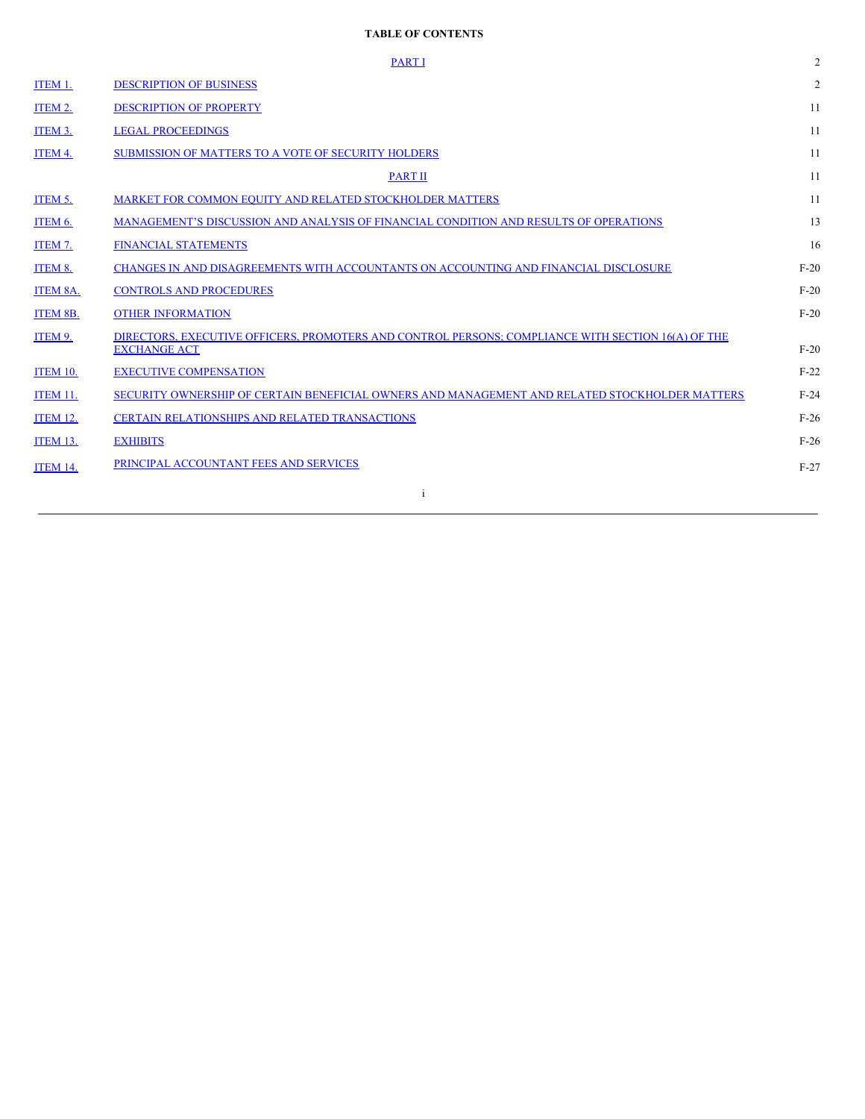## **TABLE OF CONTENTS**

|                 | <b>PARTI</b>                                                                                                              | 2              |
|-----------------|---------------------------------------------------------------------------------------------------------------------------|----------------|
| ITEM 1.         | <b>DESCRIPTION OF BUSINESS</b>                                                                                            | $\overline{2}$ |
| ITEM 2.         | <b>DESCRIPTION OF PROPERTY</b>                                                                                            | 11             |
| ITEM 3.         | <b>LEGAL PROCEEDINGS</b>                                                                                                  | 11             |
| ITEM 4.         | <b>SUBMISSION OF MATTERS TO A VOTE OF SECURITY HOLDERS</b>                                                                | 11             |
|                 | <b>PART II</b>                                                                                                            | 11             |
| ITEM 5.         | MARKET FOR COMMON EQUITY AND RELATED STOCKHOLDER MATTERS                                                                  | 11             |
| ITEM 6.         | MANAGEMENT'S DISCUSSION AND ANALYSIS OF FINANCIAL CONDITION AND RESULTS OF OPERATIONS                                     | 13             |
| <b>ITEM 7.</b>  | <b>FINANCIAL STATEMENTS</b>                                                                                               | 16             |
| ITEM 8.         | CHANGES IN AND DISAGREEMENTS WITH ACCOUNTANTS ON ACCOUNTING AND FINANCIAL DISCLOSURE                                      | $F-20$         |
| ITEM 8A.        | <b>CONTROLS AND PROCEDURES</b>                                                                                            | $F-20$         |
| ITEM 8B.        | <b>OTHER INFORMATION</b>                                                                                                  | $F-20$         |
| ITEM 9.         | DIRECTORS, EXECUTIVE OFFICERS, PROMOTERS AND CONTROL PERSONS; COMPLIANCE WITH SECTION 16(A) OF THE<br><b>EXCHANGE ACT</b> | $F-20$         |
| <b>ITEM 10.</b> | <b>EXECUTIVE COMPENSATION</b>                                                                                             | $F-22$         |
| <b>ITEM 11.</b> | SECURITY OWNERSHIP OF CERTAIN BENEFICIAL OWNERS AND MANAGEMENT AND RELATED STOCKHOLDER MATTERS                            | $F-24$         |
| <b>ITEM 12.</b> | <b>CERTAIN RELATIONSHIPS AND RELATED TRANSACTIONS</b>                                                                     | $F-26$         |
| ITEM 13.        | <b>EXHIBITS</b>                                                                                                           | $F-26$         |
| <b>ITEM 14.</b> | PRINCIPAL ACCOUNTANT FEES AND SERVICES                                                                                    | $F-27$         |
|                 | $\mathbf{i}$                                                                                                              |                |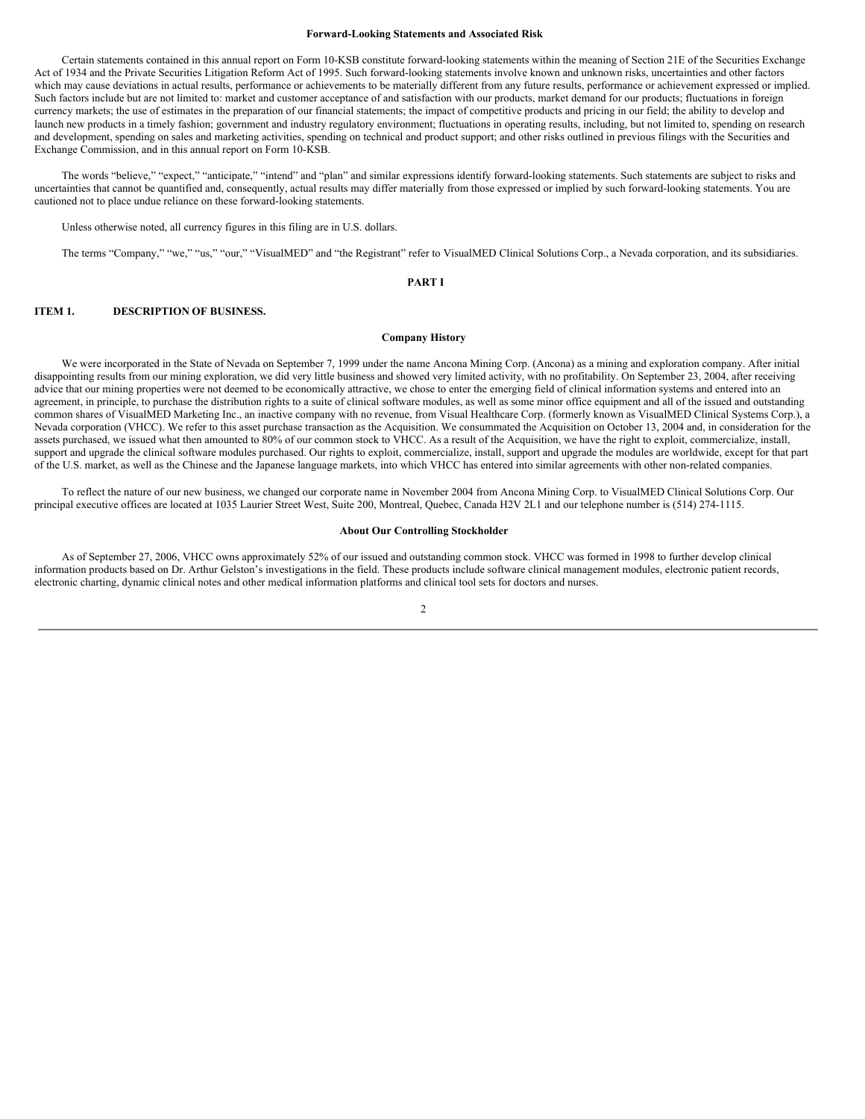#### **Forward-Looking Statements and Associated Risk**

Certain statements contained in this annual report on Form 10-KSB constitute forward-looking statements within the meaning of Section 21E of the Securities Exchange Act of 1934 and the Private Securities Litigation Reform Act of 1995. Such forward-looking statements involve known and unknown risks, uncertainties and other factors which may cause deviations in actual results, performance or achievements to be materially different from any future results, performance or achievement expressed or implied. Such factors include but are not limited to: market and customer acceptance of and satisfaction with our products, market demand for our products; fluctuations in foreign currency markets; the use of estimates in the preparation of our financial statements; the impact of competitive products and pricing in our field; the ability to develop and launch new products in a timely fashion; government and industry regulatory environment; fluctuations in operating results, including, but not limited to, spending on research and development, spending on sales and marketing activities, spending on technical and product support; and other risks outlined in previous filings with the Securities and Exchange Commission, and in this annual report on Form 10-KSB.

The words "believe," "expect," "anticipate," "intend" and "plan" and similar expressions identify forward-looking statements. Such statements are subject to risks and uncertainties that cannot be quantified and, consequently, actual results may differ materially from those expressed or implied by such forward-looking statements. You are cautioned not to place undue reliance on these forward-looking statements.

Unless otherwise noted, all currency figures in this filing are in U.S. dollars.

The terms "Company," "we," "us," "our," "VisualMED" and "the Registrant" refer to VisualMED Clinical Solutions Corp., a Nevada corporation, and its subsidiaries.

#### <span id="page-3-0"></span>**PART I**

## <span id="page-3-1"></span>**ITEM 1. DESCRIPTION OF BUSINESS.**

#### **Company History**

We were incorporated in the State of Nevada on September 7, 1999 under the name Ancona Mining Corp. (Ancona) as a mining and exploration company. After initial disappointing results from our mining exploration, we did very little business and showed very limited activity, with no profitability. On September 23, 2004, after receiving advice that our mining properties were not deemed to be economically attractive, we chose to enter the emerging field of clinical information systems and entered into an agreement, in principle, to purchase the distribution rights to a suite of clinical software modules, as well as some minor office equipment and all of the issued and outstanding common shares of VisualMED Marketing Inc., an inactive company with no revenue, from Visual Healthcare Corp. (formerly known as VisualMED Clinical Systems Corp.), a Nevada corporation (VHCC). We refer to this asset purchase transaction as the Acquisition. We consummated the Acquisition on October 13, 2004 and, in consideration for the assets purchased, we issued what then amounted to 80% of our common stock to VHCC. As a result of the Acquisition, we have the right to exploit, commercialize, install, support and upgrade the clinical software modules purchased. Our rights to exploit, commercialize, install, support and upgrade the modules are worldwide, except for that part of the U.S. market, as well as the Chinese and the Japanese language markets, into which VHCC has entered into similar agreements with other non-related companies.

To reflect the nature of our new business, we changed our corporate name in November 2004 from Ancona Mining Corp. to VisualMED Clinical Solutions Corp. Our principal executive offices are located at 1035 Laurier Street West, Suite 200, Montreal, Quebec, Canada H2V 2L1 and our telephone number is (514) 274-1115.

#### **About Our Controlling Stockholder**

As of September 27, 2006, VHCC owns approximately 52% of our issued and outstanding common stock. VHCC was formed in 1998 to further develop clinical information products based on Dr. Arthur Gelston's investigations in the field. These products include software clinical management modules, electronic patient records, electronic charting, dynamic clinical notes and other medical information platforms and clinical tool sets for doctors and nurses.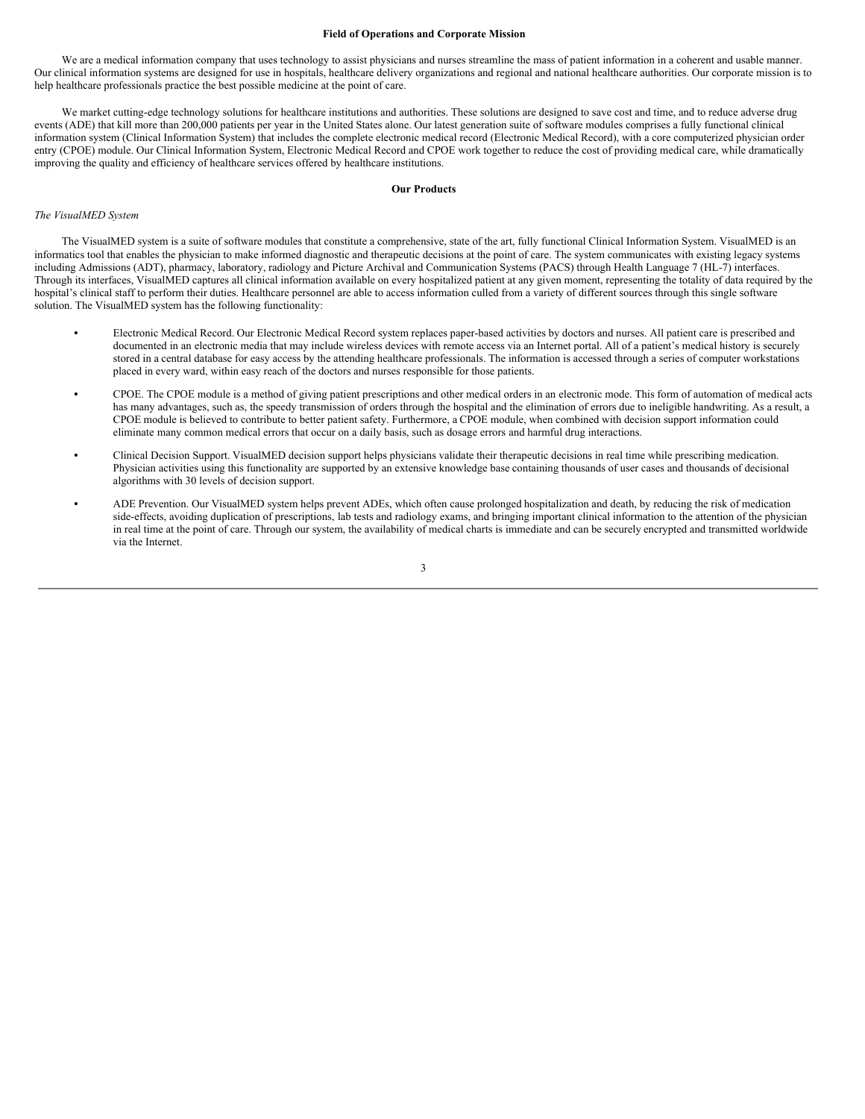#### **Field of Operations and Corporate Mission**

We are a medical information company that uses technology to assist physicians and nurses streamline the mass of patient information in a coherent and usable manner. Our clinical information systems are designed for use in hospitals, healthcare delivery organizations and regional and national healthcare authorities. Our corporate mission is to help healthcare professionals practice the best possible medicine at the point of care.

We market cutting-edge technology solutions for healthcare institutions and authorities. These solutions are designed to save cost and time, and to reduce adverse drug events (ADE) that kill more than 200,000 patients per year in the United States alone. Our latest generation suite of software modules comprises a fully functional clinical information system (Clinical Information System) that includes the complete electronic medical record (Electronic Medical Record), with a core computerized physician order entry (CPOE) module. Our Clinical Information System, Electronic Medical Record and CPOE work together to reduce the cost of providing medical care, while dramatically improving the quality and efficiency of healthcare services offered by healthcare institutions.

#### **Our Products**

## *The VisualMED System*

The VisualMED system is a suite of software modules that constitute a comprehensive, state of the art, fully functional Clinical Information System. VisualMED is an informatics tool that enables the physician to make informed diagnostic and therapeutic decisions at the point of care. The system communicates with existing legacy systems including Admissions (ADT), pharmacy, laboratory, radiology and Picture Archival and Communication Systems (PACS) through Health Language 7 (HL-7) interfaces. Through its interfaces, VisualMED captures all clinical information available on every hospitalized patient at any given moment, representing the totality of data required by the hospital's clinical staff to perform their duties. Healthcare personnel are able to access information culled from a variety of different sources through this single software solution. The VisualMED system has the following functionality:

- **•** Electronic Medical Record. Our Electronic Medical Record system replaces paper-based activities by doctors and nurses. All patient care is prescribed and documented in an electronic media that may include wireless devices with remote access via an Internet portal. All of a patient's medical history is securely stored in a central database for easy access by the attending healthcare professionals. The information is accessed through a series of computer workstations placed in every ward, within easy reach of the doctors and nurses responsible for those patients.
- **•** CPOE. The CPOE module is a method of giving patient prescriptions and other medical orders in an electronic mode. This form of automation of medical acts has many advantages, such as, the speedy transmission of orders through the hospital and the elimination of errors due to ineligible handwriting. As a result, a CPOE module is believed to contribute to better patient safety. Furthermore, a CPOE module, when combined with decision support information could eliminate many common medical errors that occur on a daily basis, such as dosage errors and harmful drug interactions.
- **•** Clinical Decision Support. VisualMED decision support helps physicians validate their therapeutic decisions in real time while prescribing medication. Physician activities using this functionality are supported by an extensive knowledge base containing thousands of user cases and thousands of decisional algorithms with 30 levels of decision support.
- **•** ADE Prevention. Our VisualMED system helps prevent ADEs, which often cause prolonged hospitalization and death, by reducing the risk of medication side-effects, avoiding duplication of prescriptions, lab tests and radiology exams, and bringing important clinical information to the attention of the physician in real time at the point of care. Through our system, the availability of medical charts is immediate and can be securely encrypted and transmitted worldwide via the Internet.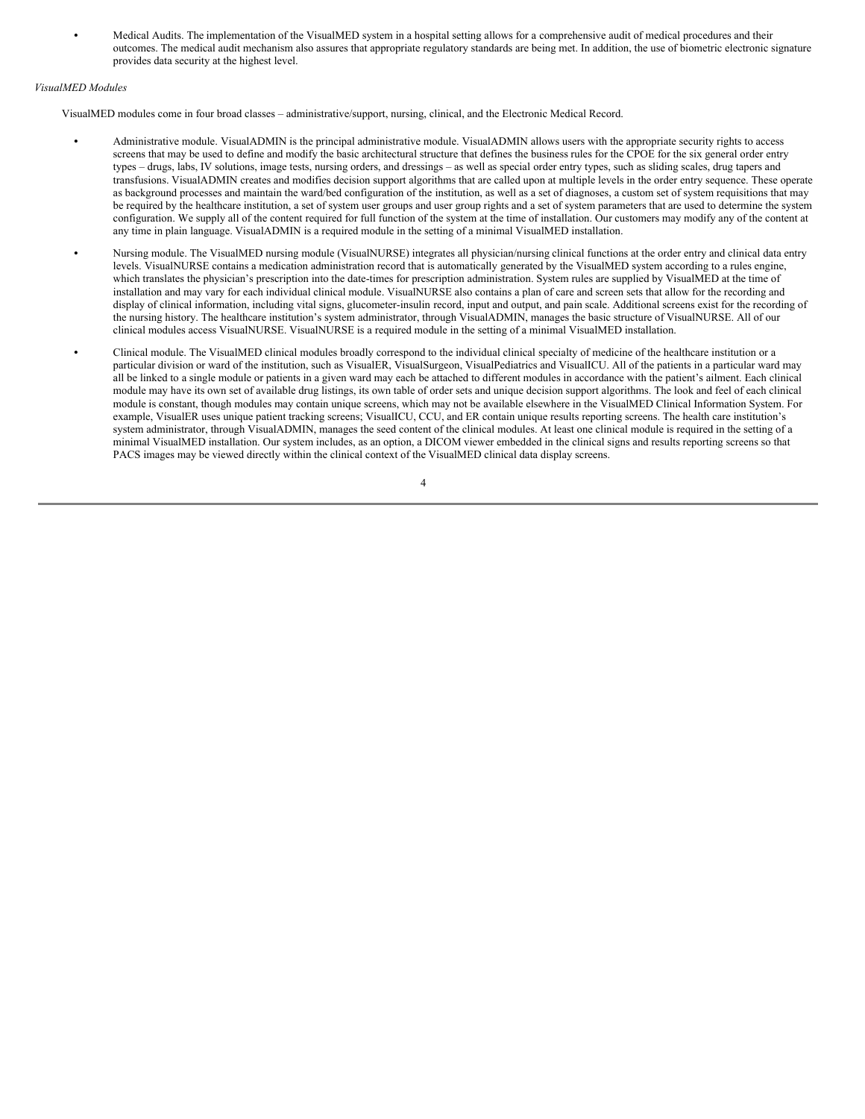**•** Medical Audits. The implementation of the VisualMED system in a hospital setting allows for a comprehensive audit of medical procedures and their outcomes. The medical audit mechanism also assures that appropriate regulatory standards are being met. In addition, the use of biometric electronic signature provides data security at the highest level.

## *VisualMED Modules*

VisualMED modules come in four broad classes – administrative/support, nursing, clinical, and the Electronic Medical Record.

- **•** Administrative module. VisualADMIN is the principal administrative module. VisualADMIN allows users with the appropriate security rights to access screens that may be used to define and modify the basic architectural structure that defines the business rules for the CPOE for the six general order entry types – drugs, labs, IV solutions, image tests, nursing orders, and dressings – as well as special order entry types, such as sliding scales, drug tapers and transfusions. VisualADMIN creates and modifies decision support algorithms that are called upon at multiple levels in the order entry sequence. These operate as background processes and maintain the ward/bed configuration of the institution, as well as a set of diagnoses, a custom set of system requisitions that may be required by the healthcare institution, a set of system user groups and user group rights and a set of system parameters that are used to determine the system configuration. We supply all of the content required for full function of the system at the time of installation. Our customers may modify any of the content at any time in plain language. VisualADMIN is a required module in the setting of a minimal VisualMED installation.
- **•** Nursing module. The VisualMED nursing module (VisualNURSE) integrates all physician/nursing clinical functions at the order entry and clinical data entry levels. VisualNURSE contains a medication administration record that is automatically generated by the VisualMED system according to a rules engine, which translates the physician's prescription into the date-times for prescription administration. System rules are supplied by VisualMED at the time of installation and may vary for each individual clinical module. VisualNURSE also contains a plan of care and screen sets that allow for the recording and display of clinical information, including vital signs, glucometer-insulin record, input and output, and pain scale. Additional screens exist for the recording of the nursing history. The healthcare institution's system administrator, through VisualADMIN, manages the basic structure of VisualNURSE. All of our clinical modules access VisualNURSE. VisualNURSE is a required module in the setting of a minimal VisualMED installation.
- **•** Clinical module. The VisualMED clinical modules broadly correspond to the individual clinical specialty of medicine of the healthcare institution or a particular division or ward of the institution, such as VisualER, VisualSurgeon, VisualPediatrics and VisualICU. All of the patients in a particular ward may all be linked to a single module or patients in a given ward may each be attached to different modules in accordance with the patient's ailment. Each clinical module may have its own set of available drug listings, its own table of order sets and unique decision support algorithms. The look and feel of each clinical module is constant, though modules may contain unique screens, which may not be available elsewhere in the VisualMED Clinical Information System. For example, VisualER uses unique patient tracking screens; VisualICU, CCU, and ER contain unique results reporting screens. The health care institution's system administrator, through VisualADMIN, manages the seed content of the clinical modules. At least one clinical module is required in the setting of a minimal VisualMED installation. Our system includes, as an option, a DICOM viewer embedded in the clinical signs and results reporting screens so that PACS images may be viewed directly within the clinical context of the VisualMED clinical data display screens.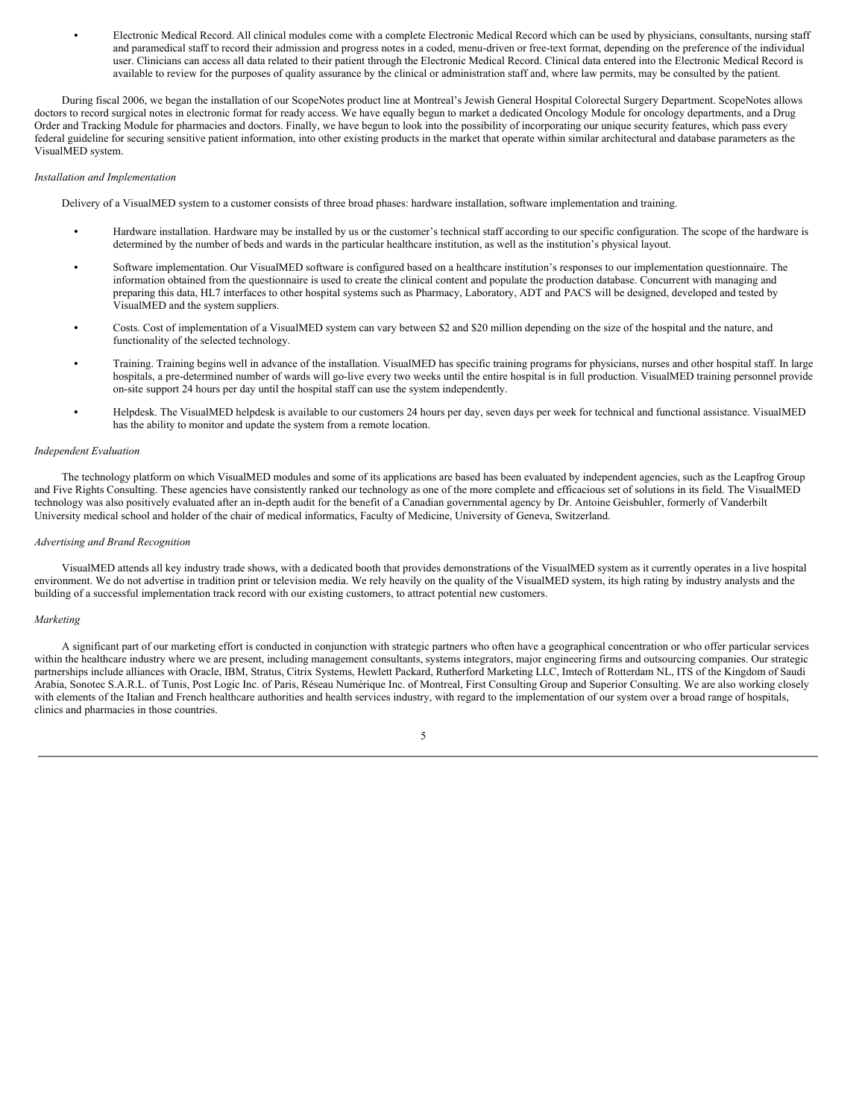**•** Electronic Medical Record. All clinical modules come with a complete Electronic Medical Record which can be used by physicians, consultants, nursing staff and paramedical staff to record their admission and progress notes in a coded, menu-driven or free-text format, depending on the preference of the individual user. Clinicians can access all data related to their patient through the Electronic Medical Record. Clinical data entered into the Electronic Medical Record is available to review for the purposes of quality assurance by the clinical or administration staff and, where law permits, may be consulted by the patient.

During fiscal 2006, we began the installation of our ScopeNotes product line at Montreal's Jewish General Hospital Colorectal Surgery Department. ScopeNotes allows doctors to record surgical notes in electronic format for ready access. We have equally begun to market a dedicated Oncology Module for oncology departments, and a Drug Order and Tracking Module for pharmacies and doctors. Finally, we have begun to look into the possibility of incorporating our unique security features, which pass every federal guideline for securing sensitive patient information, into other existing products in the market that operate within similar architectural and database parameters as the VisualMED system.

#### *Installation and Implementation*

Delivery of a VisualMED system to a customer consists of three broad phases: hardware installation, software implementation and training.

- **•** Hardware installation. Hardware may be installed by us or the customer's technical staff according to our specific configuration. The scope of the hardware is determined by the number of beds and wards in the particular healthcare institution, as well as the institution's physical layout.
- **•** Software implementation. Our VisualMED software is configured based on a healthcare institution's responses to our implementation questionnaire. The information obtained from the questionnaire is used to create the clinical content and populate the production database. Concurrent with managing and preparing this data, HL7 interfaces to other hospital systems such as Pharmacy, Laboratory, ADT and PACS will be designed, developed and tested by VisualMED and the system suppliers.
- **•** Costs. Cost of implementation of a VisualMED system can vary between \$2 and \$20 million depending on the size of the hospital and the nature, and functionality of the selected technology.
- **•** Training. Training begins well in advance of the installation. VisualMED has specific training programs for physicians, nurses and other hospital staff. In large hospitals, a pre-determined number of wards will go-live every two weeks until the entire hospital is in full production. VisualMED training personnel provide on-site support 24 hours per day until the hospital staff can use the system independently.
- **•** Helpdesk. The VisualMED helpdesk is available to our customers 24 hours per day, seven days per week for technical and functional assistance. VisualMED has the ability to monitor and update the system from a remote location.

#### *Independent Evaluation*

The technology platform on which VisualMED modules and some of its applications are based has been evaluated by independent agencies, such as the Leapfrog Group and Five Rights Consulting. These agencies have consistently ranked our technology as one of the more complete and efficacious set of solutions in its field. The VisualMED technology was also positively evaluated after an in-depth audit for the benefit of a Canadian governmental agency by Dr. Antoine Geisbuhler, formerly of Vanderbilt University medical school and holder of the chair of medical informatics, Faculty of Medicine, University of Geneva, Switzerland.

## *Advertising and Brand Recognition*

VisualMED attends all key industry trade shows, with a dedicated booth that provides demonstrations of the VisualMED system as it currently operates in a live hospital environment. We do not advertise in tradition print or television media. We rely heavily on the quality of the VisualMED system, its high rating by industry analysts and the building of a successful implementation track record with our existing customers, to attract potential new customers.

#### *Marketing*

A significant part of our marketing effort is conducted in conjunction with strategic partners who often have a geographical concentration or who offer particular services within the healthcare industry where we are present, including management consultants, systems integrators, major engineering firms and outsourcing companies. Our strategic partnerships include alliances with Oracle, IBM, Stratus, Citrix Systems, Hewlett Packard, Rutherford Marketing LLC, Imtech of Rotterdam NL, ITS of the Kingdom of Saudi Arabia, Sonotec S.A.R.L. of Tunis, Post Logic Inc. of Paris, Réseau Numérique Inc. of Montreal, First Consulting Group and Superior Consulting. We are also working closely with elements of the Italian and French healthcare authorities and health services industry, with regard to the implementation of our system over a broad range of hospitals, clinics and pharmacies in those countries.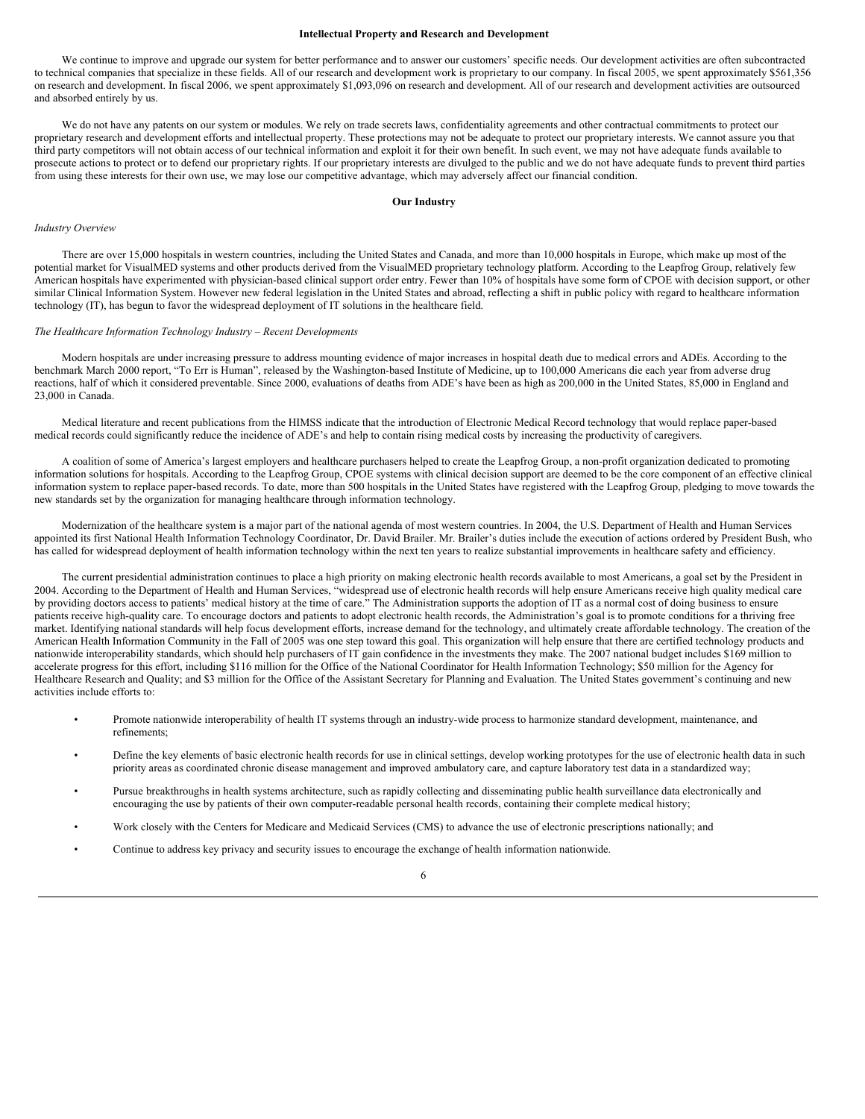#### **Intellectual Property and Research and Development**

We continue to improve and upgrade our system for better performance and to answer our customers' specific needs. Our development activities are often subcontracted to technical companies that specialize in these fields. All of our research and development work is proprietary to our company. In fiscal 2005, we spent approximately \$561,356 on research and development. In fiscal 2006, we spent approximately \$1,093,096 on research and development. All of our research and development activities are outsourced and absorbed entirely by us.

We do not have any patents on our system or modules. We rely on trade secrets laws, confidentiality agreements and other contractual commitments to protect our proprietary research and development efforts and intellectual property. These protections may not be adequate to protect our proprietary interests. We cannot assure you that third party competitors will not obtain access of our technical information and exploit it for their own benefit. In such event, we may not have adequate funds available to prosecute actions to protect or to defend our proprietary rights. If our proprietary interests are divulged to the public and we do not have adequate funds to prevent third parties from using these interests for their own use, we may lose our competitive advantage, which may adversely affect our financial condition.

## **Our Industry**

## *Industry Overview*

There are over 15,000 hospitals in western countries, including the United States and Canada, and more than 10,000 hospitals in Europe, which make up most of the potential market for VisualMED systems and other products derived from the VisualMED proprietary technology platform. According to the Leapfrog Group, relatively few American hospitals have experimented with physician-based clinical support order entry. Fewer than 10% of hospitals have some form of CPOE with decision support, or other similar Clinical Information System. However new federal legislation in the United States and abroad, reflecting a shift in public policy with regard to healthcare information technology (IT), has begun to favor the widespread deployment of IT solutions in the healthcare field.

#### *The Healthcare Information Technology Industry – Recent Developments*

Modern hospitals are under increasing pressure to address mounting evidence of major increases in hospital death due to medical errors and ADEs. According to the benchmark March 2000 report, "To Err is Human", released by the Washington-based Institute of Medicine, up to 100,000 Americans die each year from adverse drug reactions, half of which it considered preventable. Since 2000, evaluations of deaths from ADE's have been as high as 200,000 in the United States, 85,000 in England and 23,000 in Canada.

Medical literature and recent publications from the HIMSS indicate that the introduction of Electronic Medical Record technology that would replace paper-based medical records could significantly reduce the incidence of ADE's and help to contain rising medical costs by increasing the productivity of caregivers.

A coalition of some of America's largest employers and healthcare purchasers helped to create the Leapfrog Group, a non-profit organization dedicated to promoting information solutions for hospitals. According to the Leapfrog Group, CPOE systems with clinical decision support are deemed to be the core component of an effective clinical information system to replace paper-based records. To date, more than 500 hospitals in the United States have registered with the Leapfrog Group, pledging to move towards the new standards set by the organization for managing healthcare through information technology.

Modernization of the healthcare system is a major part of the national agenda of most western countries. In 2004, the U.S. Department of Health and Human Services appointed its first National Health Information Technology Coordinator, Dr. David Brailer. Mr. Brailer's duties include the execution of actions ordered by President Bush, who has called for widespread deployment of health information technology within the next ten years to realize substantial improvements in healthcare safety and efficiency.

The current presidential administration continues to place a high priority on making electronic health records available to most Americans, a goal set by the President in 2004. According to the Department of Health and Human Services, "widespread use of electronic health records will help ensure Americans receive high quality medical care by providing doctors access to patients' medical history at the time of care." The Administration supports the adoption of IT as a normal cost of doing business to ensure patients receive high-quality care. To encourage doctors and patients to adopt electronic health records, the Administration's goal is to promote conditions for a thriving free market. Identifying national standards will help focus development efforts, increase demand for the technology, and ultimately create affordable technology. The creation of the American Health Information Community in the Fall of 2005 was one step toward this goal. This organization will help ensure that there are certified technology products and nationwide interoperability standards, which should help purchasers of IT gain confidence in the investments they make. The 2007 national budget includes \$169 million to accelerate progress for this effort, including \$116 million for the Office of the National Coordinator for Health Information Technology; \$50 million for the Agency for Healthcare Research and Quality; and \$3 million for the Office of the Assistant Secretary for Planning and Evaluation. The United States government's continuing and new activities include efforts to:

- Promote nationwide interoperability of health IT systems through an industry-wide process to harmonize standard development, maintenance, and refinements;
- Define the key elements of basic electronic health records for use in clinical settings, develop working prototypes for the use of electronic health data in such priority areas as coordinated chronic disease management and improved ambulatory care, and capture laboratory test data in a standardized way;
- Pursue breakthroughs in health systems architecture, such as rapidly collecting and disseminating public health surveillance data electronically and encouraging the use by patients of their own computer-readable personal health records, containing their complete medical history;
- Work closely with the Centers for Medicare and Medicaid Services (CMS) to advance the use of electronic prescriptions nationally; and
- Continue to address key privacy and security issues to encourage the exchange of health information nationwide.

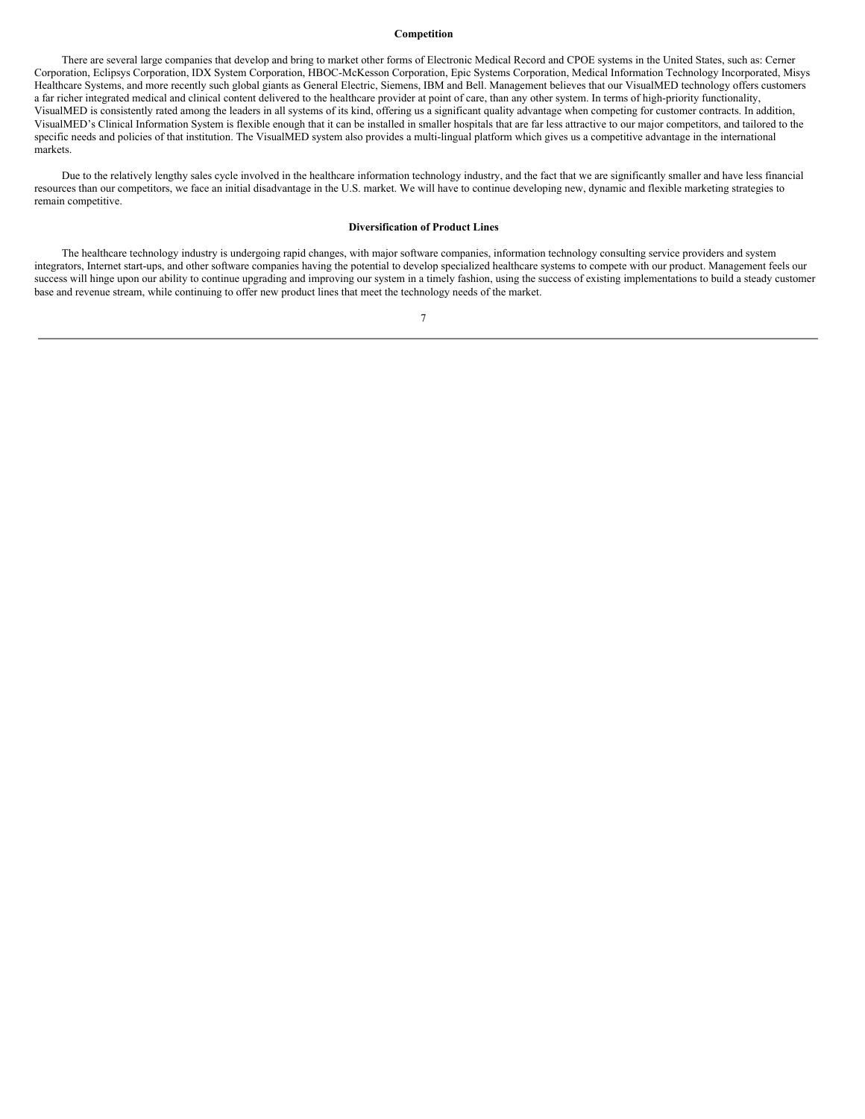#### **Competition**

There are several large companies that develop and bring to market other forms of Electronic Medical Record and CPOE systems in the United States, such as: Cerner Corporation, Eclipsys Corporation, IDX System Corporation, HBOC-McKesson Corporation, Epic Systems Corporation, Medical Information Technology Incorporated, Misys Healthcare Systems, and more recently such global giants as General Electric, Siemens, IBM and Bell. Management believes that our VisualMED technology offers customers a far richer integrated medical and clinical content delivered to the healthcare provider at point of care, than any other system. In terms of high-priority functionality, VisualMED is consistently rated among the leaders in all systems of its kind, offering us a significant quality advantage when competing for customer contracts. In addition, VisualMED's Clinical Information System is flexible enough that it can be installed in smaller hospitals that are far less attractive to our major competitors, and tailored to the specific needs and policies of that institution. The VisualMED system also provides a multi-lingual platform which gives us a competitive advantage in the international markets.

Due to the relatively lengthy sales cycle involved in the healthcare information technology industry, and the fact that we are significantly smaller and have less financial resources than our competitors, we face an initial disadvantage in the U.S. market. We will have to continue developing new, dynamic and flexible marketing strategies to remain competitive.

## **Diversification of Product Lines**

The healthcare technology industry is undergoing rapid changes, with major software companies, information technology consulting service providers and system integrators, Internet start-ups, and other software companies having the potential to develop specialized healthcare systems to compete with our product. Management feels our success will hinge upon our ability to continue upgrading and improving our system in a timely fashion, using the success of existing implementations to build a steady customer base and revenue stream, while continuing to offer new product lines that meet the technology needs of the market.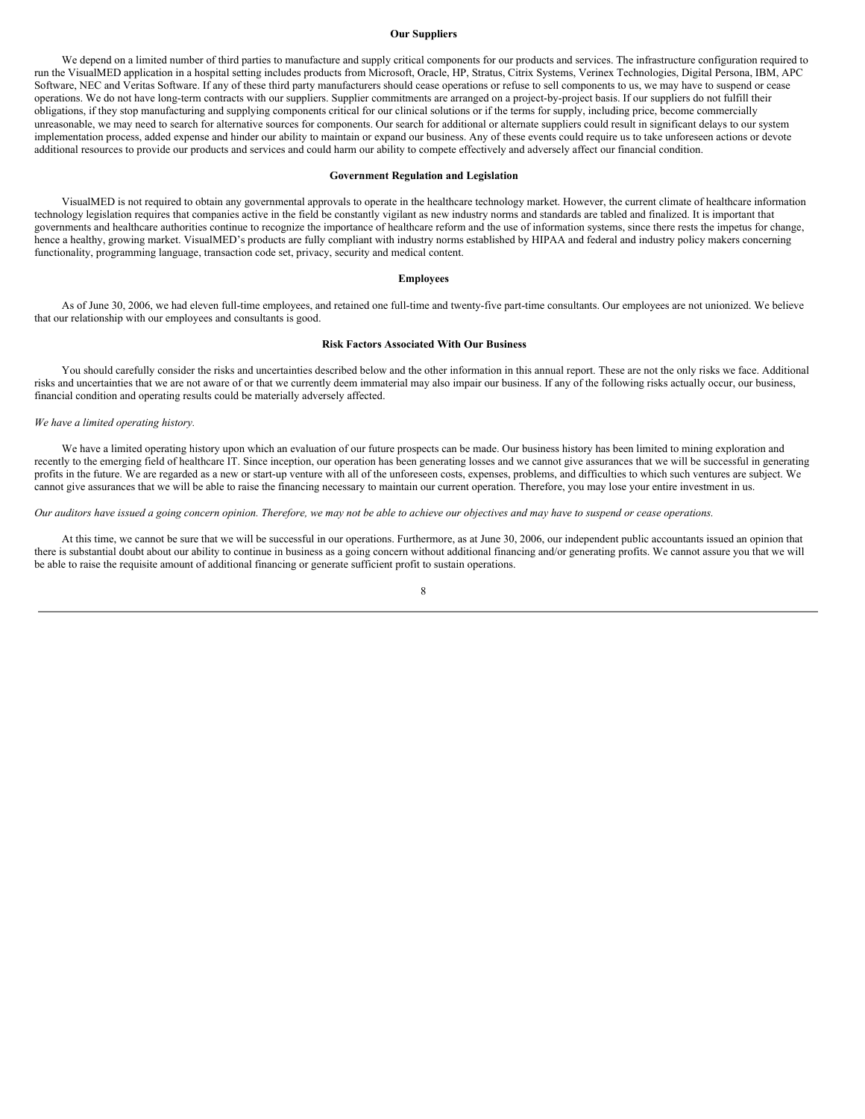#### **Our Suppliers**

We depend on a limited number of third parties to manufacture and supply critical components for our products and services. The infrastructure configuration required to run the VisualMED application in a hospital setting includes products from Microsoft, Oracle, HP, Stratus, Citrix Systems, Verinex Technologies, Digital Persona, IBM, APC Software, NEC and Veritas Software. If any of these third party manufacturers should cease operations or refuse to sell components to us, we may have to suspend or cease operations. We do not have long-term contracts with our suppliers. Supplier commitments are arranged on a project-by-project basis. If our suppliers do not fulfill their obligations, if they stop manufacturing and supplying components critical for our clinical solutions or if the terms for supply, including price, become commercially unreasonable, we may need to search for alternative sources for components. Our search for additional or alternate suppliers could result in significant delays to our system implementation process, added expense and hinder our ability to maintain or expand our business. Any of these events could require us to take unforeseen actions or devote additional resources to provide our products and services and could harm our ability to compete effectively and adversely affect our financial condition.

## **Government Regulation and Legislation**

VisualMED is not required to obtain any governmental approvals to operate in the healthcare technology market. However, the current climate of healthcare information technology legislation requires that companies active in the field be constantly vigilant as new industry norms and standards are tabled and finalized. It is important that governments and healthcare authorities continue to recognize the importance of healthcare reform and the use of information systems, since there rests the impetus for change, hence a healthy, growing market. VisualMED's products are fully compliant with industry norms established by HIPAA and federal and industry policy makers concerning functionality, programming language, transaction code set, privacy, security and medical content.

## **Employees**

As of June 30, 2006, we had eleven full-time employees, and retained one full-time and twenty-five part-time consultants. Our employees are not unionized. We believe that our relationship with our employees and consultants is good.

## **Risk Factors Associated With Our Business**

You should carefully consider the risks and uncertainties described below and the other information in this annual report. These are not the only risks we face. Additional risks and uncertainties that we are not aware of or that we currently deem immaterial may also impair our business. If any of the following risks actually occur, our business, financial condition and operating results could be materially adversely affected.

## *We have a limited operating history.*

We have a limited operating history upon which an evaluation of our future prospects can be made. Our business history has been limited to mining exploration and recently to the emerging field of healthcare IT. Since inception, our operation has been generating losses and we cannot give assurances that we will be successful in generating profits in the future. We are regarded as a new or start-up venture with all of the unforeseen costs, expenses, problems, and difficulties to which such ventures are subject. We cannot give assurances that we will be able to raise the financing necessary to maintain our current operation. Therefore, you may lose your entire investment in us.

#### Our auditors have issued a going concern opinion. Therefore, we may not be able to achieve our objectives and may have to suspend or cease operations.

At this time, we cannot be sure that we will be successful in our operations. Furthermore, as at June 30, 2006, our independent public accountants issued an opinion that there is substantial doubt about our ability to continue in business as a going concern without additional financing and/or generating profits. We cannot assure you that we will be able to raise the requisite amount of additional financing or generate sufficient profit to sustain operations.

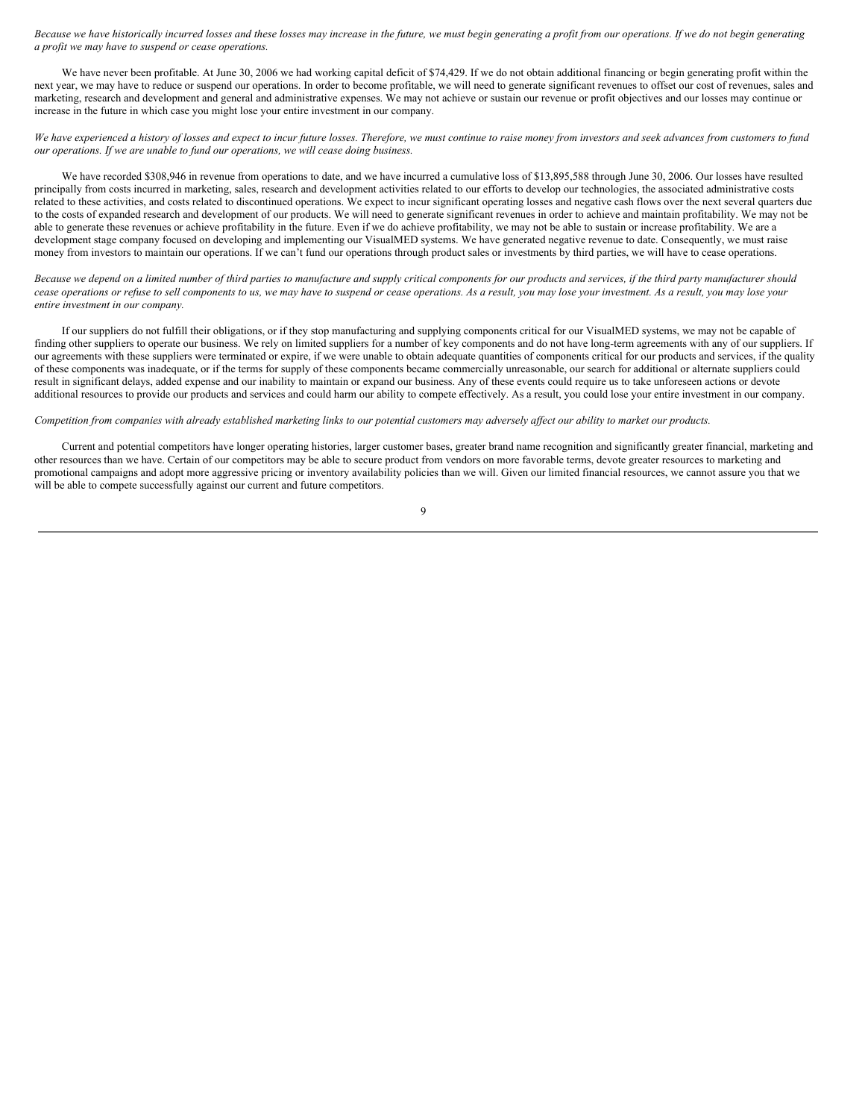Because we have historically incurred losses and these losses may increase in the future, we must begin generating a profit from our operations. If we do not begin generating *a profit we may have to suspend or cease operations.*

We have never been profitable. At June 30, 2006 we had working capital deficit of \$74,429. If we do not obtain additional financing or begin generating profit within the next year, we may have to reduce or suspend our operations. In order to become profitable, we will need to generate significant revenues to offset our cost of revenues, sales and marketing, research and development and general and administrative expenses. We may not achieve or sustain our revenue or profit objectives and our losses may continue or increase in the future in which case you might lose your entire investment in our company.

We have experienced a history of losses and expect to incur future losses. Therefore, we must continue to raise money from investors and seek advances from customers to fund *our operations. If we are unable to fund our operations, we will cease doing business.*

We have recorded \$308,946 in revenue from operations to date, and we have incurred a cumulative loss of \$13,895,588 through June 30, 2006. Our losses have resulted principally from costs incurred in marketing, sales, research and development activities related to our efforts to develop our technologies, the associated administrative costs related to these activities, and costs related to discontinued operations. We expect to incur significant operating losses and negative cash flows over the next several quarters due to the costs of expanded research and development of our products. We will need to generate significant revenues in order to achieve and maintain profitability. We may not be able to generate these revenues or achieve profitability in the future. Even if we do achieve profitability, we may not be able to sustain or increase profitability. We are a development stage company focused on developing and implementing our VisualMED systems. We have generated negative revenue to date. Consequently, we must raise money from investors to maintain our operations. If we can't fund our operations through product sales or investments by third parties, we will have to cease operations.

Because we depend on a limited number of third parties to manufacture and supply critical components for our products and services, if the third party manufacturer should cease operations or refuse to sell components to us, we may have to suspend or cease operations. As a result, you may lose your investment. As a result, you may lose your *entire investment in our company.*

If our suppliers do not fulfill their obligations, or if they stop manufacturing and supplying components critical for our VisualMED systems, we may not be capable of finding other suppliers to operate our business. We rely on limited suppliers for a number of key components and do not have long-term agreements with any of our suppliers. If our agreements with these suppliers were terminated or expire, if we were unable to obtain adequate quantities of components critical for our products and services, if the quality of these components was inadequate, or if the terms for supply of these components became commercially unreasonable, our search for additional or alternate suppliers could result in significant delays, added expense and our inability to maintain or expand our business. Any of these events could require us to take unforeseen actions or devote additional resources to provide our products and services and could harm our ability to compete effectively. As a result, you could lose your entire investment in our company.

#### Competition from companies with already established marketing links to our potential customers may adversely affect our ability to market our products.

Current and potential competitors have longer operating histories, larger customer bases, greater brand name recognition and significantly greater financial, marketing and other resources than we have. Certain of our competitors may be able to secure product from vendors on more favorable terms, devote greater resources to marketing and promotional campaigns and adopt more aggressive pricing or inventory availability policies than we will. Given our limited financial resources, we cannot assure you that we will be able to compete successfully against our current and future competitors.

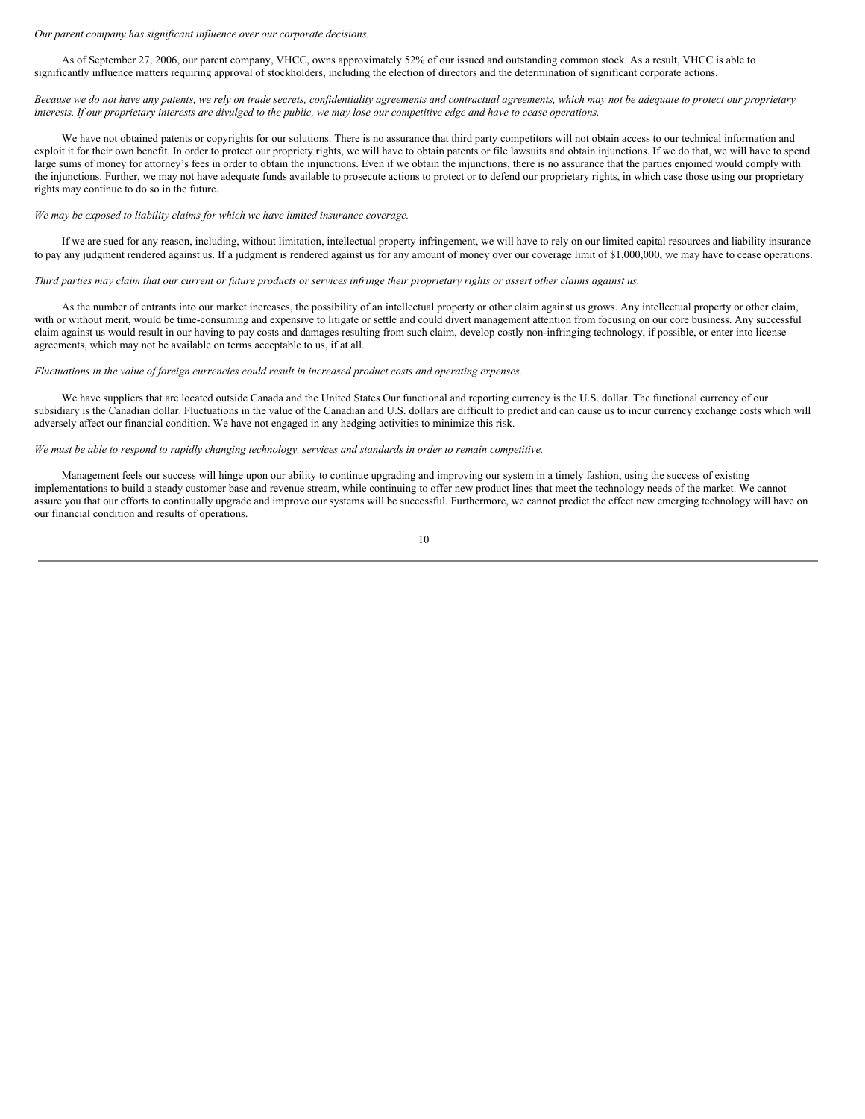#### *Our parent company has significant influence over our corporate decisions.*

As of September 27, 2006, our parent company, VHCC, owns approximately 52% of our issued and outstanding common stock. As a result, VHCC is able to significantly influence matters requiring approval of stockholders, including the election of directors and the determination of significant corporate actions.

Because we do not have any patents, we rely on trade secrets, confidentiality agreements and contractual agreements, which may not be adequate to protect our proprietary interests. If our proprietary interests are divulged to the public, we may lose our competitive edge and have to cease operations.

We have not obtained patents or copyrights for our solutions. There is no assurance that third party competitors will not obtain access to our technical information and exploit it for their own benefit. In order to protect our propriety rights, we will have to obtain patents or file lawsuits and obtain injunctions. If we do that, we will have to spend large sums of money for attorney's fees in order to obtain the injunctions. Even if we obtain the injunctions, there is no assurance that the parties enjoined would comply with the injunctions. Further, we may not have adequate funds available to prosecute actions to protect or to defend our proprietary rights, in which case those using our proprietary rights may continue to do so in the future.

*We may be exposed to liability claims for which we have limited insurance coverage.*

If we are sued for any reason, including, without limitation, intellectual property infringement, we will have to rely on our limited capital resources and liability insurance to pay any judgment rendered against us. If a judgment is rendered against us for any amount of money over our coverage limit of \$1,000,000, we may have to cease operations.

## Third parties may claim that our current or future products or services infringe their proprietary rights or assert other claims against us.

As the number of entrants into our market increases, the possibility of an intellectual property or other claim against us grows. Any intellectual property or other claim, with or without merit, would be time-consuming and expensive to litigate or settle and could divert management attention from focusing on our core business. Any successful claim against us would result in our having to pay costs and damages resulting from such claim, develop costly non-infringing technology, if possible, or enter into license agreements, which may not be available on terms acceptable to us, if at all.

*Fluctuations in the value of foreign currencies could result in increased product costs and operating expenses.*

We have suppliers that are located outside Canada and the United States Our functional and reporting currency is the U.S. dollar. The functional currency of our subsidiary is the Canadian dollar. Fluctuations in the value of the Canadian and U.S. dollars are difficult to predict and can cause us to incur currency exchange costs which will adversely affect our financial condition. We have not engaged in any hedging activities to minimize this risk.

#### We must be able to respond to rapidly changing technology, services and standards in order to remain competitive.

Management feels our success will hinge upon our ability to continue upgrading and improving our system in a timely fashion, using the success of existing implementations to build a steady customer base and revenue stream, while continuing to offer new product lines that meet the technology needs of the market. We cannot assure you that our efforts to continually upgrade and improve our systems will be successful. Furthermore, we cannot predict the effect new emerging technology will have on our financial condition and results of operations.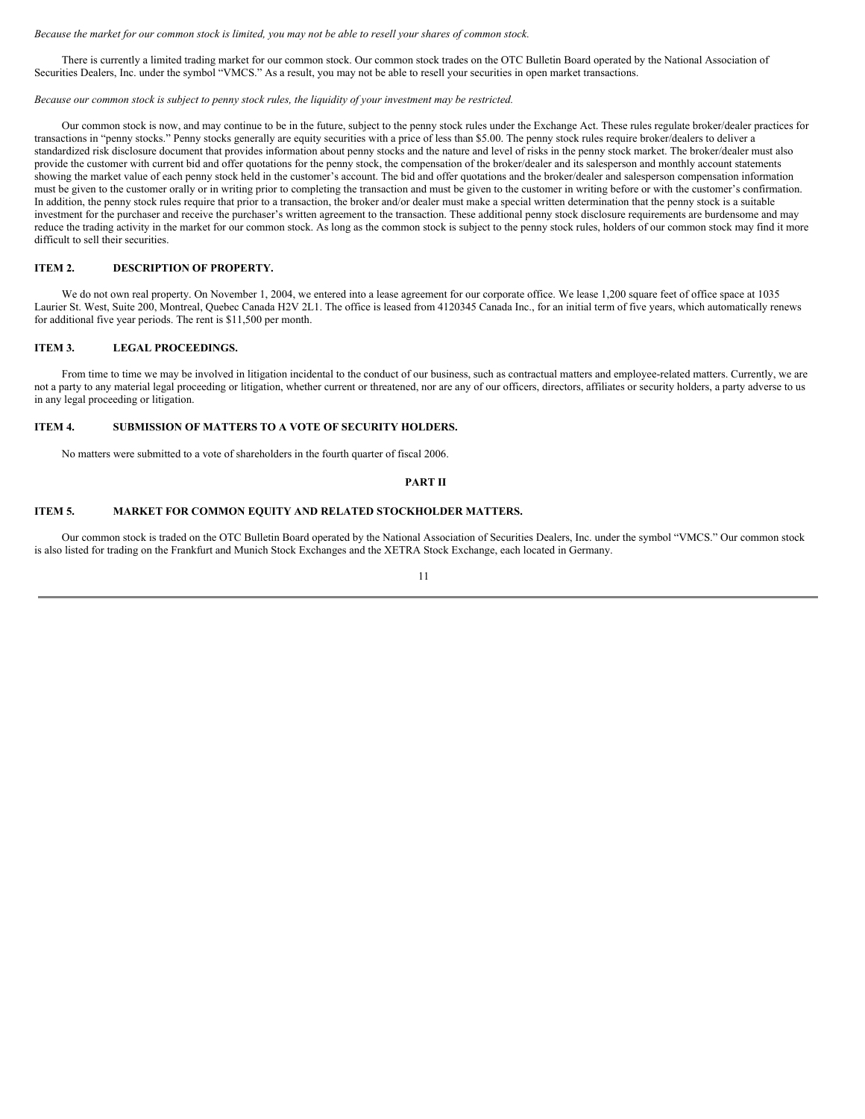Because the market for our common stock is limited, you may not be able to resell your shares of common stock.

There is currently a limited trading market for our common stock. Our common stock trades on the OTC Bulletin Board operated by the National Association of Securities Dealers, Inc. under the symbol "VMCS." As a result, you may not be able to resell your securities in open market transactions.

## Because our common stock is subject to penny stock rules, the liquidity of your investment may be restricted.

Our common stock is now, and may continue to be in the future, subject to the penny stock rules under the Exchange Act. These rules regulate broker/dealer practices for transactions in "penny stocks." Penny stocks generally are equity securities with a price of less than \$5.00. The penny stock rules require broker/dealers to deliver a standardized risk disclosure document that provides information about penny stocks and the nature and level of risks in the penny stock market. The broker/dealer must also provide the customer with current bid and offer quotations for the penny stock, the compensation of the broker/dealer and its salesperson and monthly account statements showing the market value of each penny stock held in the customer's account. The bid and offer quotations and the broker/dealer and salesperson compensation information must be given to the customer orally or in writing prior to completing the transaction and must be given to the customer in writing before or with the customer's confirmation. In addition, the penny stock rules require that prior to a transaction, the broker and/or dealer must make a special written determination that the penny stock is a suitable investment for the purchaser and receive the purchaser's written agreement to the transaction. These additional penny stock disclosure requirements are burdensome and may reduce the trading activity in the market for our common stock. As long as the common stock is subject to the penny stock rules, holders of our common stock may find it more difficult to sell their securities.

#### <span id="page-12-0"></span>**ITEM 2. DESCRIPTION OF PROPERTY.**

We do not own real property. On November 1, 2004, we entered into a lease agreement for our corporate office. We lease 1,200 square feet of office space at 1035 Laurier St. West, Suite 200, Montreal, Quebec Canada H2V 2L1. The office is leased from 4120345 Canada Inc., for an initial term of five years, which automatically renews for additional five year periods. The rent is \$11,500 per month.

## <span id="page-12-1"></span>**ITEM 3. LEGAL PROCEEDINGS.**

From time to time we may be involved in litigation incidental to the conduct of our business, such as contractual matters and employee-related matters. Currently, we are not a party to any material legal proceeding or litigation, whether current or threatened, nor are any of our officers, directors, affiliates or security holders, a party adverse to us in any legal proceeding or litigation.

## **ITEM 4. SUBMISSION OF MATTERS TO A VOTE OF SECURITY HOLDERS.**

<span id="page-12-2"></span>No matters were submitted to a vote of shareholders in the fourth quarter of fiscal 2006.

#### <span id="page-12-3"></span>**PART II**

## <span id="page-12-4"></span>**ITEM 5. MARKET FOR COMMON EQUITY AND RELATED STOCKHOLDER MATTERS.**

Our common stock is traded on the OTC Bulletin Board operated by the National Association of Securities Dealers, Inc. under the symbol "VMCS." Our common stock is also listed for trading on the Frankfurt and Munich Stock Exchanges and the XETRA Stock Exchange, each located in Germany.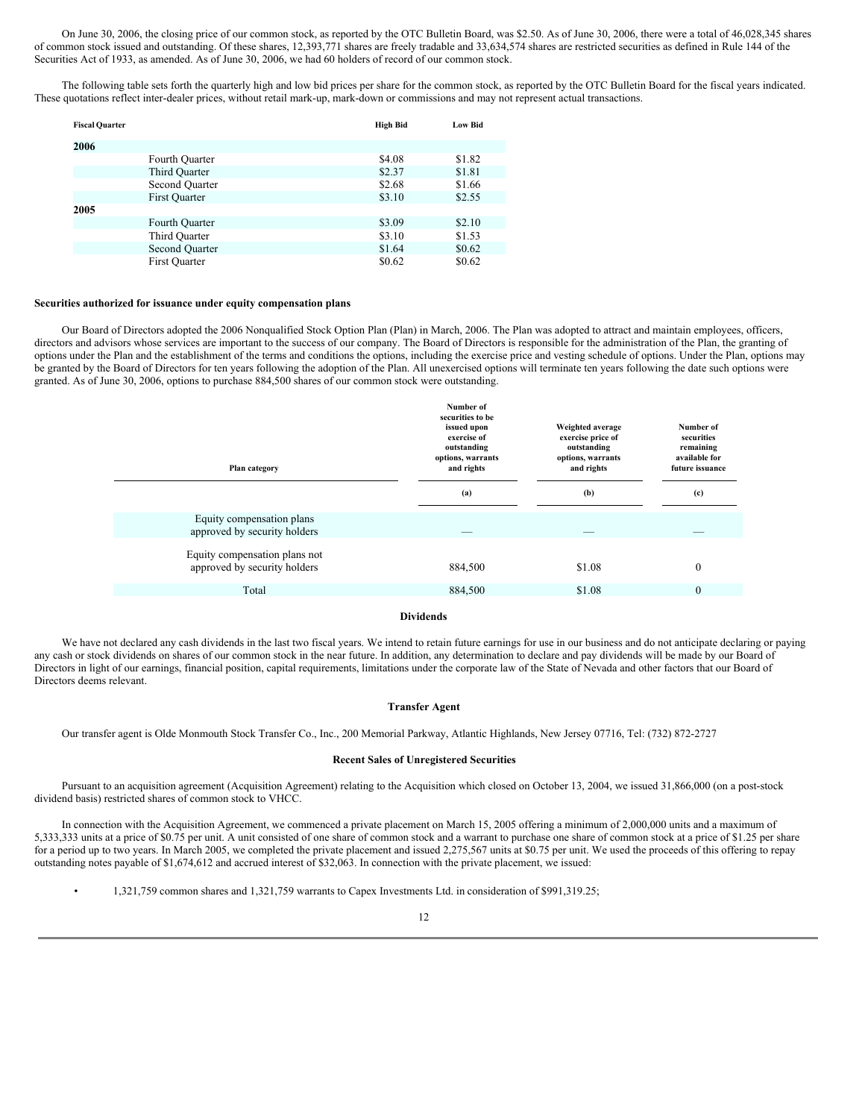On June 30, 2006, the closing price of our common stock, as reported by the OTC Bulletin Board, was \$2.50. As of June 30, 2006, there were a total of 46,028,345 shares of common stock issued and outstanding. Of these shares, 12,393,771 shares are freely tradable and 33,634,574 shares are restricted securities as defined in Rule 144 of the Securities Act of 1933, as amended. As of June 30, 2006, we had 60 holders of record of our common stock.

The following table sets forth the quarterly high and low bid prices per share for the common stock, as reported by the OTC Bulletin Board for the fiscal years indicated. These quotations reflect inter-dealer prices, without retail mark-up, mark-down or commissions and may not represent actual transactions.

| <b>Fiscal Quarter</b> | <b>High Bid</b> | <b>Low Bid</b> |
|-----------------------|-----------------|----------------|
| 2006                  |                 |                |
| Fourth Quarter        | \$4.08          | \$1.82         |
| Third Quarter         | \$2.37          | \$1.81         |
| Second Quarter        | \$2.68          | \$1.66         |
| First Ouarter         | \$3.10          | \$2.55         |
| 2005                  |                 |                |
| Fourth Quarter        | \$3.09          | \$2.10         |
| Third Quarter         | \$3.10          | \$1.53         |
| Second Quarter        | \$1.64          | \$0.62         |
| First Ouarter         | \$0.62          | \$0.62         |

#### **Securities authorized for issuance under equity compensation plans**

Our Board of Directors adopted the 2006 Nonqualified Stock Option Plan (Plan) in March, 2006. The Plan was adopted to attract and maintain employees, officers, directors and advisors whose services are important to the success of our company. The Board of Directors is responsible for the administration of the Plan, the granting of options under the Plan and the establishment of the terms and conditions the options, including the exercise price and vesting schedule of options. Under the Plan, options may be granted by the Board of Directors for ten years following the adoption of the Plan. All unexercised options will terminate ten years following the date such options were granted. As of June 30, 2006, options to purchase 884,500 shares of our common stock were outstanding.

| Plan category                                                 | Number of<br>securities to be<br>issued upon<br>exercise of<br>outstanding<br>options, warrants<br>and rights | Weighted average<br>exercise price of<br>outstanding<br>options, warrants<br>and rights | Number of<br>securities<br>remaining<br>available for<br>future issuance |
|---------------------------------------------------------------|---------------------------------------------------------------------------------------------------------------|-----------------------------------------------------------------------------------------|--------------------------------------------------------------------------|
|                                                               | (a)                                                                                                           | (b)                                                                                     | (c)                                                                      |
| Equity compensation plans<br>approved by security holders     |                                                                                                               |                                                                                         |                                                                          |
| Equity compensation plans not<br>approved by security holders | 884,500                                                                                                       | \$1.08                                                                                  | $\boldsymbol{0}$                                                         |
| Total                                                         | 884,500                                                                                                       | \$1.08                                                                                  | $\Omega$                                                                 |
|                                                               |                                                                                                               |                                                                                         |                                                                          |

**Dividends**

We have not declared any cash dividends in the last two fiscal years. We intend to retain future earnings for use in our business and do not anticipate declaring or paying any cash or stock dividends on shares of our common stock in the near future. In addition, any determination to declare and pay dividends will be made by our Board of Directors in light of our earnings, financial position, capital requirements, limitations under the corporate law of the State of Nevada and other factors that our Board of Directors deems relevant.

#### **Transfer Agent**

Our transfer agent is Olde Monmouth Stock Transfer Co., Inc., 200 Memorial Parkway, Atlantic Highlands, New Jersey 07716, Tel: (732) 872-2727

## **Recent Sales of Unregistered Securities**

Pursuant to an acquisition agreement (Acquisition Agreement) relating to the Acquisition which closed on October 13, 2004, we issued 31,866,000 (on a post-stock dividend basis) restricted shares of common stock to VHCC.

In connection with the Acquisition Agreement, we commenced a private placement on March 15, 2005 offering a minimum of 2,000,000 units and a maximum of 5,333,333 units at a price of \$0.75 per unit. A unit consisted of one share of common stock and a warrant to purchase one share of common stock at a price of \$1.25 per share for a period up to two years. In March 2005, we completed the private placement and issued 2,275,567 units at \$0.75 per unit. We used the proceeds of this offering to repay outstanding notes payable of \$1,674,612 and accrued interest of \$32,063. In connection with the private placement, we issued:

• 1,321,759 common shares and 1,321,759 warrants to Capex Investments Ltd. in consideration of \$991,319.25;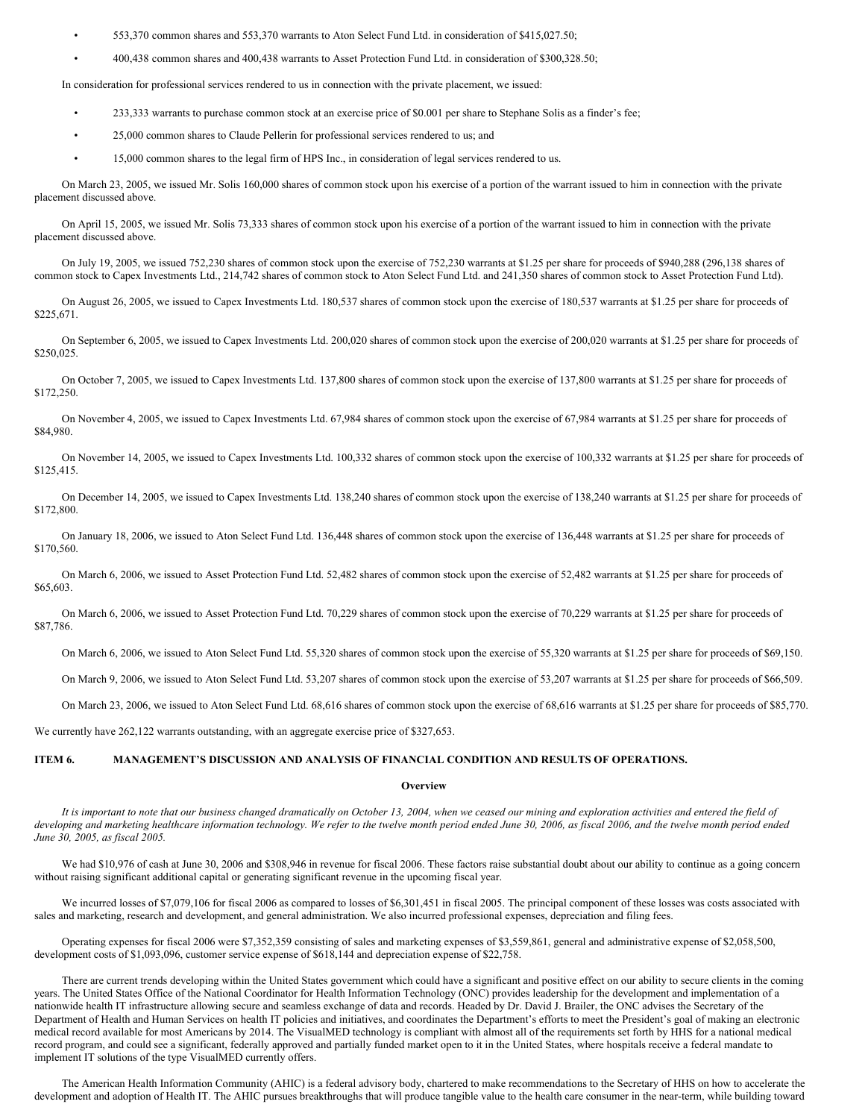- 553,370 common shares and 553,370 warrants to Aton Select Fund Ltd. in consideration of \$415,027.50;
- 400,438 common shares and 400,438 warrants to Asset Protection Fund Ltd. in consideration of \$300,328.50;

In consideration for professional services rendered to us in connection with the private placement, we issued:

- 233,333 warrants to purchase common stock at an exercise price of \$0.001 per share to Stephane Solis as a finder's fee;
- 25,000 common shares to Claude Pellerin for professional services rendered to us; and
- 15,000 common shares to the legal firm of HPS Inc., in consideration of legal services rendered to us.

On March 23, 2005, we issued Mr. Solis 160,000 shares of common stock upon his exercise of a portion of the warrant issued to him in connection with the private placement discussed above.

On April 15, 2005, we issued Mr. Solis 73,333 shares of common stock upon his exercise of a portion of the warrant issued to him in connection with the private placement discussed above.

On July 19, 2005, we issued 752,230 shares of common stock upon the exercise of 752,230 warrants at \$1.25 per share for proceeds of \$940,288 (296,138 shares of common stock to Capex Investments Ltd., 214,742 shares of common stock to Aton Select Fund Ltd. and 241,350 shares of common stock to Asset Protection Fund Ltd).

On August 26, 2005, we issued to Capex Investments Ltd. 180,537 shares of common stock upon the exercise of 180,537 warrants at \$1.25 per share for proceeds of \$225,671.

On September 6, 2005, we issued to Capex Investments Ltd. 200,020 shares of common stock upon the exercise of 200,020 warrants at \$1.25 per share for proceeds of \$250,025.

On October 7, 2005, we issued to Capex Investments Ltd. 137,800 shares of common stock upon the exercise of 137,800 warrants at \$1.25 per share for proceeds of \$172,250.

On November 4, 2005, we issued to Capex Investments Ltd. 67,984 shares of common stock upon the exercise of 67,984 warrants at \$1.25 per share for proceeds of \$84,980.

On November 14, 2005, we issued to Capex Investments Ltd. 100,332 shares of common stock upon the exercise of 100,332 warrants at \$1.25 per share for proceeds of \$125,415.

On December 14, 2005, we issued to Capex Investments Ltd. 138,240 shares of common stock upon the exercise of 138,240 warrants at \$1.25 per share for proceeds of \$172,800.

On January 18, 2006, we issued to Aton Select Fund Ltd. 136,448 shares of common stock upon the exercise of 136,448 warrants at \$1.25 per share for proceeds of \$170,560.

On March 6, 2006, we issued to Asset Protection Fund Ltd. 52,482 shares of common stock upon the exercise of 52,482 warrants at \$1.25 per share for proceeds of \$65,603.

On March 6, 2006, we issued to Asset Protection Fund Ltd. 70,229 shares of common stock upon the exercise of 70,229 warrants at \$1.25 per share for proceeds of \$87,786.

On March 6, 2006, we issued to Aton Select Fund Ltd. 55,320 shares of common stock upon the exercise of 55,320 warrants at \$1.25 per share for proceeds of \$69,150.

On March 9, 2006, we issued to Aton Select Fund Ltd. 53,207 shares of common stock upon the exercise of 53,207 warrants at \$1.25 per share for proceeds of \$66,509.

On March 23, 2006, we issued to Aton Select Fund Ltd. 68,616 shares of common stock upon the exercise of 68,616 warrants at \$1.25 per share for proceeds of \$85,770.

We currently have 262,122 warrants outstanding, with an aggregate exercise price of \$327,653.

## <span id="page-14-0"></span>**ITEM 6. MANAGEMENT'S DISCUSSION AND ANALYSIS OF FINANCIAL CONDITION AND RESULTS OF OPERATIONS.**

#### **Overview**

It is important to note that our business changed dramatically on October 13, 2004, when we ceased our mining and exploration activities and entered the field of developing and marketing healthcare information technology. We refer to the twelve month period ended June 30, 2006, as fiscal 2006, and the twelve month period ended *June 30, 2005, as fiscal 2005.*

We had \$10,976 of cash at June 30, 2006 and \$308,946 in revenue for fiscal 2006. These factors raise substantial doubt about our ability to continue as a going concern without raising significant additional capital or generating significant revenue in the upcoming fiscal year.

We incurred losses of \$7,079,106 for fiscal 2006 as compared to losses of \$6,301,451 in fiscal 2005. The principal component of these losses was costs associated with sales and marketing, research and development, and general administration. We also incurred professional expenses, depreciation and filing fees.

Operating expenses for fiscal 2006 were \$7,352,359 consisting of sales and marketing expenses of \$3,559,861, general and administrative expense of \$2,058,500, development costs of \$1,093,096, customer service expense of \$618,144 and depreciation expense of \$22,758.

There are current trends developing within the United States government which could have a significant and positive effect on our ability to secure clients in the coming years. The United States Office of the National Coordinator for Health Information Technology (ONC) provides leadership for the development and implementation of a nationwide health IT infrastructure allowing secure and seamless exchange of data and records. Headed by Dr. David J. Brailer, the ONC advises the Secretary of the Department of Health and Human Services on health IT policies and initiatives, and coordinates the Department's efforts to meet the President's goal of making an electronic medical record available for most Americans by 2014. The VisualMED technology is compliant with almost all of the requirements set forth by HHS for a national medical record program, and could see a significant, federally approved and partially funded market open to it in the United States, where hospitals receive a federal mandate to implement IT solutions of the type VisualMED currently offers.

The American Health Information Community (AHIC) is a federal advisory body, chartered to make recommendations to the Secretary of HHS on how to accelerate the development and adoption of Health IT. The AHIC pursues breakthroughs that will produce tangible value to the health care consumer in the near-term, while building toward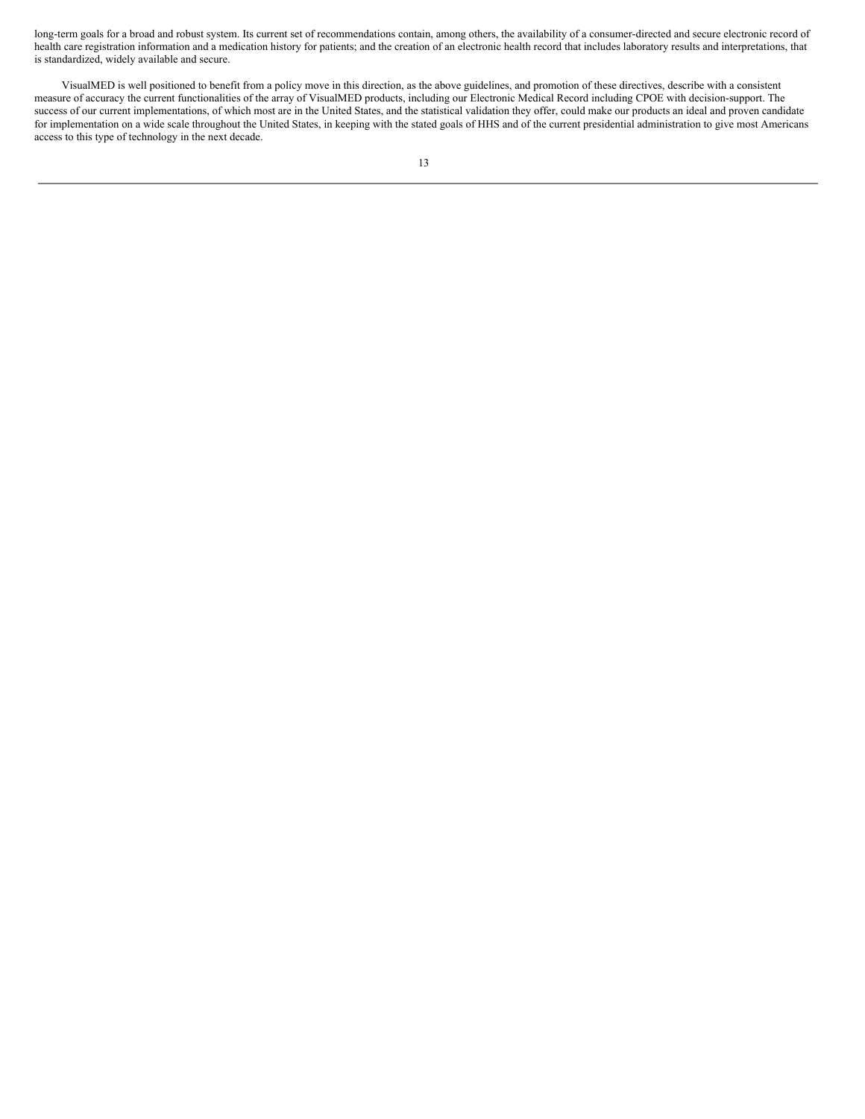long-term goals for a broad and robust system. Its current set of recommendations contain, among others, the availability of a consumer-directed and secure electronic record of health care registration information and a medication history for patients; and the creation of an electronic health record that includes laboratory results and interpretations, that is standardized, widely available and secure.

VisualMED is well positioned to benefit from a policy move in this direction, as the above guidelines, and promotion of these directives, describe with a consistent measure of accuracy the current functionalities of the array of VisualMED products, including our Electronic Medical Record including CPOE with decision-support. The success of our current implementations, of which most are in the United States, and the statistical validation they offer, could make our products an ideal and proven candidate for implementation on a wide scale throughout the United States, in keeping with the stated goals of HHS and of the current presidential administration to give most Americans access to this type of technology in the next decade.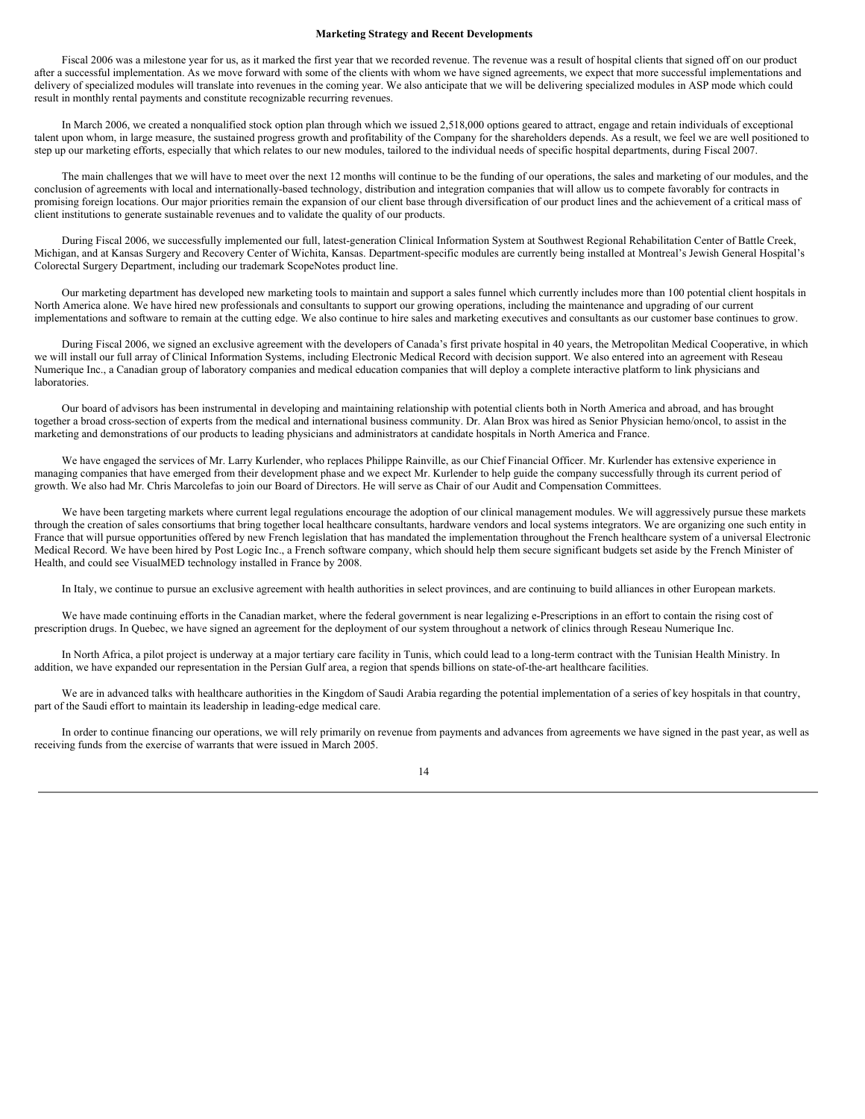#### **Marketing Strategy and Recent Developments**

Fiscal 2006 was a milestone year for us, as it marked the first year that we recorded revenue. The revenue was a result of hospital clients that signed off on our product after a successful implementation. As we move forward with some of the clients with whom we have signed agreements, we expect that more successful implementations and delivery of specialized modules will translate into revenues in the coming year. We also anticipate that we will be delivering specialized modules in ASP mode which could result in monthly rental payments and constitute recognizable recurring revenues.

In March 2006, we created a nonqualified stock option plan through which we issued 2,518,000 options geared to attract, engage and retain individuals of exceptional talent upon whom, in large measure, the sustained progress growth and profitability of the Company for the shareholders depends. As a result, we feel we are well positioned to step up our marketing efforts, especially that which relates to our new modules, tailored to the individual needs of specific hospital departments, during Fiscal 2007.

The main challenges that we will have to meet over the next 12 months will continue to be the funding of our operations, the sales and marketing of our modules, and the conclusion of agreements with local and internationally-based technology, distribution and integration companies that will allow us to compete favorably for contracts in promising foreign locations. Our major priorities remain the expansion of our client base through diversification of our product lines and the achievement of a critical mass of client institutions to generate sustainable revenues and to validate the quality of our products.

During Fiscal 2006, we successfully implemented our full, latest-generation Clinical Information System at Southwest Regional Rehabilitation Center of Battle Creek, Michigan, and at Kansas Surgery and Recovery Center of Wichita, Kansas. Department-specific modules are currently being installed at Montreal's Jewish General Hospital's Colorectal Surgery Department, including our trademark ScopeNotes product line.

Our marketing department has developed new marketing tools to maintain and support a sales funnel which currently includes more than 100 potential client hospitals in North America alone. We have hired new professionals and consultants to support our growing operations, including the maintenance and upgrading of our current implementations and software to remain at the cutting edge. We also continue to hire sales and marketing executives and consultants as our customer base continues to grow.

During Fiscal 2006, we signed an exclusive agreement with the developers of Canada's first private hospital in 40 years, the Metropolitan Medical Cooperative, in which we will install our full array of Clinical Information Systems, including Electronic Medical Record with decision support. We also entered into an agreement with Reseau Numerique Inc., a Canadian group of laboratory companies and medical education companies that will deploy a complete interactive platform to link physicians and laboratories.

Our board of advisors has been instrumental in developing and maintaining relationship with potential clients both in North America and abroad, and has brought together a broad cross-section of experts from the medical and international business community. Dr. Alan Brox was hired as Senior Physician hemo/oncol, to assist in the marketing and demonstrations of our products to leading physicians and administrators at candidate hospitals in North America and France.

We have engaged the services of Mr. Larry Kurlender, who replaces Philippe Rainville, as our Chief Financial Officer. Mr. Kurlender has extensive experience in managing companies that have emerged from their development phase and we expect Mr. Kurlender to help guide the company successfully through its current period of growth. We also had Mr. Chris Marcolefas to join our Board of Directors. He will serve as Chair of our Audit and Compensation Committees.

We have been targeting markets where current legal regulations encourage the adoption of our clinical management modules. We will aggressively pursue these markets through the creation of sales consortiums that bring together local healthcare consultants, hardware vendors and local systems integrators. We are organizing one such entity in France that will pursue opportunities offered by new French legislation that has mandated the implementation throughout the French healthcare system of a universal Electronic Medical Record. We have been hired by Post Logic Inc., a French software company, which should help them secure significant budgets set aside by the French Minister of Health, and could see VisualMED technology installed in France by 2008.

In Italy, we continue to pursue an exclusive agreement with health authorities in select provinces, and are continuing to build alliances in other European markets.

We have made continuing efforts in the Canadian market, where the federal government is near legalizing e-Prescriptions in an effort to contain the rising cost of prescription drugs. In Quebec, we have signed an agreement for the deployment of our system throughout a network of clinics through Reseau Numerique Inc.

In North Africa, a pilot project is underway at a major tertiary care facility in Tunis, which could lead to a long-term contract with the Tunisian Health Ministry. In addition, we have expanded our representation in the Persian Gulf area, a region that spends billions on state-of-the-art healthcare facilities.

We are in advanced talks with healthcare authorities in the Kingdom of Saudi Arabia regarding the potential implementation of a series of key hospitals in that country, part of the Saudi effort to maintain its leadership in leading-edge medical care.

In order to continue financing our operations, we will rely primarily on revenue from payments and advances from agreements we have signed in the past year, as well as receiving funds from the exercise of warrants that were issued in March 2005.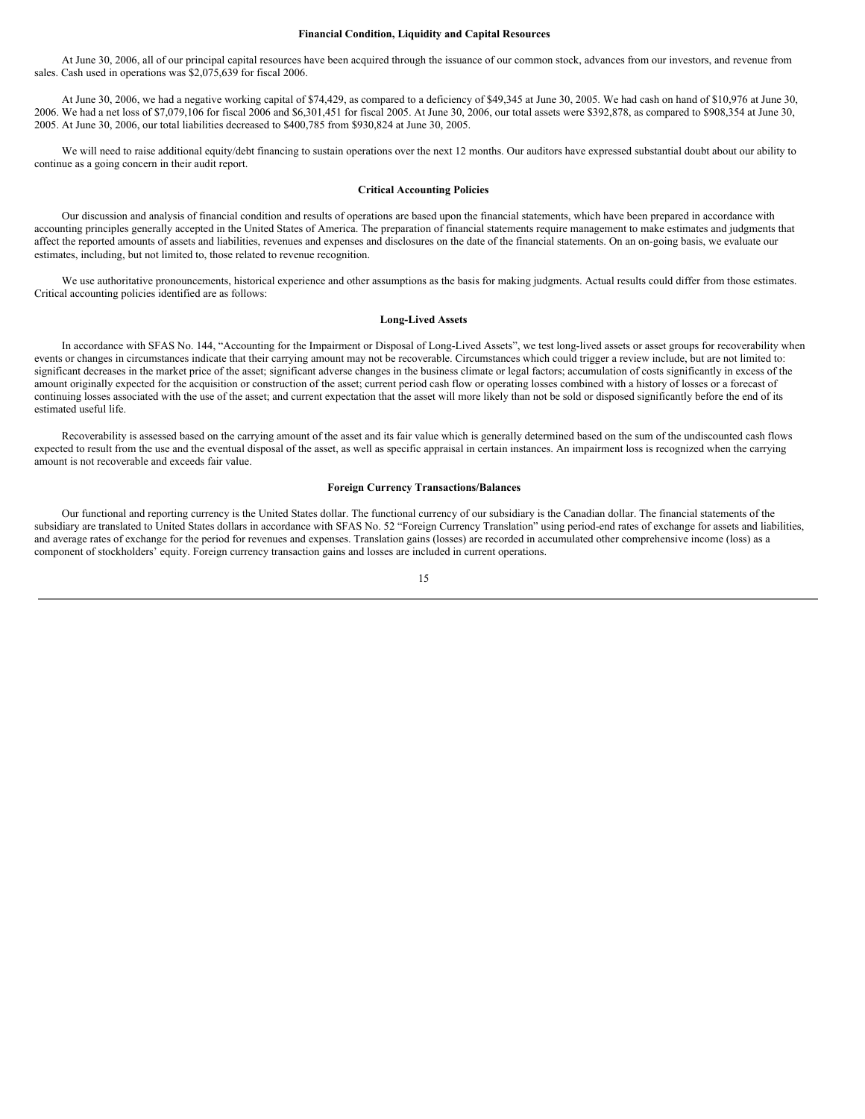#### **Financial Condition, Liquidity and Capital Resources**

At June 30, 2006, all of our principal capital resources have been acquired through the issuance of our common stock, advances from our investors, and revenue from sales. Cash used in operations was \$2,075,639 for fiscal 2006.

At June 30, 2006, we had a negative working capital of \$74,429, as compared to a deficiency of \$49,345 at June 30, 2005. We had cash on hand of \$10,976 at June 30, 2006. We had a net loss of \$7,079,106 for fiscal 2006 and \$6,301,451 for fiscal 2005. At June 30, 2006, our total assets were \$392,878, as compared to \$908,354 at June 30, 2005. At June 30, 2006, our total liabilities decreased to \$400,785 from \$930,824 at June 30, 2005.

We will need to raise additional equity/debt financing to sustain operations over the next 12 months. Our auditors have expressed substantial doubt about our ability to continue as a going concern in their audit report.

#### **Critical Accounting Policies**

Our discussion and analysis of financial condition and results of operations are based upon the financial statements, which have been prepared in accordance with accounting principles generally accepted in the United States of America. The preparation of financial statements require management to make estimates and judgments that affect the reported amounts of assets and liabilities, revenues and expenses and disclosures on the date of the financial statements. On an on-going basis, we evaluate our estimates, including, but not limited to, those related to revenue recognition.

We use authoritative pronouncements, historical experience and other assumptions as the basis for making judgments. Actual results could differ from those estimates. Critical accounting policies identified are as follows:

#### **Long-Lived Assets**

In accordance with SFAS No. 144, "Accounting for the Impairment or Disposal of Long-Lived Assets", we test long-lived assets or asset groups for recoverability when events or changes in circumstances indicate that their carrying amount may not be recoverable. Circumstances which could trigger a review include, but are not limited to: significant decreases in the market price of the asset; significant adverse changes in the business climate or legal factors; accumulation of costs significantly in excess of the amount originally expected for the acquisition or construction of the asset; current period cash flow or operating losses combined with a history of losses or a forecast of continuing losses associated with the use of the asset; and current expectation that the asset will more likely than not be sold or disposed significantly before the end of its estimated useful life.

Recoverability is assessed based on the carrying amount of the asset and its fair value which is generally determined based on the sum of the undiscounted cash flows expected to result from the use and the eventual disposal of the asset, as well as specific appraisal in certain instances. An impairment loss is recognized when the carrying amount is not recoverable and exceeds fair value.

## **Foreign Currency Transactions/Balances**

Our functional and reporting currency is the United States dollar. The functional currency of our subsidiary is the Canadian dollar. The financial statements of the subsidiary are translated to United States dollars in accordance with SFAS No. 52 "Foreign Currency Translation" using period-end rates of exchange for assets and liabilities, and average rates of exchange for the period for revenues and expenses. Translation gains (losses) are recorded in accumulated other comprehensive income (loss) as a component of stockholders' equity. Foreign currency transaction gains and losses are included in current operations.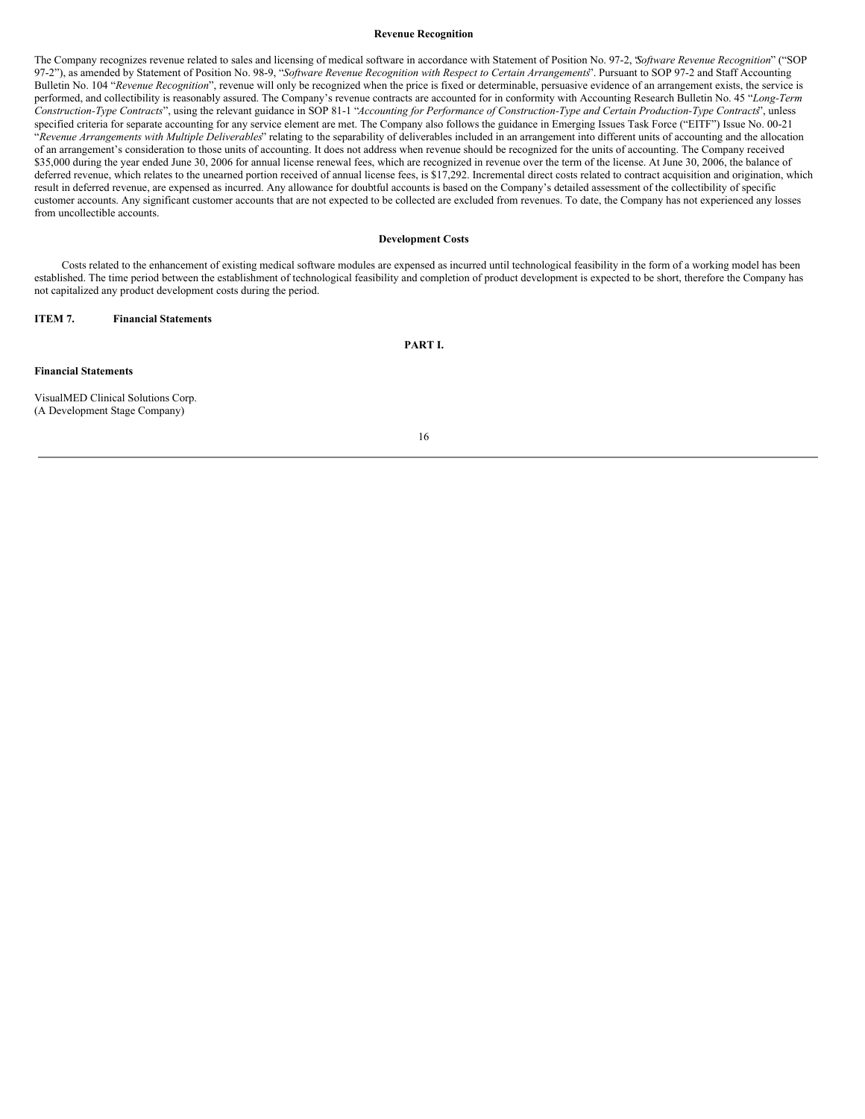#### **Revenue Recognition**

The Company recognizes revenue related to sales and licensing of medical software in accordance with Statement of Position No. 97-2, "*Software Revenue Recognition*" ("SOP 97-2"), as amended by Statement of Position No. 98-9, "*Software Revenue Recognition with Respect to Certain Arrangements*". Pursuant to SOP 97-2 and Staff Accounting Bulletin No. 104 "Revenue Recognition", revenue will only be recognized when the price is fixed or determinable, persuasive evidence of an arrangement exists, the service is performed, and collectibility is reasonably assured. The Company's revenue contracts are accounted for in conformity with Accounting Research Bulletin No. 45 "*Long-Term* Construction-Type Contracts", using the relevant guidance in SOP 81-1 "Accounting for Performance of Construction-Type and Certain Production-Type Contracts", unless specified criteria for separate accounting for any service element are met. The Company also follows the guidance in Emerging Issues Task Force ("EITF") Issue No. 00-21 "*Revenue Arrangements with Multiple Deliverables*" relating to the separability of deliverables included in an arrangement into different units of accounting and the allocation of an arrangement's consideration to those units of accounting. It does not address when revenue should be recognized for the units of accounting. The Company received \$35,000 during the year ended June 30, 2006 for annual license renewal fees, which are recognized in revenue over the term of the license. At June 30, 2006, the balance of deferred revenue, which relates to the unearned portion received of annual license fees, is \$17,292. Incremental direct costs related to contract acquisition and origination, which result in deferred revenue, are expensed as incurred. Any allowance for doubtful accounts is based on the Company's detailed assessment of the collectibility of specific customer accounts. Any significant customer accounts that are not expected to be collected are excluded from revenues. To date, the Company has not experienced any losses from uncollectible accounts.

## **Development Costs**

Costs related to the enhancement of existing medical software modules are expensed as incurred until technological feasibility in the form of a working model has been established. The time period between the establishment of technological feasibility and completion of product development is expected to be short, therefore the Company has not capitalized any product development costs during the period.

#### <span id="page-18-0"></span>**ITEM 7. Financial Statements**

**PART I.**

## **Financial Statements**

VisualMED Clinical Solutions Corp. (A Development Stage Company)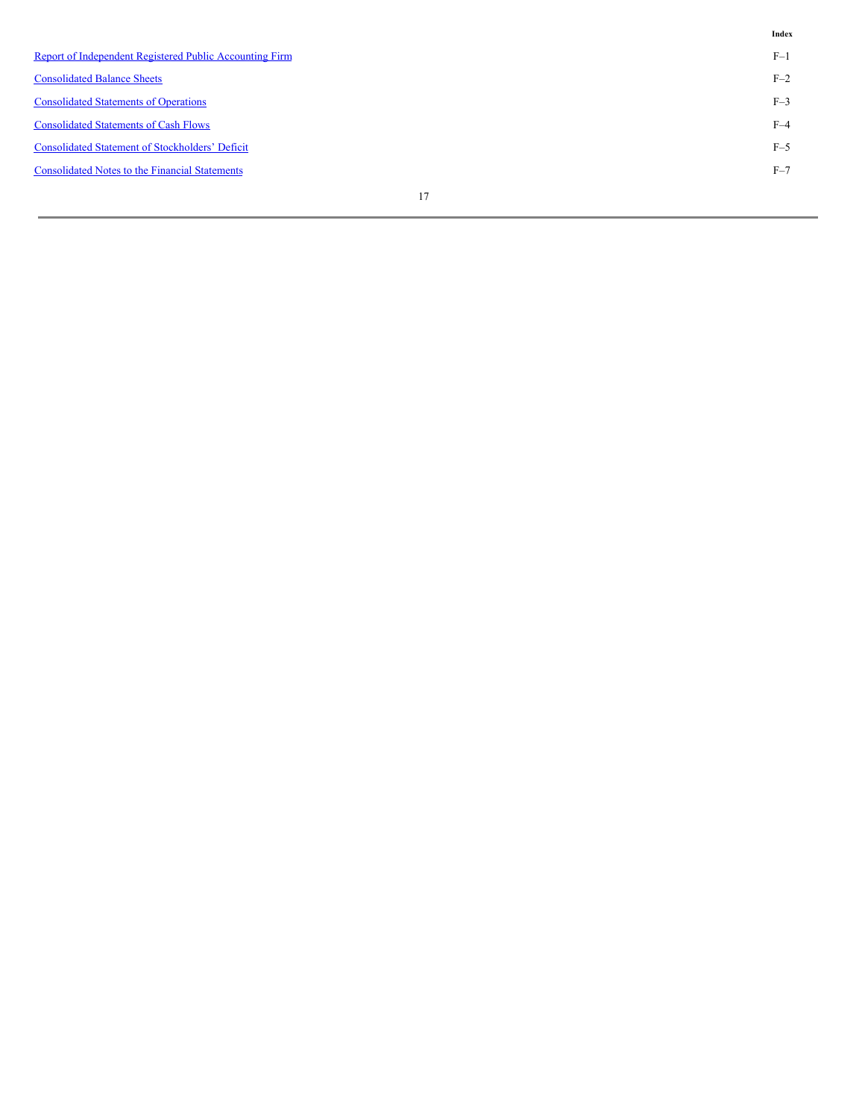| Report of Independent Registered Public Accounting Firm | $F-1$ |
|---------------------------------------------------------|-------|
| <b>Consolidated Balance Sheets</b>                      | $F-2$ |
| <b>Consolidated Statements of Operations</b>            | $F-3$ |
| <b>Consolidated Statements of Cash Flows</b>            | $F-4$ |
| <b>Consolidated Statement of Stockholders' Deficit</b>  | $F-5$ |
| <b>Consolidated Notes to the Financial Statements</b>   | $F-7$ |
|                                                         |       |

**I n d e x**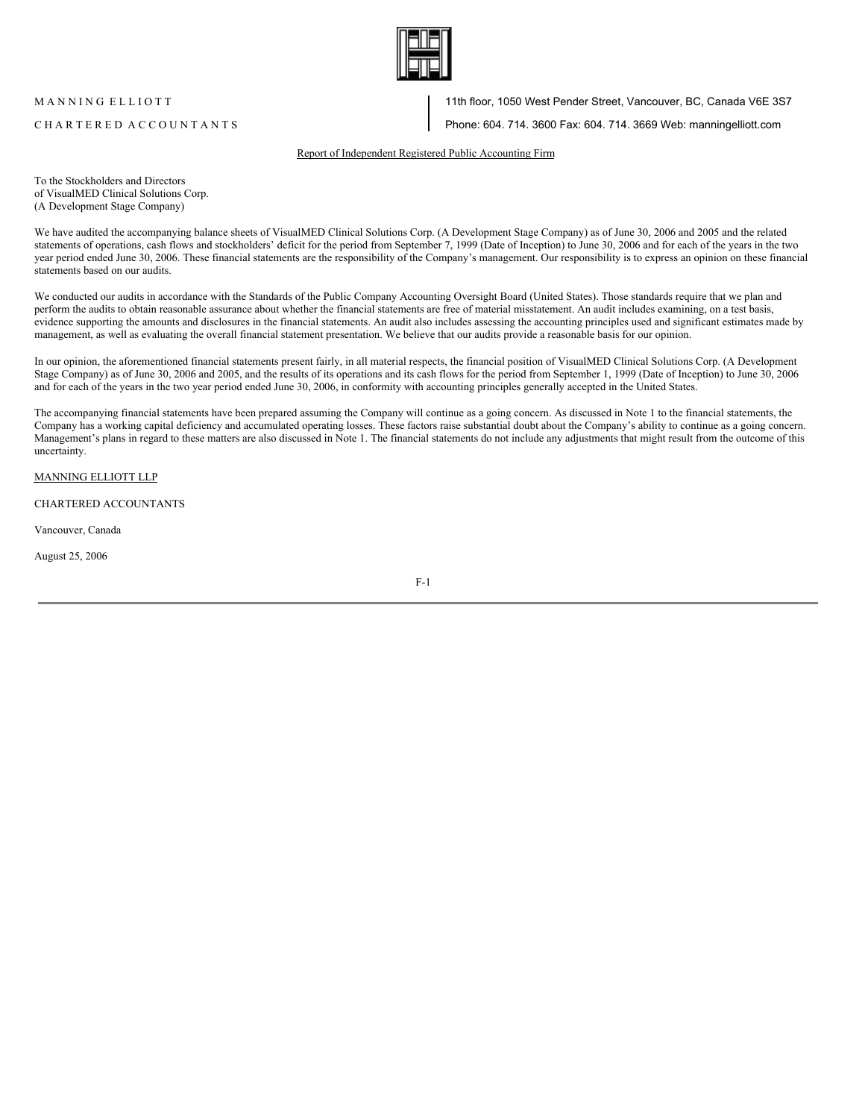M A N N I N G E L L I O T T **11th floor, 1050** West Pender Street, Vancouver, BC, Canada V6E 3S7

C H A R T E R E D A C C O U N T A N T S Phone: 604. 714. 3600 Fax: 604. 714. 3669 Web: manningelliott.com

## <span id="page-20-0"></span>Report of Independent Registered Public Accounting Firm

To the Stockholders and Directors of VisualMED Clinical Solutions Corp. (A Development Stage Company)

We have audited the accompanying balance sheets of VisualMED Clinical Solutions Corp. (A Development Stage Company) as of June 30, 2006 and 2005 and the related statements of operations, cash flows and stockholders' deficit for the period from September 7, 1999 (Date of Inception) to June 30, 2006 and for each of the years in the two year period ended June 30, 2006. These financial statements are the responsibility of the Company's management. Our responsibility is to express an opinion on these financial statements based on our audits.

We conducted our audits in accordance with the Standards of the Public Company Accounting Oversight Board (United States). Those standards require that we plan and perform the audits to obtain reasonable assurance about whether the financial statements are free of material misstatement. An audit includes examining, on a test basis, evidence supporting the amounts and disclosures in the financial statements. An audit also includes assessing the accounting principles used and significant estimates made by management, as well as evaluating the overall financial statement presentation. We believe that our audits provide a reasonable basis for our opinion.

In our opinion, the aforementioned financial statements present fairly, in all material respects, the financial position of VisualMED Clinical Solutions Corp. (A Development Stage Company) as of June 30, 2006 and 2005, and the results of its operations and its cash flows for the period from September 1, 1999 (Date of Inception) to June 30, 2006 and for each of the years in the two year period ended June 30, 2006, in conformity with accounting principles generally accepted in the United States.

The accompanying financial statements have been prepared assuming the Company will continue as a going concern. As discussed in Note 1 to the financial statements, the Company has a working capital deficiency and accumulated operating losses. These factors raise substantial doubt about the Company's ability to continue as a going concern. Management's plans in regard to these matters are also discussed in Note 1. The financial statements do not include any adjustments that might result from the outcome of this uncertainty.

## MANNING ELLIOTT LLP

## CHARTERED ACCOUNTANTS

Vancouver, Canada

August 25, 2006

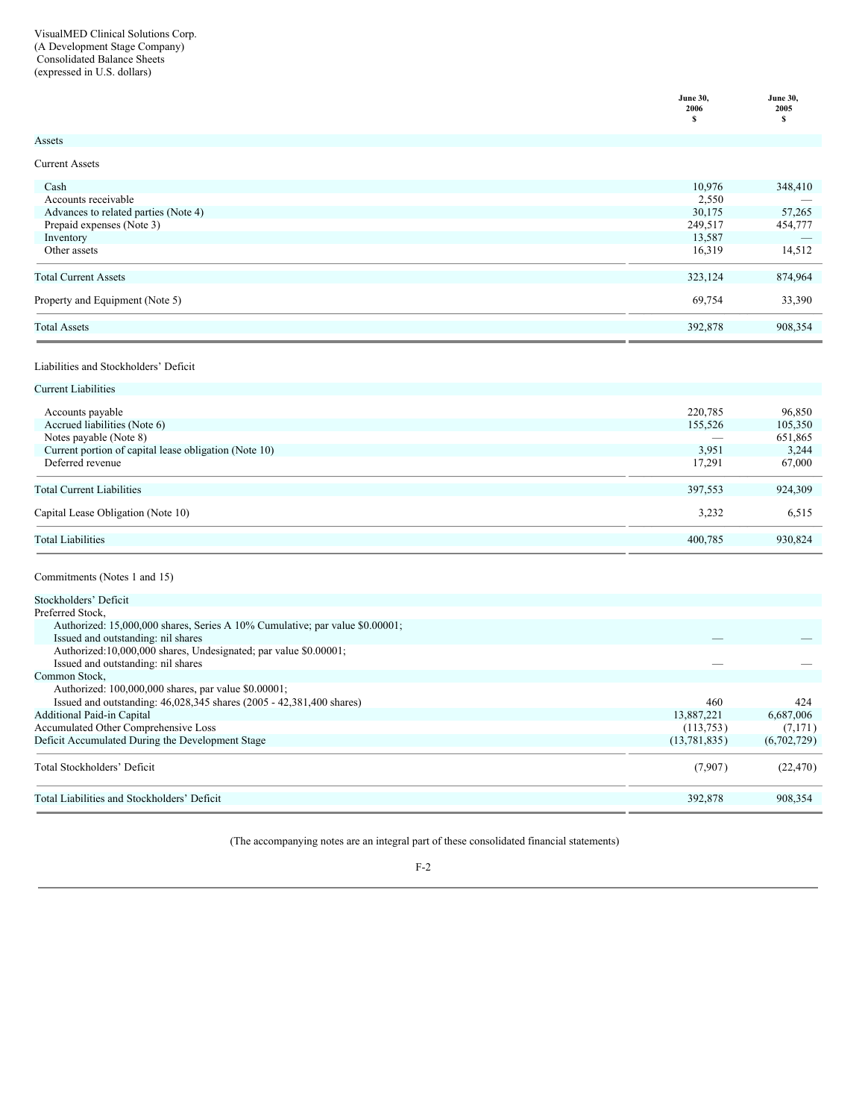<span id="page-21-0"></span>

|                                                                                                                    | June 30,<br>2006<br>s | <b>June 30,</b><br>2005<br>s |
|--------------------------------------------------------------------------------------------------------------------|-----------------------|------------------------------|
| Assets                                                                                                             |                       |                              |
| <b>Current Assets</b>                                                                                              |                       |                              |
| Cash                                                                                                               | 10,976                | 348,410                      |
| Accounts receivable                                                                                                | 2,550                 |                              |
| Advances to related parties (Note 4)                                                                               | 30,175                | 57,265                       |
| Prepaid expenses (Note 3)<br>Inventory                                                                             | 249,517<br>13,587     | 454,777                      |
| Other assets                                                                                                       | 16,319                | 14,512                       |
| <b>Total Current Assets</b>                                                                                        | 323,124               | 874,964                      |
| Property and Equipment (Note 5)                                                                                    | 69,754                | 33,390                       |
| <b>Total Assets</b>                                                                                                | 392,878               | 908,354                      |
| Liabilities and Stockholders' Deficit                                                                              |                       |                              |
| <b>Current Liabilities</b>                                                                                         |                       |                              |
| Accounts payable                                                                                                   | 220,785               | 96,850                       |
| Accrued liabilities (Note 6)                                                                                       | 155,526               | 105,350                      |
| Notes payable (Note 8)                                                                                             |                       | 651,865                      |
| Current portion of capital lease obligation (Note 10)                                                              | 3,951                 | 3,244                        |
| Deferred revenue                                                                                                   | 17,291                | 67,000                       |
| <b>Total Current Liabilities</b>                                                                                   | 397,553               | 924,309                      |
| Capital Lease Obligation (Note 10)                                                                                 | 3,232                 | 6,515                        |
| <b>Total Liabilities</b>                                                                                           | 400,785               | 930,824                      |
| Commitments (Notes 1 and 15)                                                                                       |                       |                              |
| Stockholders' Deficit                                                                                              |                       |                              |
| Preferred Stock.                                                                                                   |                       |                              |
| Authorized: 15,000,000 shares, Series A 10% Cumulative; par value \$0.00001;<br>Issued and outstanding: nil shares |                       |                              |
| Authorized:10,000,000 shares, Undesignated; par value \$0.00001;                                                   |                       |                              |
| Issued and outstanding: nil shares                                                                                 |                       |                              |
| Common Stock,                                                                                                      |                       |                              |
| Authorized: 100,000,000 shares, par value \$0.00001;                                                               |                       |                              |
| Issued and outstanding: 46,028,345 shares (2005 - 42,381,400 shares)<br>Additional Paid-in Capital                 | 460<br>13,887,221     | 424<br>6,687,006             |
| Accumulated Other Comprehensive Loss                                                                               | (113,753)             | (7,171)                      |
| Deficit Accumulated During the Development Stage                                                                   | (13, 781, 835)        | (6,702,729)                  |
| Total Stockholders' Deficit                                                                                        | (7,907)               | (22, 470)                    |
| Total Liabilities and Stockholders' Deficit                                                                        | 392,878               | 908,354                      |

(The accompanying notes are an integral part of these consolidated financial statements)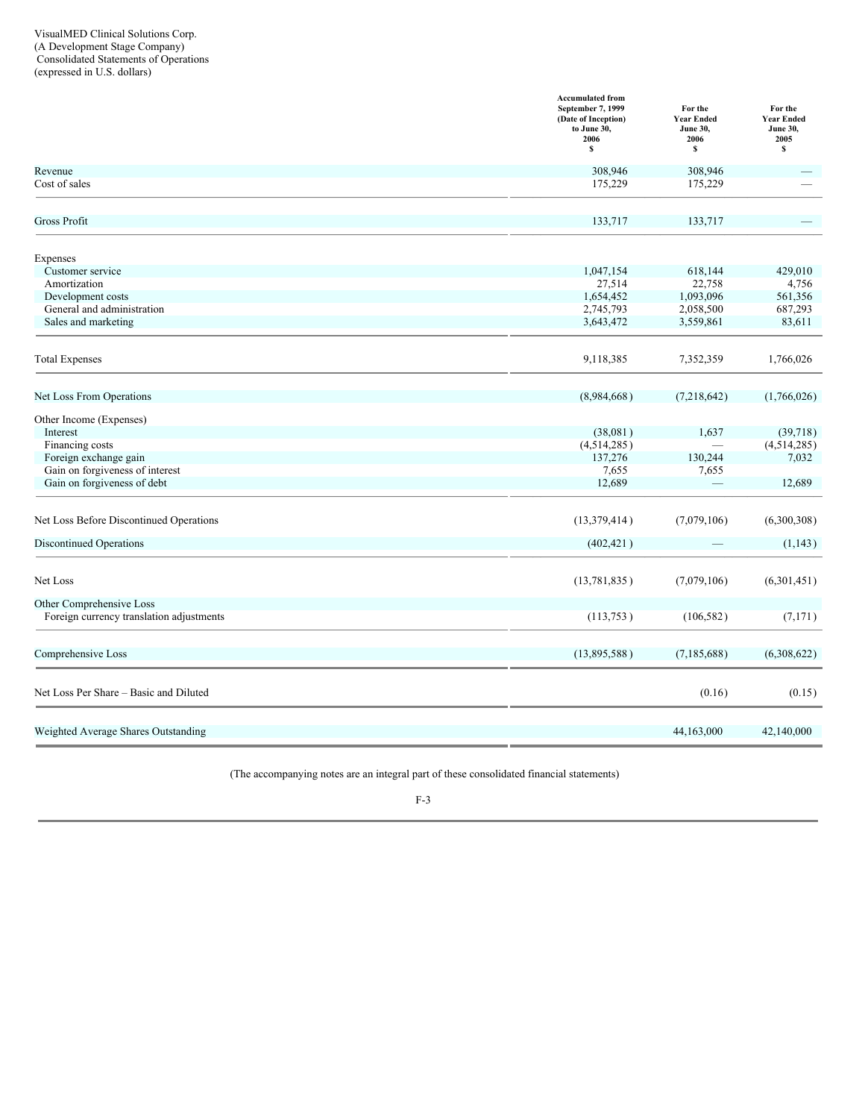<span id="page-22-0"></span>

|                                                                      | <b>Accumulated from</b><br>September 7, 1999<br>(Date of Inception)<br>to June 30,<br>2006<br>s | For the<br><b>Year Ended</b><br><b>June 30,</b><br>2006<br>s | For the<br><b>Year Ended</b><br><b>June 30,</b><br>2005<br>s |
|----------------------------------------------------------------------|-------------------------------------------------------------------------------------------------|--------------------------------------------------------------|--------------------------------------------------------------|
| Revenue                                                              | 308,946                                                                                         | 308,946                                                      |                                                              |
| Cost of sales                                                        | 175,229                                                                                         | 175,229                                                      |                                                              |
| <b>Gross Profit</b>                                                  | 133,717                                                                                         | 133,717                                                      |                                                              |
| Expenses                                                             |                                                                                                 |                                                              |                                                              |
| Customer service                                                     | 1,047,154                                                                                       | 618,144                                                      | 429,010                                                      |
| Amortization                                                         | 27,514                                                                                          | 22,758                                                       | 4,756                                                        |
| Development costs                                                    | 1,654,452                                                                                       | 1,093,096                                                    | 561,356                                                      |
| General and administration<br>Sales and marketing                    | 2,745,793<br>3,643,472                                                                          | 2,058,500<br>3,559,861                                       | 687,293<br>83,611                                            |
| <b>Total Expenses</b>                                                | 9,118,385                                                                                       | 7,352,359                                                    | 1,766,026                                                    |
| Net Loss From Operations                                             | (8,984,668)                                                                                     | (7,218,642)                                                  | (1,766,026)                                                  |
| Other Income (Expenses)                                              |                                                                                                 |                                                              |                                                              |
| Interest                                                             | (38,081)                                                                                        | 1,637                                                        | (39,718)                                                     |
| Financing costs                                                      | (4,514,285)                                                                                     |                                                              | (4,514,285)                                                  |
| Foreign exchange gain                                                | 137,276                                                                                         | 130,244                                                      | 7,032                                                        |
| Gain on forgiveness of interest                                      | 7,655                                                                                           | 7,655                                                        |                                                              |
| Gain on forgiveness of debt                                          | 12,689                                                                                          |                                                              | 12,689                                                       |
| Net Loss Before Discontinued Operations                              | (13,379,414)                                                                                    | (7,079,106)                                                  | (6,300,308)                                                  |
| <b>Discontinued Operations</b>                                       | (402, 421)                                                                                      |                                                              | (1, 143)                                                     |
| Net Loss                                                             | (13, 781, 835)                                                                                  | (7,079,106)                                                  | (6,301,451)                                                  |
| Other Comprehensive Loss<br>Foreign currency translation adjustments | (113,753)                                                                                       | (106, 582)                                                   | (7,171)                                                      |
| Comprehensive Loss                                                   | (13,895,588)                                                                                    | (7, 185, 688)                                                | (6,308,622)                                                  |
| Net Loss Per Share – Basic and Diluted                               |                                                                                                 | (0.16)                                                       | (0.15)                                                       |
| Weighted Average Shares Outstanding                                  |                                                                                                 | 44,163,000                                                   | 42,140,000                                                   |

(The accompanying notes are an integral part of these consolidated financial statements)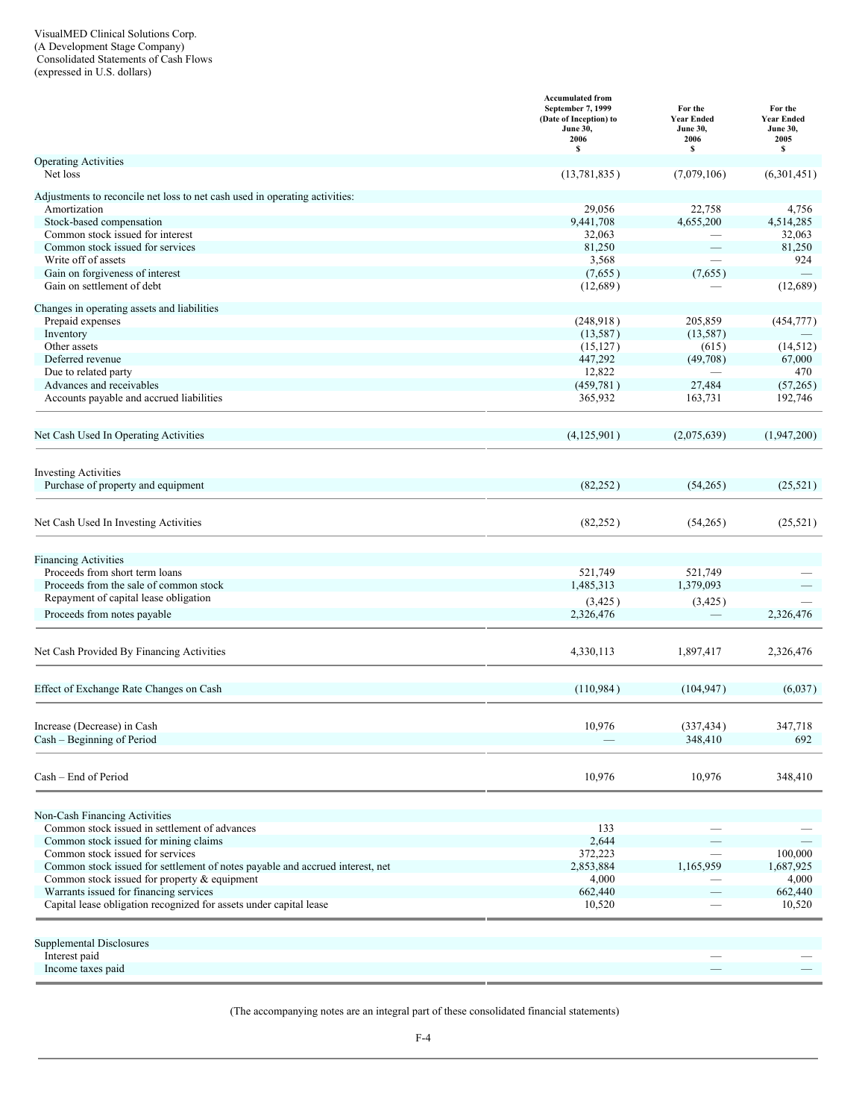<span id="page-23-0"></span>

|                                                                                | <b>Accumulated from</b><br>September 7, 1999<br>(Date of Inception) to<br><b>June 30,</b><br>2006<br>s | For the<br><b>Year Ended</b><br><b>June 30,</b><br>2006<br>s | For the<br><b>Year Ended</b><br><b>June 30,</b><br>2005<br>s |
|--------------------------------------------------------------------------------|--------------------------------------------------------------------------------------------------------|--------------------------------------------------------------|--------------------------------------------------------------|
| <b>Operating Activities</b>                                                    |                                                                                                        |                                                              |                                                              |
| Net loss                                                                       | (13, 781, 835)                                                                                         | (7,079,106)                                                  | (6,301,451)                                                  |
| Adjustments to reconcile net loss to net cash used in operating activities:    |                                                                                                        |                                                              |                                                              |
| Amortization                                                                   | 29,056                                                                                                 | 22,758                                                       | 4,756                                                        |
| Stock-based compensation                                                       | 9,441,708                                                                                              | 4,655,200                                                    | 4,514,285                                                    |
| Common stock issued for interest                                               | 32,063                                                                                                 |                                                              | 32,063                                                       |
| Common stock issued for services                                               | 81,250                                                                                                 |                                                              | 81,250                                                       |
| Write off of assets                                                            | 3,568                                                                                                  |                                                              | 924                                                          |
| Gain on forgiveness of interest                                                | (7,655)                                                                                                | (7,655)                                                      |                                                              |
| Gain on settlement of debt                                                     | (12,689)                                                                                               |                                                              | (12,689)                                                     |
| Changes in operating assets and liabilities                                    |                                                                                                        |                                                              |                                                              |
| Prepaid expenses                                                               | (248,918)                                                                                              | 205,859                                                      | (454, 777)                                                   |
| Inventory                                                                      | (13, 587)                                                                                              | (13, 587)                                                    |                                                              |
| Other assets                                                                   | (15, 127)                                                                                              | (615)                                                        | (14, 512)                                                    |
| Deferred revenue                                                               | 447,292                                                                                                | (49,708)                                                     | 67,000                                                       |
| Due to related party                                                           | 12,822                                                                                                 |                                                              | 470                                                          |
| Advances and receivables                                                       | (459,781)                                                                                              | 27,484                                                       | (57,265)                                                     |
| Accounts payable and accrued liabilities                                       | 365,932                                                                                                | 163,731                                                      | 192,746                                                      |
|                                                                                |                                                                                                        |                                                              |                                                              |
| Net Cash Used In Operating Activities                                          | (4,125,901)                                                                                            | (2,075,639)                                                  | (1,947,200)                                                  |
| <b>Investing Activities</b><br>Purchase of property and equipment              | (82, 252)                                                                                              | (54,265)                                                     | (25, 521)                                                    |
| Net Cash Used In Investing Activities                                          | (82, 252)                                                                                              | (54,265)                                                     | (25, 521)                                                    |
| <b>Financing Activities</b>                                                    |                                                                                                        |                                                              |                                                              |
| Proceeds from short term loans                                                 | 521,749                                                                                                | 521,749                                                      |                                                              |
| Proceeds from the sale of common stock                                         | 1,485,313                                                                                              | 1,379,093                                                    |                                                              |
| Repayment of capital lease obligation                                          | (3,425)                                                                                                | (3, 425)                                                     |                                                              |
| Proceeds from notes payable                                                    | 2,326,476                                                                                              |                                                              | 2,326,476                                                    |
|                                                                                |                                                                                                        |                                                              |                                                              |
| Net Cash Provided By Financing Activities                                      | 4,330,113                                                                                              | 1,897,417                                                    | 2,326,476                                                    |
| Effect of Exchange Rate Changes on Cash                                        | (110,984)                                                                                              | (104, 947)                                                   | (6,037)                                                      |
|                                                                                |                                                                                                        |                                                              |                                                              |
| Increase (Decrease) in Cash                                                    | 10,976                                                                                                 | (337, 434)                                                   | 347,718                                                      |
| $Cash - Beginning of Period$                                                   |                                                                                                        | 348,410                                                      | 692                                                          |
| Cash - End of Period                                                           | 10,976                                                                                                 | 10,976                                                       | 348,410                                                      |
|                                                                                |                                                                                                        |                                                              |                                                              |
| Non-Cash Financing Activities<br>Common stock issued in settlement of advances |                                                                                                        |                                                              |                                                              |
|                                                                                | 133                                                                                                    |                                                              |                                                              |
| Common stock issued for mining claims<br>Common stock issued for services      | 2,644<br>372,223                                                                                       |                                                              | 100,000                                                      |
| Common stock issued for settlement of notes payable and accrued interest, net  | 2,853,884                                                                                              | 1,165,959                                                    | 1,687,925                                                    |
| Common stock issued for property & equipment                                   | 4,000                                                                                                  |                                                              | 4,000                                                        |
| Warrants issued for financing services                                         | 662,440                                                                                                |                                                              | 662,440                                                      |
| Capital lease obligation recognized for assets under capital lease             | 10,520                                                                                                 |                                                              | 10,520                                                       |
|                                                                                |                                                                                                        |                                                              |                                                              |
| Supplemental Disclosures                                                       |                                                                                                        |                                                              |                                                              |
| Interest paid                                                                  |                                                                                                        |                                                              |                                                              |
| Income taxes paid                                                              |                                                                                                        | $\equiv$                                                     | $\overline{\phantom{0}}$                                     |

(The accompanying notes are an integral part of these consolidated financial statements)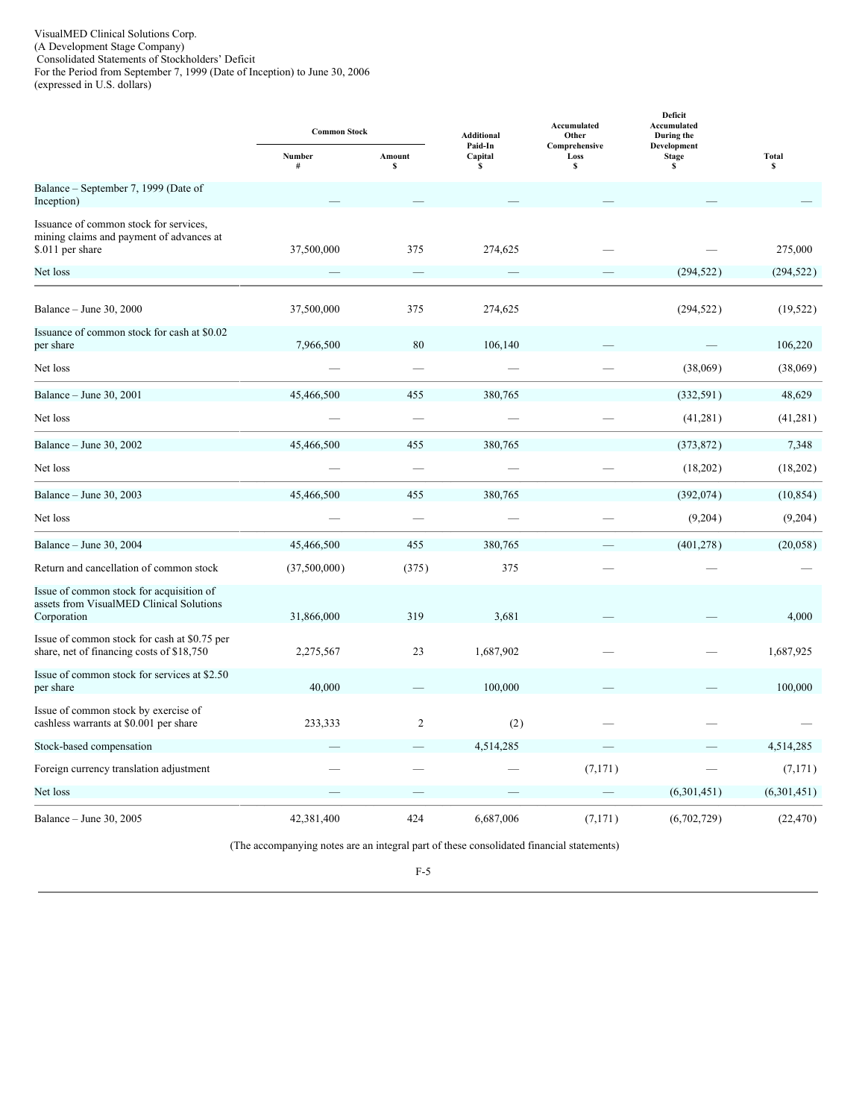## VisualMED Clinical Solutions Corp.

(A Development Stage Company)

<span id="page-24-0"></span>Consolidated Statements of Stockholders' Deficit For the Period from September 7, 1999 (Date of Inception) to June 30, 2006

(expressed in U.S. dollars)

|                                                                                                        | <b>Common Stock</b> |                          | <b>Additional</b>       | Accumulated<br>Other       | Deficit<br>Accumulated<br>During the |                    |
|--------------------------------------------------------------------------------------------------------|---------------------|--------------------------|-------------------------|----------------------------|--------------------------------------|--------------------|
|                                                                                                        | Number<br>#         | Amount<br>S              | Paid-In<br>Capital<br>S | Comprehensive<br>Loss<br>S | Development<br><b>Stage</b><br>S     | <b>Total</b><br>\$ |
| Balance – September 7, 1999 (Date of<br>Inception)                                                     |                     |                          |                         |                            |                                      |                    |
| Issuance of common stock for services,<br>mining claims and payment of advances at<br>\$.011 per share | 37,500,000          | 375                      | 274,625                 |                            |                                      | 275,000            |
| Net loss                                                                                               |                     | $\overline{\phantom{0}}$ |                         |                            | (294, 522)                           | (294, 522)         |
| Balance - June 30, 2000                                                                                | 37,500,000          | 375                      | 274,625                 |                            | (294, 522)                           | (19, 522)          |
| Issuance of common stock for cash at \$0.02<br>per share                                               | 7,966,500           | 80                       | 106,140                 |                            |                                      | 106,220            |
| Net loss                                                                                               |                     |                          |                         |                            | (38,069)                             | (38,069)           |
| Balance - June 30, 2001                                                                                | 45,466,500          | 455                      | 380,765                 |                            | (332, 591)                           | 48,629             |
| Net loss                                                                                               |                     |                          |                         |                            | (41,281)                             | (41,281)           |
| Balance – June 30, 2002                                                                                | 45,466,500          | 455                      | 380,765                 |                            | (373, 872)                           | 7,348              |
| Net loss                                                                                               |                     |                          |                         |                            | (18,202)                             | (18,202)           |
| Balance - June 30, 2003                                                                                | 45,466,500          | 455                      | 380,765                 |                            | (392,074)                            | (10, 854)          |
| Net loss                                                                                               |                     | $\overline{\phantom{0}}$ |                         |                            | (9,204)                              | (9,204)            |
| Balance - June 30, 2004                                                                                | 45,466,500          | 455                      | 380,765                 |                            | (401, 278)                           | (20, 058)          |
| Return and cancellation of common stock                                                                | (37,500,000)        | (375)                    | 375                     |                            |                                      |                    |
| Issue of common stock for acquisition of<br>assets from VisualMED Clinical Solutions<br>Corporation    | 31,866,000          | 319                      | 3,681                   |                            |                                      | 4,000              |
| Issue of common stock for cash at \$0.75 per<br>share, net of financing costs of \$18,750              | 2,275,567           | 23                       | 1,687,902               |                            |                                      | 1,687,925          |
| Issue of common stock for services at \$2.50<br>per share                                              | 40,000              |                          | 100,000                 |                            |                                      | 100,000            |
| Issue of common stock by exercise of<br>cashless warrants at \$0.001 per share                         | 233,333             | $\overline{c}$           | (2)                     |                            |                                      |                    |
| Stock-based compensation                                                                               |                     |                          | 4,514,285               |                            |                                      | 4,514,285          |
| Foreign currency translation adjustment                                                                |                     |                          |                         | (7,171)                    |                                      | (7,171)            |
| Net loss                                                                                               |                     |                          |                         |                            | (6,301,451)                          | (6,301,451)        |
| Balance - June 30, 2005                                                                                | 42,381,400          | 424                      | 6,687,006               | (7,171)                    | (6,702,729)                          | (22, 470)          |

(The accompanying notes are an integral part of these consolidated financial statements)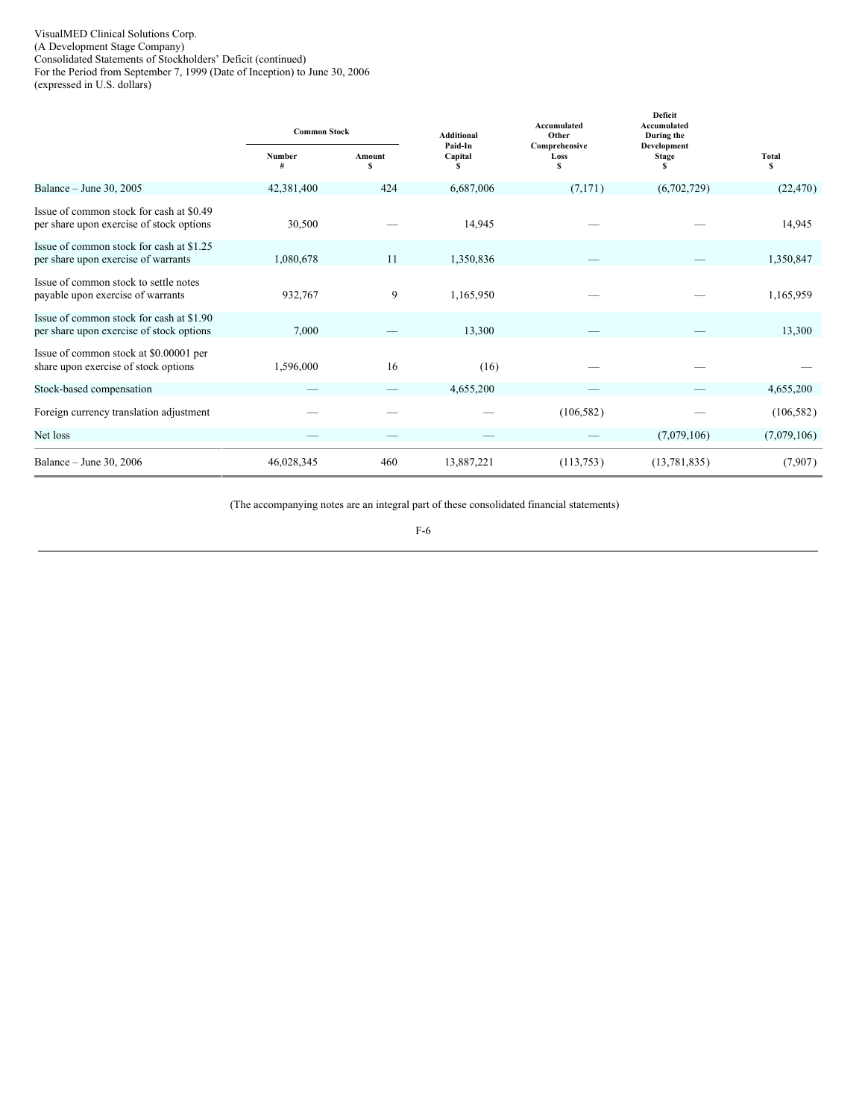## VisualMED Clinical Solutions Corp. (A Development Stage Company) Consolidated Statements of Stockholders' Deficit (continued) For the Period from September 7, 1999 (Date of Inception) to June 30, 2006 (expressed in U.S. dollars)

|                                                                                      | <b>Common Stock</b> |        | Additional              | Accumulated<br>Other       | Deficit<br>Accumulated<br>During the |             |
|--------------------------------------------------------------------------------------|---------------------|--------|-------------------------|----------------------------|--------------------------------------|-------------|
|                                                                                      | Number<br>#         | Amount | Paid-In<br>Capital<br>s | Comprehensive<br>Loss<br>s | Development<br><b>Stage</b>          | Total<br>s  |
| Balance – June 30, 2005                                                              | 42,381,400          | 424    | 6,687,006               | (7,171)                    | (6,702,729)                          | (22, 470)   |
| Issue of common stock for cash at \$0.49<br>per share upon exercise of stock options | 30,500              |        | 14,945                  |                            |                                      | 14,945      |
| Issue of common stock for cash at \$1.25<br>per share upon exercise of warrants      | 1,080,678           | 11     | 1,350,836               |                            |                                      | 1,350,847   |
| Issue of common stock to settle notes<br>payable upon exercise of warrants           | 932,767             | 9      | 1,165,950               |                            |                                      | 1,165,959   |
| Issue of common stock for cash at \$1.90<br>per share upon exercise of stock options | 7,000               |        | 13,300                  |                            |                                      | 13,300      |
| Issue of common stock at \$0.00001 per<br>share upon exercise of stock options       | 1,596,000           | 16     | (16)                    |                            |                                      |             |
| Stock-based compensation                                                             |                     |        | 4,655,200               |                            |                                      | 4,655,200   |
| Foreign currency translation adjustment                                              |                     |        |                         | (106, 582)                 |                                      | (106, 582)  |
| Net loss                                                                             |                     |        |                         |                            | (7,079,106)                          | (7,079,106) |
| Balance – June 30, 2006                                                              | 46,028,345          | 460    | 13,887,221              | (113, 753)                 | (13, 781, 835)                       | (7,907)     |

(The accompanying notes are an integral part of these consolidated financial statements)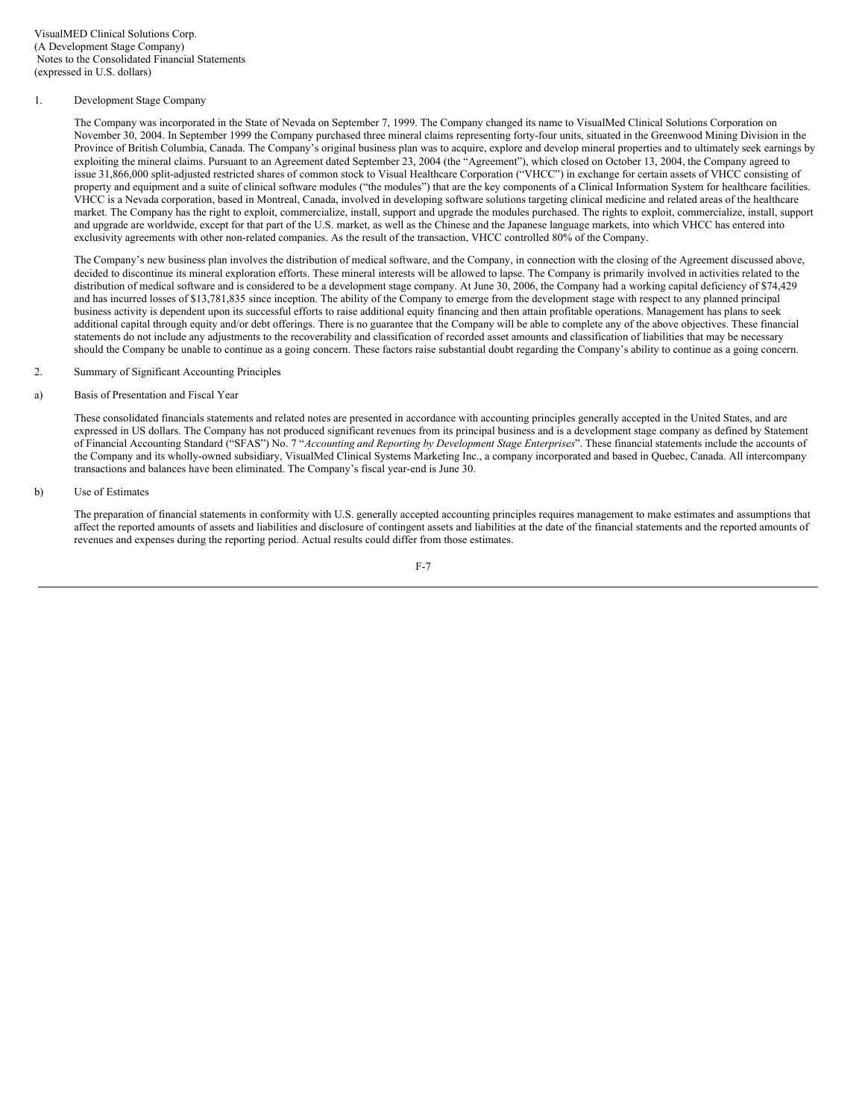## <span id="page-26-0"></span>1. Development Stage Company

The Company was incorporated in the State of Nevada on September 7, 1999. The Company changed its name to VisualMed Clinical Solutions Corporation on November 30, 2004. In September 1999 the Company purchased three mineral claims representing forty-four units, situated in the Greenwood Mining Division in the Province of British Columbia, Canada. The Company's original business plan was to acquire, explore and develop mineral properties and to ultimately seek earnings by exploiting the mineral claims. Pursuant to an Agreement dated September 23, 2004 (the "Agreement"), which closed on October 13, 2004, the Company agreed to issue 31,866,000 split-adjusted restricted shares of common stock to Visual Healthcare Corporation ("VHCC") in exchange for certain assets of VHCC consisting of property and equipment and a suite of clinical software modules ("the modules") that are the key components of a Clinical Information System for healthcare facilities. VHCC is a Nevada corporation, based in Montreal, Canada, involved in developing software solutions targeting clinical medicine and related areas of the healthcare market. The Company has the right to exploit, commercialize, install, support and upgrade the modules purchased. The rights to exploit, commercialize, install, support and upgrade are worldwide, except for that part of the U.S. market, as well as the Chinese and the Japanese language markets, into which VHCC has entered into exclusivity agreements with other non-related companies. As the result of the transaction, VHCC controlled 80% of the Company.

The Company's new business plan involves the distribution of medical software, and the Company, in connection with the closing of the Agreement discussed above, decided to discontinue its mineral exploration efforts. These mineral interests will be allowed to lapse. The Company is primarily involved in activities related to the distribution of medical software and is considered to be a development stage company. At June 30, 2006, the Company had a working capital deficiency of \$74,429 and has incurred losses of \$13,781,835 since inception. The ability of the Company to emerge from the development stage with respect to any planned principal business activity is dependent upon its successful efforts to raise additional equity financing and then attain profitable operations. Management has plans to seek additional capital through equity and/or debt offerings. There is no guarantee that the Company will be able to complete any of the above objectives. These financial statements do not include any adjustments to the recoverability and classification of recorded asset amounts and classification of liabilities that may be necessary should the Company be unable to continue as a going concern. These factors raise substantial doubt regarding the Company's ability to continue as a going concern.

## 2. Summary of Significant Accounting Principles

## a) Basis of Presentation and Fiscal Year

These consolidated financials statements and related notes are presented in accordance with accounting principles generally accepted in the United States, and are expressed in US dollars. The Company has not produced significant revenues from its principal business and is a development stage company as defined by Statement of Financial Accounting Standard ("SFAS") No. 7 "*Accounting and Reporting by Development Stage Enterprises*". These financial statements include the accounts of the Company and its wholly-owned subsidiary, VisualMed Clinical Systems Marketing Inc., a company incorporated and based in Quebec, Canada. All intercompany transactions and balances have been eliminated. The Company's fiscal year-end is June 30.

#### b) Use of Estimates

The preparation of financial statements in conformity with U.S. generally accepted accounting principles requires management to make estimates and assumptions that affect the reported amounts of assets and liabilities and disclosure of contingent assets and liabilities at the date of the financial statements and the reported amounts of revenues and expenses during the reporting period. Actual results could differ from those estimates.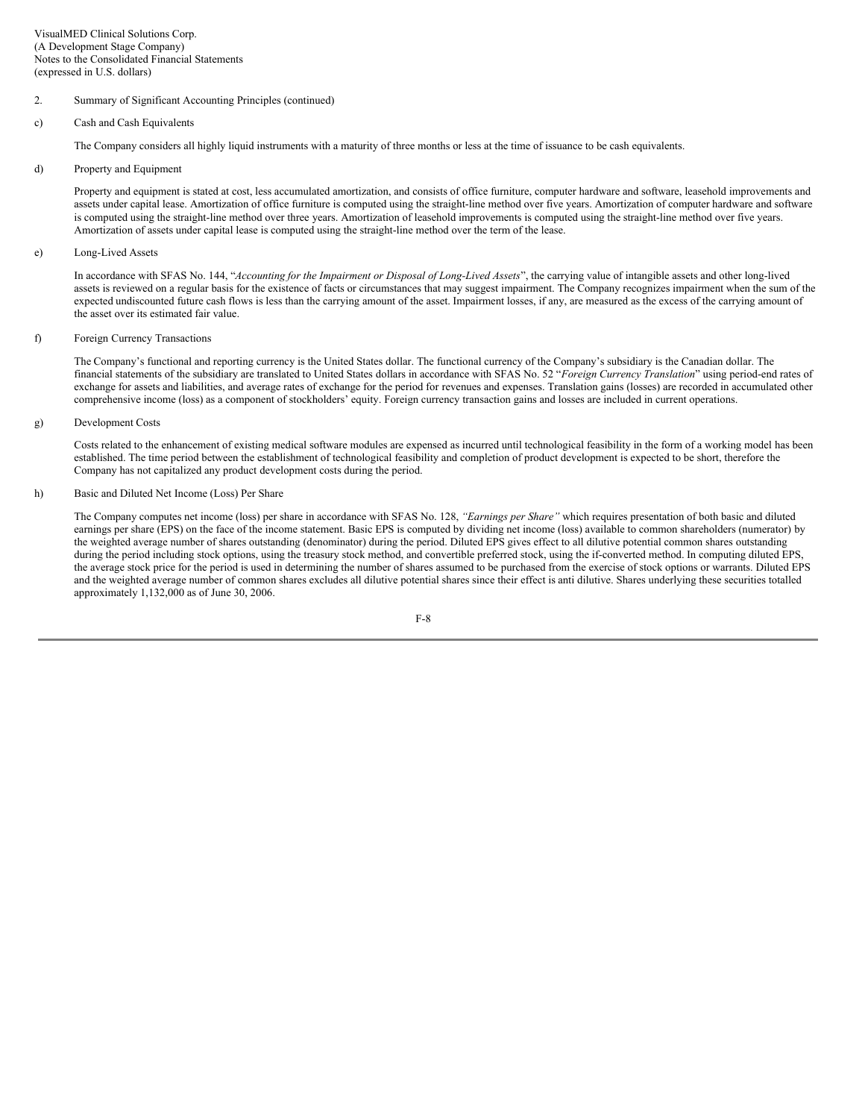## 2. Summary of Significant Accounting Principles (continued)

c) Cash and Cash Equivalents

The Company considers all highly liquid instruments with a maturity of three months or less at the time of issuance to be cash equivalents.

d) Property and Equipment

Property and equipment is stated at cost, less accumulated amortization, and consists of office furniture, computer hardware and software, leasehold improvements and assets under capital lease. Amortization of office furniture is computed using the straight-line method over five years. Amortization of computer hardware and software is computed using the straight-line method over three years. Amortization of leasehold improvements is computed using the straight-line method over five years. Amortization of assets under capital lease is computed using the straight-line method over the term of the lease.

e) Long-Lived Assets

In accordance with SFAS No. 144, "*Accounting for the Impairment or Disposal of Long-Lived Assets*", the carrying value of intangible assets and other long-lived assets is reviewed on a regular basis for the existence of facts or circumstances that may suggest impairment. The Company recognizes impairment when the sum of the expected undiscounted future cash flows is less than the carrying amount of the asset. Impairment losses, if any, are measured as the excess of the carrying amount of the asset over its estimated fair value.

#### f) Foreign Currency Transactions

The Company's functional and reporting currency is the United States dollar. The functional currency of the Company's subsidiary is the Canadian dollar. The financial statements of the subsidiary are translated to United States dollars in accordance with SFAS No. 52 "*Foreign Currency Translation*" using period-end rates of exchange for assets and liabilities, and average rates of exchange for the period for revenues and expenses. Translation gains (losses) are recorded in accumulated other comprehensive income (loss) as a component of stockholders' equity. Foreign currency transaction gains and losses are included in current operations.

g) Development Costs

Costs related to the enhancement of existing medical software modules are expensed as incurred until technological feasibility in the form of a working model has been established. The time period between the establishment of technological feasibility and completion of product development is expected to be short, therefore the Company has not capitalized any product development costs during the period.

## h) Basic and Diluted Net Income (Loss) Per Share

The Company computes net income (loss) per share in accordance with SFAS No. 128, *"Earnings per Share"* which requires presentation of both basic and diluted earnings per share (EPS) on the face of the income statement. Basic EPS is computed by dividing net income (loss) available to common shareholders (numerator) by the weighted average number of shares outstanding (denominator) during the period. Diluted EPS gives effect to all dilutive potential common shares outstanding during the period including stock options, using the treasury stock method, and convertible preferred stock, using the if-converted method. In computing diluted EPS, the average stock price for the period is used in determining the number of shares assumed to be purchased from the exercise of stock options or warrants. Diluted EPS and the weighted average number of common shares excludes all dilutive potential shares since their effect is anti dilutive. Shares underlying these securities totalled approximately 1,132,000 as of June 30, 2006.

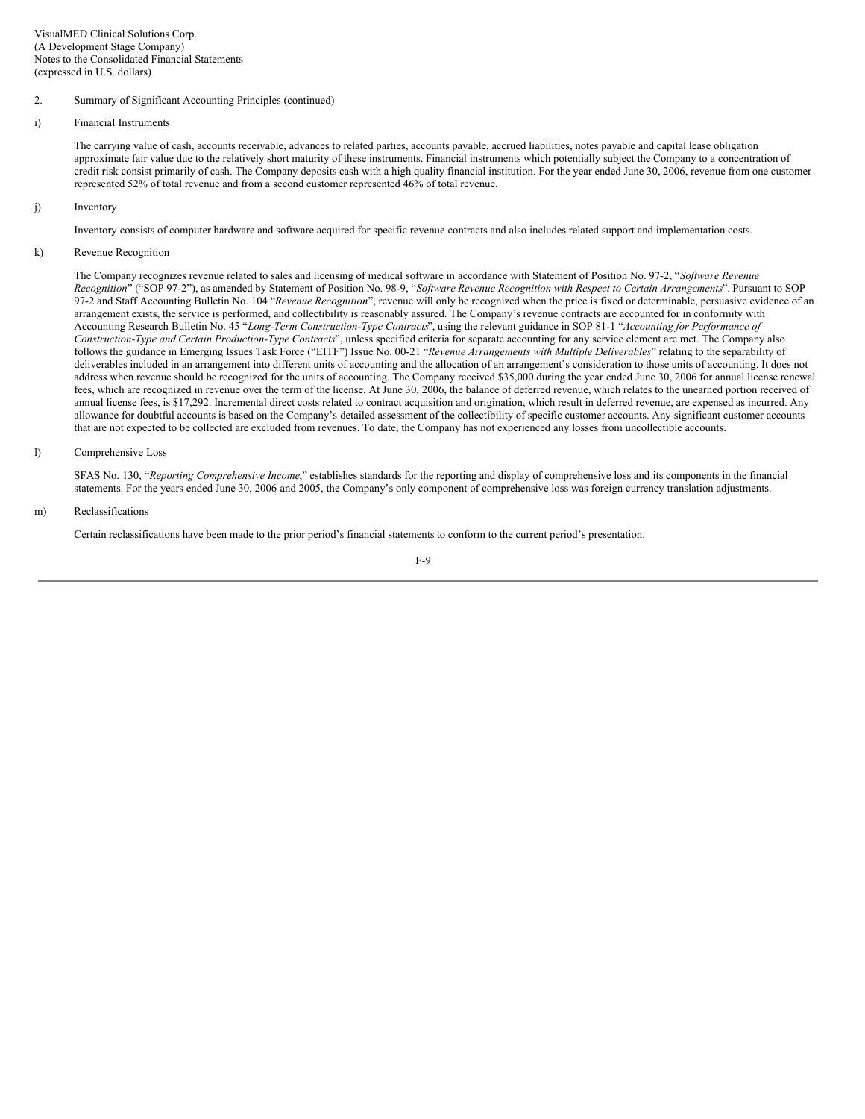## 2. Summary of Significant Accounting Principles (continued)

## i) Financial Instruments

The carrying value of cash, accounts receivable, advances to related parties, accounts payable, accrued liabilities, notes payable and capital lease obligation approximate fair value due to the relatively short maturity of these instruments. Financial instruments which potentially subject the Company to a concentration of credit risk consist primarily of cash. The Company deposits cash with a high quality financial institution. For the year ended June 30, 2006, revenue from one customer represented 52% of total revenue and from a second customer represented 46% of total revenue.

j) Inventory

Inventory consists of computer hardware and software acquired for specific revenue contracts and also includes related support and implementation costs.

k) Revenue Recognition

The Company recognizes revenue related to sales and licensing of medical software in accordance with Statement of Position No. 97-2, "*Software Revenue Recognition*" ("SOP 97-2"), as amended by Statement of Position No. 98-9, "*Software Revenue Recognition with Respect to Certain Arrangements*". Pursuant to SOP 97-2 and Staff Accounting Bulletin No. 104 "*Revenue Recognition*", revenue will only be recognized when the price is fixed or determinable, persuasive evidence of an arrangement exists, the service is performed, and collectibility is reasonably assured. The Company's revenue contracts are accounted for in conformity with Accounting Research Bulletin No. 45 "*Long-Term Construction-Type Contracts*", using the relevant guidance in SOP 81-1 "*Accounting for Performance of Construction-Type and Certain Production-Type Contracts*", unless specified criteria for separate accounting for any service element are met. The Company also follows the guidance in Emerging Issues Task Force ("EITF") Issue No. 00-21 "*Revenue Arrangements with Multiple Deliverables*" relating to the separability of deliverables included in an arrangement into different units of accounting and the allocation of an arrangement's consideration to those units of accounting. It does not address when revenue should be recognized for the units of accounting. The Company received \$35,000 during the year ended June 30, 2006 for annual license renewal fees, which are recognized in revenue over the term of the license. At June 30, 2006, the balance of deferred revenue, which relates to the unearned portion received of annual license fees, is \$17,292. Incremental direct costs related to contract acquisition and origination, which result in deferred revenue, are expensed as incurred. Any allowance for doubtful accounts is based on the Company's detailed assessment of the collectibility of specific customer accounts. Any significant customer accounts that are not expected to be collected are excluded from revenues. To date, the Company has not experienced any losses from uncollectible accounts.

l) Comprehensive Loss

SFAS No. 130, "*Reporting Comprehensive Income*," establishes standards for the reporting and display of comprehensive loss and its components in the financial statements. For the years ended June 30, 2006 and 2005, the Company's only component of comprehensive loss was foreign currency translation adjustments.

m) Reclassifications

Certain reclassifications have been made to the prior period's financial statements to conform to the current period's presentation.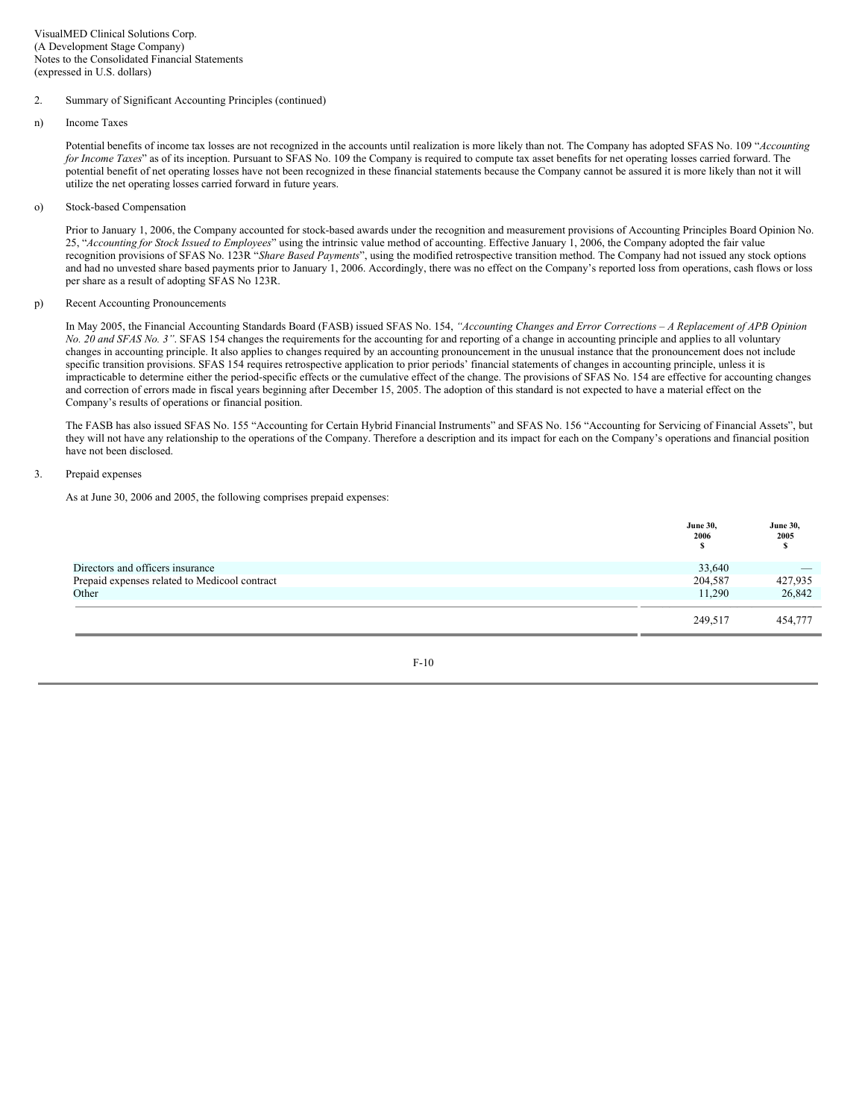## 2. Summary of Significant Accounting Principles (continued)

## n) Income Taxes

Potential benefits of income tax losses are not recognized in the accounts until realization is more likely than not. The Company has adopted SFAS No. 109 "*Accounting for Income Taxes*" as of its inception. Pursuant to SFAS No. 109 the Company is required to compute tax asset benefits for net operating losses carried forward. The potential benefit of net operating losses have not been recognized in these financial statements because the Company cannot be assured it is more likely than not it will utilize the net operating losses carried forward in future years.

## o) Stock-based Compensation

Prior to January 1, 2006, the Company accounted for stock-based awards under the recognition and measurement provisions of Accounting Principles Board Opinion No. 25, "*Accounting for Stock Issued to Employees*" using the intrinsic value method of accounting. Effective January 1, 2006, the Company adopted the fair value recognition provisions of SFAS No. 123R "*Share Based Payments*", using the modified retrospective transition method. The Company had not issued any stock options and had no unvested share based payments prior to January 1, 2006. Accordingly, there was no effect on the Company's reported loss from operations, cash flows or loss per share as a result of adopting SFAS No 123R.

## p) Recent Accounting Pronouncements

In May 2005, the Financial Accounting Standards Board (FASB) issued SFAS No. 154, "Accounting Changes and Error Corrections - A Replacement of APB Opinion *No. 20 and SFAS No. 3"*. SFAS 154 changes the requirements for the accounting for and reporting of a change in accounting principle and applies to all voluntary changes in accounting principle. It also applies to changes required by an accounting pronouncement in the unusual instance that the pronouncement does not include specific transition provisions. SFAS 154 requires retrospective application to prior periods' financial statements of changes in accounting principle, unless it is impracticable to determine either the period-specific effects or the cumulative effect of the change. The provisions of SFAS No. 154 are effective for accounting changes and correction of errors made in fiscal years beginning after December 15, 2005. The adoption of this standard is not expected to have a material effect on the Company's results of operations or financial position.

The FASB has also issued SFAS No. 155 "Accounting for Certain Hybrid Financial Instruments" and SFAS No. 156 "Accounting for Servicing of Financial Assets", but they will not have any relationship to the operations of the Company. Therefore a description and its impact for each on the Company's operations and financial position have not been disclosed.

## 3. Prepaid expenses

As at June 30, 2006 and 2005, the following comprises prepaid expenses:

|                                               | <b>June 30,</b><br>2006 | <b>June 30,</b><br>2005         |
|-----------------------------------------------|-------------------------|---------------------------------|
| Directors and officers insurance              | 33,640                  | $\hspace{0.1mm}-\hspace{0.1mm}$ |
| Prepaid expenses related to Medicool contract | 204,587                 | 427,935                         |
| Other                                         | 11.290                  | 26,842                          |
|                                               |                         |                                 |
|                                               | 249,517                 | 454,777                         |

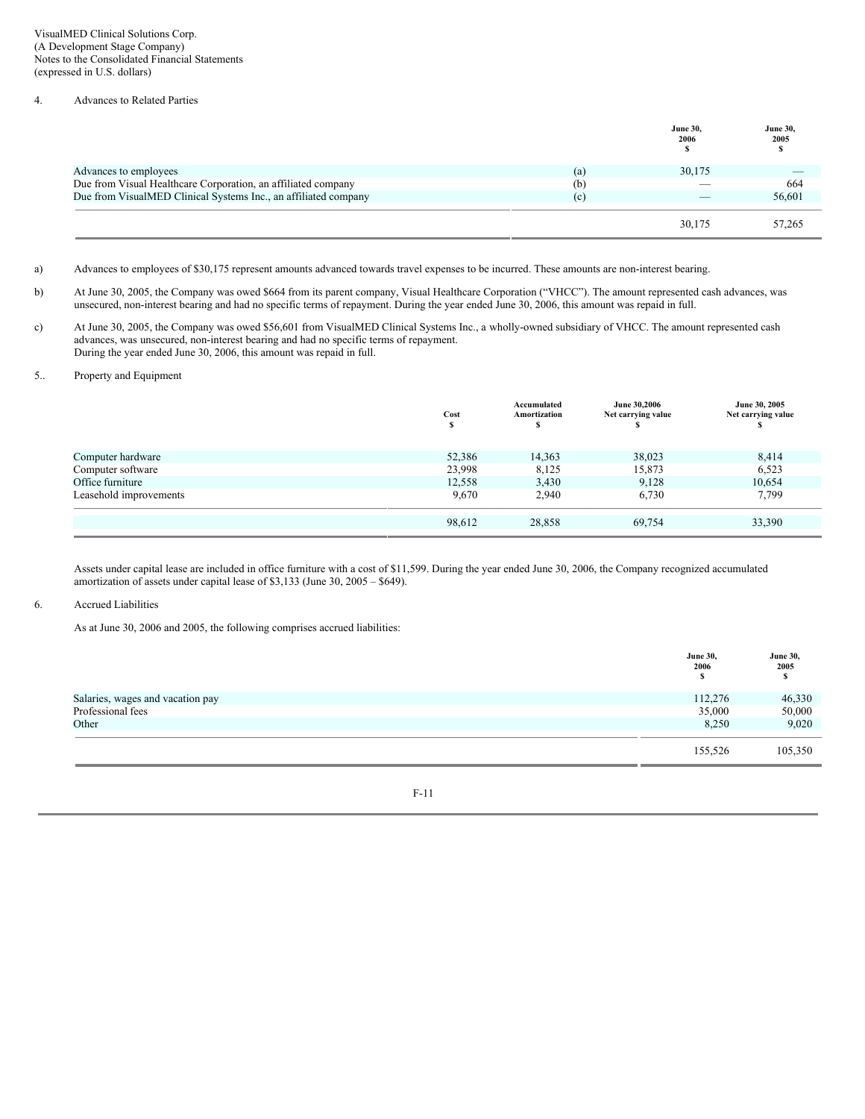## 4. Advances to Related Parties

|                                                                 |     | <b>June 30,</b><br>2006 | <b>June 30,</b><br>2005 |
|-----------------------------------------------------------------|-----|-------------------------|-------------------------|
| Advances to employees                                           | (a) | 30,175                  |                         |
| Due from Visual Healthcare Corporation, an affiliated company   | (b) |                         | 664                     |
| Due from VisualMED Clinical Systems Inc., an affiliated company | (c) |                         | 56,601                  |
|                                                                 |     |                         |                         |
|                                                                 |     | 30,175                  | 57,265                  |

- a) Advances to employees of \$30,175 represent amounts advanced towards travel expenses to be incurred. These amounts are non-interest bearing.
- b) At June 30, 2005, the Company was owed \$664 from its parent company, Visual Healthcare Corporation ("VHCC"). The amount represented cash advances, was unsecured, non-interest bearing and had no specific terms of repayment. During the year ended June 30, 2006, this amount was repaid in full.
- c) At June 30, 2005, the Company was owed \$56,601 from VisualMED Clinical Systems Inc., a wholly-owned subsidiary of VHCC. The amount represented cash advances, was unsecured, non-interest bearing and had no specific terms of repayment. During the year ended June 30, 2006, this amount was repaid in full.

## 5.. Property and Equipment

|                        | Cost<br>ъ | Accumulated<br>Amortization | <b>June 30,2006</b><br>Net carrying value | June 30, 2005<br>Net carrying value |
|------------------------|-----------|-----------------------------|-------------------------------------------|-------------------------------------|
| Computer hardware      | 52,386    | 14,363                      | 38,023                                    | 8,414                               |
| Computer software      | 23,998    | 8,125                       | 15,873                                    | 6,523                               |
| Office furniture       | 12,558    | 3,430                       | 9,128                                     | 10,654                              |
| Leasehold improvements | 9.670     | 2.940                       | 6.730                                     | 7,799                               |
|                        | 98,612    | 28,858                      | 69,754                                    | 33,390                              |

Assets under capital lease are included in office furniture with a cost of \$11,599. During the year ended June 30, 2006, the Company recognized accumulated amortization of assets under capital lease of \$3,133 (June 30, 2005 – \$649).

## 6. Accrued Liabilities

As at June 30, 2006 and 2005, the following comprises accrued liabilities:

|                                  | <b>June 30,</b><br>2006<br>- 7 | <b>June 30,</b><br>2005 |
|----------------------------------|--------------------------------|-------------------------|
| Salaries, wages and vacation pay | 112,276                        | 46,330                  |
| Professional fees                | 35,000                         | 50,000                  |
| Other                            | 8,250                          | 9,020                   |
|                                  | 155,526                        | 105,350                 |

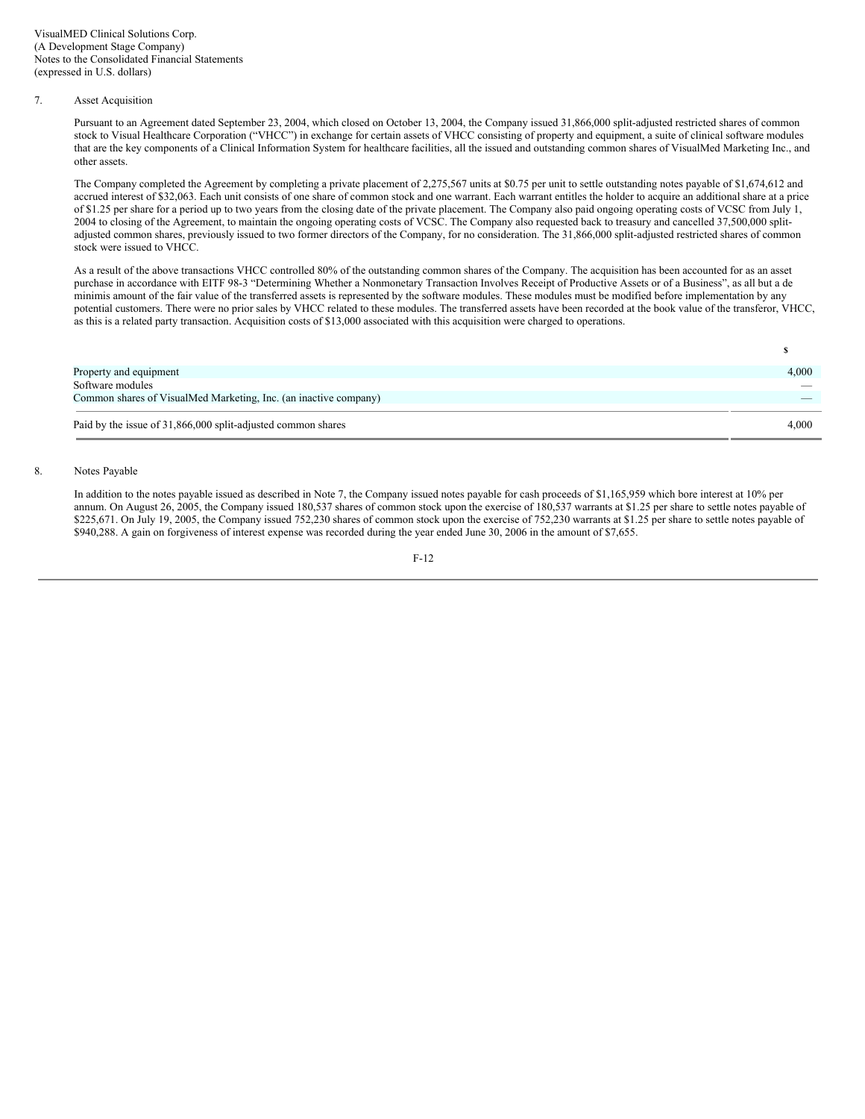## 7. Asset Acquisition

Pursuant to an Agreement dated September 23, 2004, which closed on October 13, 2004, the Company issued 31,866,000 split-adjusted restricted shares of common stock to Visual Healthcare Corporation ("VHCC") in exchange for certain assets of VHCC consisting of property and equipment, a suite of clinical software modules that are the key components of a Clinical Information System for healthcare facilities, all the issued and outstanding common shares of VisualMed Marketing Inc., and other assets.

The Company completed the Agreement by completing a private placement of 2,275,567 units at \$0.75 per unit to settle outstanding notes payable of \$1,674,612 and accrued interest of \$32,063. Each unit consists of one share of common stock and one warrant. Each warrant entitles the holder to acquire an additional share at a price of \$1.25 per share for a period up to two years from the closing date of the private placement. The Company also paid ongoing operating costs of VCSC from July 1, 2004 to closing of the Agreement, to maintain the ongoing operating costs of VCSC. The Company also requested back to treasury and cancelled 37,500,000 splitadjusted common shares, previously issued to two former directors of the Company, for no consideration. The 31,866,000 split-adjusted restricted shares of common stock were issued to VHCC.

As a result of the above transactions VHCC controlled 80% of the outstanding common shares of the Company. The acquisition has been accounted for as an asset purchase in accordance with EITF 98-3 "Determining Whether a Nonmonetary Transaction Involves Receipt of Productive Assets or of a Business", as all but a de minimis amount of the fair value of the transferred assets is represented by the software modules. These modules must be modified before implementation by any potential customers. There were no prior sales by VHCC related to these modules. The transferred assets have been recorded at the book value of the transferor, VHCC, as this is a related party transaction. Acquisition costs of \$13,000 associated with this acquisition were charged to operations.

| Property and equipment                                           | 4,000 |
|------------------------------------------------------------------|-------|
| Software modules                                                 |       |
| Common shares of VisualMed Marketing, Inc. (an inactive company) |       |
|                                                                  |       |
| Paid by the issue of 31,866,000 split-adjusted common shares     | 4.000 |

#### 8. Notes Payable

In addition to the notes payable issued as described in Note 7, the Company issued notes payable for cash proceeds of \$1,165,959 which bore interest at 10% per annum. On August 26, 2005, the Company issued 180,537 shares of common stock upon the exercise of 180,537 warrants at \$1.25 per share to settle notes payable of \$225,671. On July 19, 2005, the Company issued 752,230 shares of common stock upon the exercise of 752,230 warrants at \$1.25 per share to settle notes payable of \$940,288. A gain on forgiveness of interest expense was recorded during the year ended June 30, 2006 in the amount of \$7,655.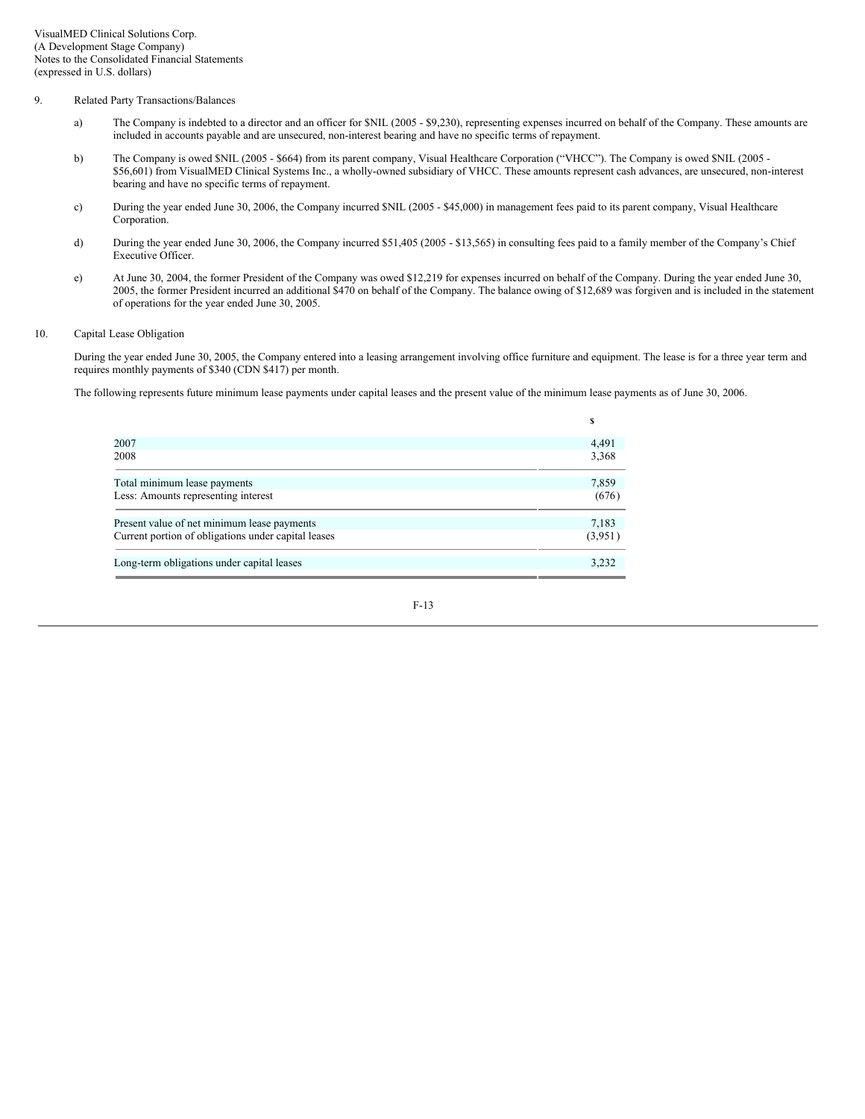## 9. Related Party Transactions/Balances

- a) The Company is indebted to a director and an officer for \$NIL (2005 \$9,230), representing expenses incurred on behalf of the Company. These amounts are included in accounts payable and are unsecured, non-interest bearing and have no specific terms of repayment.
- b) The Company is owed \$NIL (2005 \$664) from its parent company, Visual Healthcare Corporation ("VHCC"). The Company is owed \$NIL (2005 \$56,601) from VisualMED Clinical Systems Inc., a wholly-owned subsidiary of VHCC. These amounts represent cash advances, are unsecured, non-interest bearing and have no specific terms of repayment.
- c) During the year ended June 30, 2006, the Company incurred \$NIL (2005 \$45,000) in management fees paid to its parent company, Visual Healthcare Corporation.
- d) During the year ended June 30, 2006, the Company incurred \$51,405 (2005 \$13,565) in consulting fees paid to a family member of the Company's Chief Executive Officer.
- e) At June 30, 2004, the former President of the Company was owed \$12,219 for expenses incurred on behalf of the Company. During the year ended June 30, 2005, the former President incurred an additional \$470 on behalf of the Company. The balance owing of \$12,689 was forgiven and is included in the statement of operations for the year ended June 30, 2005.

## 10. Capital Lease Obligation

During the year ended June 30, 2005, the Company entered into a leasing arrangement involving office furniture and equipment. The lease is for a three year term and requires monthly payments of \$340 (CDN \$417) per month.

The following represents future minimum lease payments under capital leases and the present value of the minimum lease payments as of June 30, 2006.

| 2007                                                | 4,491   |
|-----------------------------------------------------|---------|
| 2008                                                | 3,368   |
| Total minimum lease payments                        | 7,859   |
| Less: Amounts representing interest                 | (676)   |
| Present value of net minimum lease payments         | 7,183   |
| Current portion of obligations under capital leases | (3,951) |
| Long-term obligations under capital leases          | 3,232   |

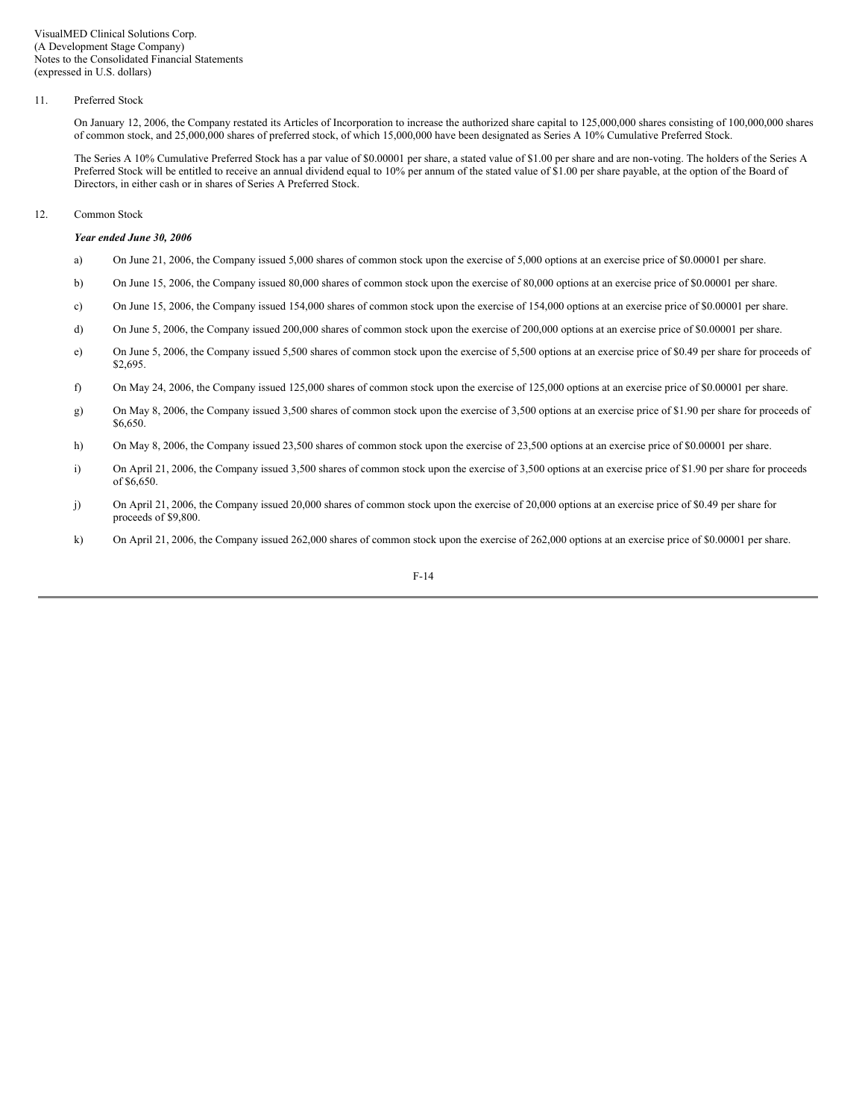## 11. Preferred Stock

On January 12, 2006, the Company restated its Articles of Incorporation to increase the authorized share capital to 125,000,000 shares consisting of 100,000,000 shares of common stock, and 25,000,000 shares of preferred stock, of which 15,000,000 have been designated as Series A 10% Cumulative Preferred Stock.

The Series A 10% Cumulative Preferred Stock has a par value of \$0.00001 per share, a stated value of \$1.00 per share and are non-voting. The holders of the Series A Preferred Stock will be entitled to receive an annual dividend equal to 10% per annum of the stated value of \$1.00 per share payable, at the option of the Board of Directors, in either cash or in shares of Series A Preferred Stock.

## 12. Common Stock

#### *Year ended June 30, 2006*

- a) On June 21, 2006, the Company issued 5,000 shares of common stock upon the exercise of 5,000 options at an exercise price of \$0.00001 per share.
- b) On June 15, 2006, the Company issued 80,000 shares of common stock upon the exercise of 80,000 options at an exercise price of \$0.00001 per share.
- c) On June 15, 2006, the Company issued 154,000 shares of common stock upon the exercise of 154,000 options at an exercise price of \$0.00001 per share.
- d) On June 5, 2006, the Company issued 200,000 shares of common stock upon the exercise of 200,000 options at an exercise price of \$0.00001 per share.
- e) On June 5, 2006, the Company issued 5,500 shares of common stock upon the exercise of 5,500 options at an exercise price of \$0.49 per share for proceeds of \$2,695.
- f) On May 24, 2006, the Company issued 125,000 shares of common stock upon the exercise of 125,000 options at an exercise price of \$0.00001 per share.
- g) On May 8, 2006, the Company issued 3,500 shares of common stock upon the exercise of 3,500 options at an exercise price of \$1.90 per share for proceeds of \$6,650.
- h) On May 8, 2006, the Company issued 23,500 shares of common stock upon the exercise of 23,500 options at an exercise price of \$0.00001 per share.
- i) On April 21, 2006, the Company issued 3,500 shares of common stock upon the exercise of 3,500 options at an exercise price of \$1.90 per share for proceeds of \$6,650.
- j) On April 21, 2006, the Company issued 20,000 shares of common stock upon the exercise of 20,000 options at an exercise price of \$0.49 per share for proceeds of \$9,800.
- k) On April 21, 2006, the Company issued 262,000 shares of common stock upon the exercise of 262,000 options at an exercise price of \$0.00001 per share.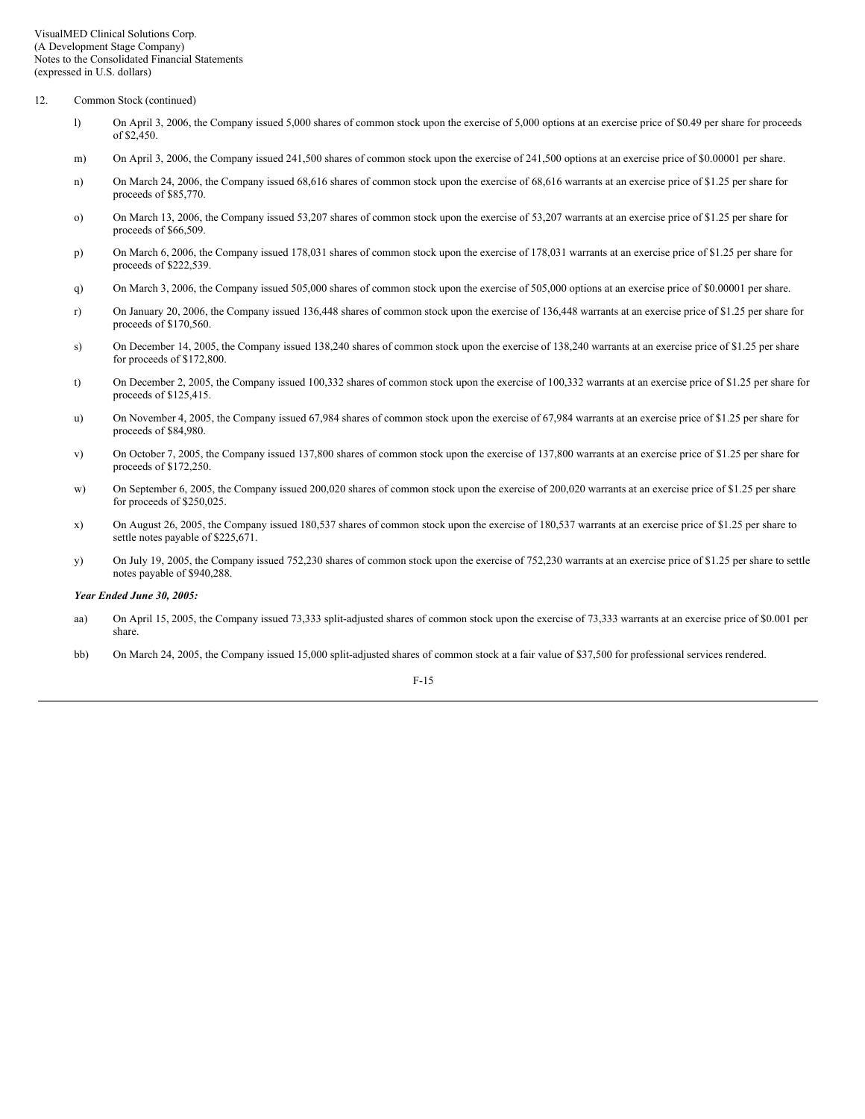- 12. Common Stock (continued)
	- l) On April 3, 2006, the Company issued 5,000 shares of common stock upon the exercise of 5,000 options at an exercise price of \$0.49 per share for proceeds of \$2,450.
	- m) On April 3, 2006, the Company issued 241,500 shares of common stock upon the exercise of 241,500 options at an exercise price of \$0.00001 per share.
	- n) On March 24, 2006, the Company issued 68,616 shares of common stock upon the exercise of 68,616 warrants at an exercise price of \$1.25 per share for proceeds of \$85,770.
	- o) On March 13, 2006, the Company issued 53,207 shares of common stock upon the exercise of 53,207 warrants at an exercise price of \$1.25 per share for proceeds of \$66,509.
	- p) On March 6, 2006, the Company issued 178,031 shares of common stock upon the exercise of 178,031 warrants at an exercise price of \$1.25 per share for proceeds of \$222,539.
	- q) On March 3, 2006, the Company issued 505,000 shares of common stock upon the exercise of 505,000 options at an exercise price of \$0.00001 per share.
	- r) On January 20, 2006, the Company issued 136,448 shares of common stock upon the exercise of 136,448 warrants at an exercise price of \$1.25 per share for proceeds of \$170,560.
	- s) On December 14, 2005, the Company issued 138,240 shares of common stock upon the exercise of 138,240 warrants at an exercise price of \$1.25 per share for proceeds of \$172,800.
	- t) On December 2, 2005, the Company issued 100,332 shares of common stock upon the exercise of 100,332 warrants at an exercise price of \$1.25 per share for proceeds of \$125,415.
	- u) On November 4, 2005, the Company issued 67,984 shares of common stock upon the exercise of 67,984 warrants at an exercise price of \$1.25 per share for proceeds of \$84,980.
	- v) On October 7, 2005, the Company issued 137,800 shares of common stock upon the exercise of 137,800 warrants at an exercise price of \$1.25 per share for proceeds of \$172,250.
	- w) On September 6, 2005, the Company issued 200,020 shares of common stock upon the exercise of 200,020 warrants at an exercise price of \$1.25 per share for proceeds of \$250,025.
	- x) On August 26, 2005, the Company issued 180,537 shares of common stock upon the exercise of 180,537 warrants at an exercise price of \$1.25 per share to settle notes payable of \$225,671.
	- y) On July 19, 2005, the Company issued 752,230 shares of common stock upon the exercise of 752,230 warrants at an exercise price of \$1.25 per share to settle notes payable of \$940,288.

## *Year Ended June 30, 2005:*

- aa) On April 15, 2005, the Company issued 73,333 split-adjusted shares of common stock upon the exercise of 73,333 warrants at an exercise price of \$0.001 per share.
- bb) On March 24, 2005, the Company issued 15,000 split-adjusted shares of common stock at a fair value of \$37,500 for professional services rendered.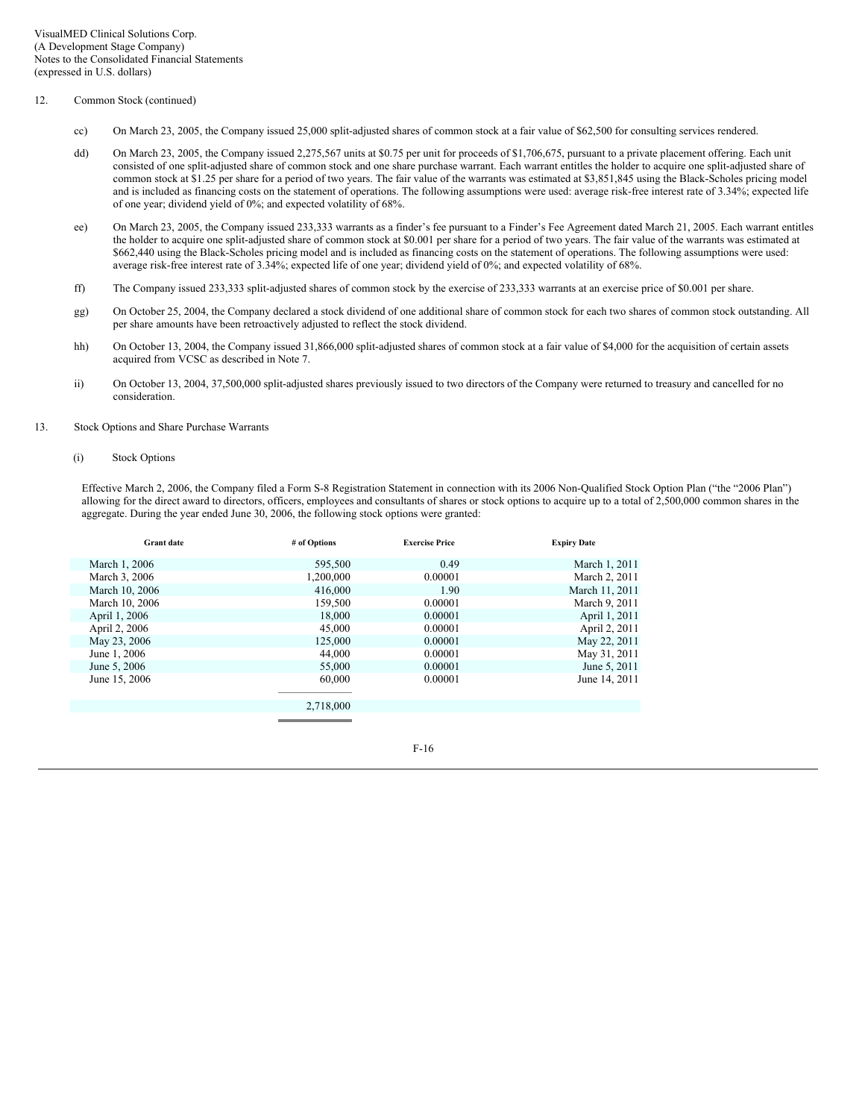## 12. Common Stock (continued)

- cc) On March 23, 2005, the Company issued 25,000 split-adjusted shares of common stock at a fair value of \$62,500 for consulting services rendered.
- dd) On March 23, 2005, the Company issued 2,275,567 units at \$0.75 per unit for proceeds of \$1,706,675, pursuant to a private placement offering. Each unit consisted of one split-adjusted share of common stock and one share purchase warrant. Each warrant entitles the holder to acquire one split-adjusted share of common stock at \$1.25 per share for a period of two years. The fair value of the warrants was estimated at \$3,851,845 using the Black-Scholes pricing model and is included as financing costs on the statement of operations. The following assumptions were used: average risk-free interest rate of 3.34%; expected life of one year; dividend yield of 0%; and expected volatility of 68%.
- ee) On March 23, 2005, the Company issued 233,333 warrants as a finder's fee pursuant to a Finder's Fee Agreement dated March 21, 2005. Each warrant entitles the holder to acquire one split-adjusted share of common stock at \$0.001 per share for a period of two years. The fair value of the warrants was estimated at \$662,440 using the Black-Scholes pricing model and is included as financing costs on the statement of operations. The following assumptions were used: average risk-free interest rate of 3.34%; expected life of one year; dividend yield of 0%; and expected volatility of 68%.
- ff) The Company issued 233,333 split-adjusted shares of common stock by the exercise of 233,333 warrants at an exercise price of \$0.001 per share.
- gg) On October 25, 2004, the Company declared a stock dividend of one additional share of common stock for each two shares of common stock outstanding. All per share amounts have been retroactively adjusted to reflect the stock dividend.
- hh) On October 13, 2004, the Company issued 31,866,000 split-adjusted shares of common stock at a fair value of \$4,000 for the acquisition of certain assets acquired from VCSC as described in Note 7.
- ii) On October 13, 2004, 37,500,000 split-adjusted shares previously issued to two directors of the Company were returned to treasury and cancelled for no consideration.

## 13. Stock Options and Share Purchase Warrants

## (i) Stock Options

Effective March 2, 2006, the Company filed a Form S-8 Registration Statement in connection with its 2006 Non-Qualified Stock Option Plan ("the "2006 Plan") allowing for the direct award to directors, officers, employees and consultants of shares or stock options to acquire up to a total of  $2,500,000$  common shares in the aggregate. During the year ended June 30, 2006, the following stock options were granted:

| <b>Grant date</b> | # of Options | <b>Exercise Price</b> | <b>Expiry Date</b> |
|-------------------|--------------|-----------------------|--------------------|
| March 1, 2006     | 595,500      | 0.49                  | March 1, 2011      |
| March 3, 2006     | 1,200,000    | 0.00001               | March 2, 2011      |
| March 10, 2006    | 416,000      | 1.90                  | March 11, 2011     |
| March 10, 2006    | 159,500      | 0.00001               | March 9, 2011      |
| April 1, 2006     | 18,000       | 0.00001               | April 1, 2011      |
| April 2, 2006     | 45,000       | 0.00001               | April 2, 2011      |
| May 23, 2006      | 125,000      | 0.00001               | May 22, 2011       |
| June 1, 2006      | 44,000       | 0.00001               | May 31, 2011       |
| June 5, 2006      | 55,000       | 0.00001               | June 5, 2011       |
| June 15, 2006     | 60,000       | 0.00001               | June 14, 2011      |
|                   |              |                       |                    |
|                   | 2,718,000    |                       |                    |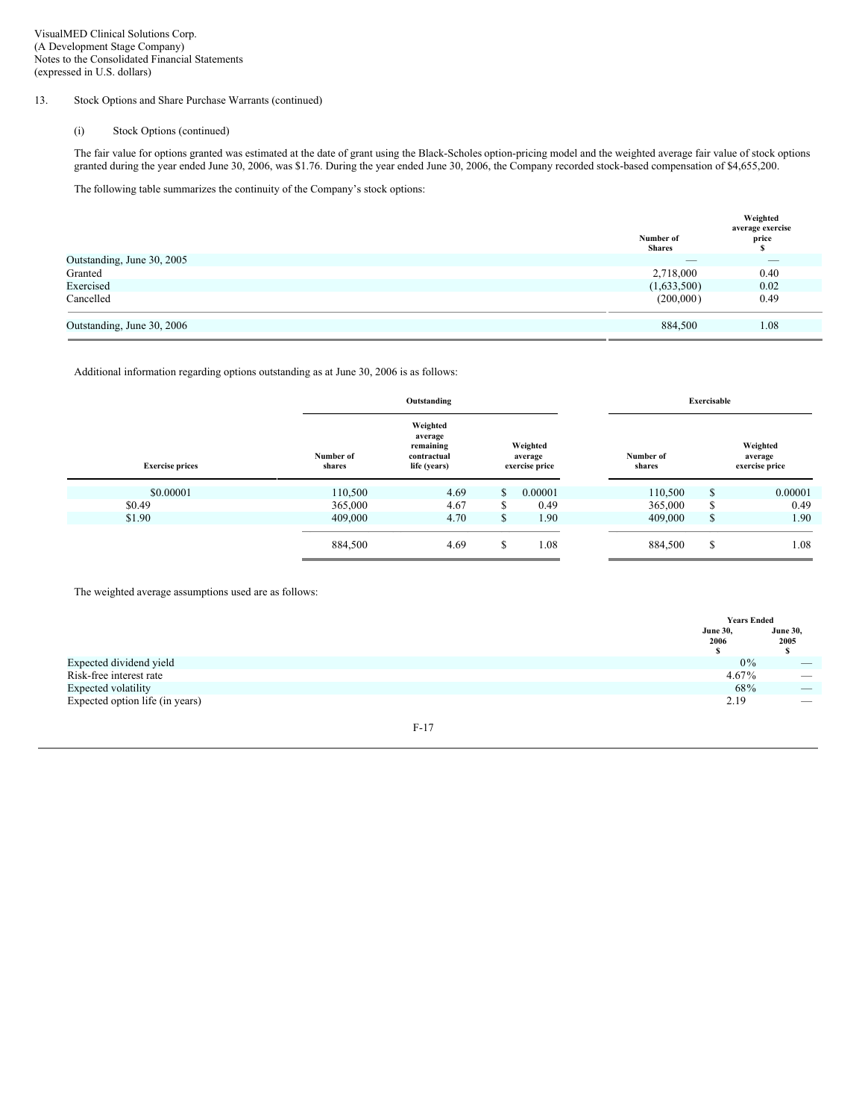## 13. Stock Options and Share Purchase Warrants (continued)

## (i) Stock Options (continued)

The fair value for options granted was estimated at the date of grant using the Black-Scholes option-pricing model and the weighted average fair value of stock options granted during the year ended June 30, 2006, was \$1.76. During the year ended June 30, 2006, the Company recorded stock-based compensation of \$4,655,200.

The following table summarizes the continuity of the Company's stock options:

|                            | Number of<br><b>Shares</b> | Weighted<br>average exercise<br>price<br>л |
|----------------------------|----------------------------|--------------------------------------------|
| Outstanding, June 30, 2005 | $\overline{\phantom{a}}$   | _                                          |
| Granted                    | 2,718,000                  | 0.40                                       |
| Exercised                  | (1,633,500)                | 0.02                                       |
| Cancelled                  | (200,000)                  | 0.49                                       |
| Outstanding, June 30, 2006 | 884,500                    | 1.08                                       |

Additional information regarding options outstanding as at June 30, 2006 is as follows:

|                        |                     | Outstanding                                                     |    |                                       |                     | Exercisable |                                       |
|------------------------|---------------------|-----------------------------------------------------------------|----|---------------------------------------|---------------------|-------------|---------------------------------------|
| <b>Exercise prices</b> | Number of<br>shares | Weighted<br>average<br>remaining<br>contractual<br>life (years) |    | Weighted<br>average<br>exercise price | Number of<br>shares |             | Weighted<br>average<br>exercise price |
| \$0.00001              | 110,500             | 4.69                                                            | \$ | 0.00001                               | 110,500             | \$          | 0.00001                               |
| \$0.49                 | 365,000             | 4.67                                                            | S  | 0.49                                  | 365,000             | S           | 0.49                                  |
| \$1.90                 | 409,000             | 4.70                                                            | \$ | 1.90                                  | 409,000             | \$          | 1.90                                  |
|                        | 884,500             | 4.69                                                            | S  | 0.08                                  | 884,500             | S           | 1.08                                  |

The weighted average assumptions used are as follows:

|                                 | <b>Years Ended</b>      |                                                                                                                                                                                                                                                                                                                                                                                               |
|---------------------------------|-------------------------|-----------------------------------------------------------------------------------------------------------------------------------------------------------------------------------------------------------------------------------------------------------------------------------------------------------------------------------------------------------------------------------------------|
|                                 | <b>June 30,</b><br>2006 | <b>June 30,</b><br>2005                                                                                                                                                                                                                                                                                                                                                                       |
| Expected dividend yield         | $0\%$                   | $\hspace{1.0cm} \overline{\hspace{1.0cm} \hspace{1.0cm} \hspace{1.0cm} } \hspace{1.0cm} \hspace{1.0cm} \overline{\hspace{1.0cm} \hspace{1.0cm} \hspace{1.0cm} } \hspace{1.0cm} \hspace{1.0cm} \overline{\hspace{1.0cm} \hspace{1.0cm} \hspace{1.0cm} } \hspace{1.0cm} \hspace{1.0cm} \overline{\hspace{1.0cm} \hspace{1.0cm} \hspace{1.0cm} } \hspace{1.0cm} \hspace{1.0cm} \hspace{1.0cm} }$ |
| Risk-free interest rate         | $4.67\%$                | $\overline{\phantom{a}}$                                                                                                                                                                                                                                                                                                                                                                      |
| Expected volatility             | 68%                     | $\overline{\phantom{a}}$                                                                                                                                                                                                                                                                                                                                                                      |
| Expected option life (in years) | 2.19                    | $\overline{\phantom{a}}$                                                                                                                                                                                                                                                                                                                                                                      |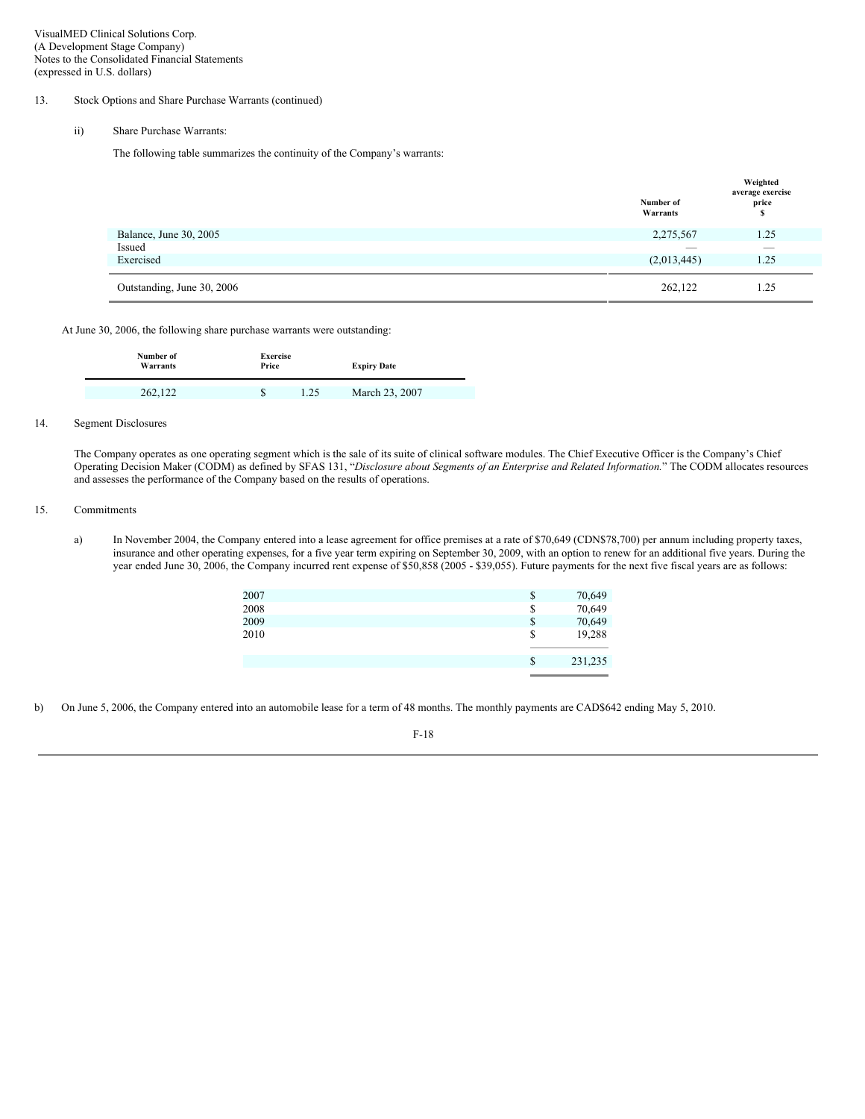## 13. Stock Options and Share Purchase Warrants (continued)

## ii) Share Purchase Warrants:

The following table summarizes the continuity of the Company's warrants:

|                            | Number of<br>Warrants    | Weighted<br>average exercise<br>price |
|----------------------------|--------------------------|---------------------------------------|
| Balance, June 30, 2005     | 2,275,567                | 1.25                                  |
| Issued                     | $\overline{\phantom{a}}$ | $\overline{\phantom{a}}$              |
| Exercised                  | (2,013,445)              | 1.25                                  |
| Outstanding, June 30, 2006 | 262,122                  | 1.25                                  |

At June 30, 2006, the following share purchase warrants were outstanding:

| Number of<br>Warrants | <b>Exercise</b><br>Price |      | <b>Expiry Date</b> |  |
|-----------------------|--------------------------|------|--------------------|--|
|                       |                          |      |                    |  |
| 262,122               |                          | 1.25 | March 23, 2007     |  |

## 14. Segment Disclosures

The Company operates as one operating segment which is the sale of its suite of clinical software modules. The Chief Executive Officer is the Company's Chief Operating Decision Maker (CODM) as defined by SFAS 131, "*Disclosure about Segments of an Enterprise and Related Information.*" The CODM allocates resources and assesses the performance of the Company based on the results of operations.

#### 15. Commitments

a) In November 2004, the Company entered into a lease agreement for office premises at a rate of \$70,649 (CDN\$78,700) per annum including property taxes, insurance and other operating expenses, for a five year term expiring on September 30, 2009, with an option to renew for an additional five years. During the year ended June 30, 2006, the Company incurred rent expense of \$50,858 (2005 - \$39,055). Future payments for the next five fiscal years are as follows:

| 2007 | \$ | 70,649  |
|------|----|---------|
| 2008 | \$ | 70,649  |
| 2009 | \$ | 70,649  |
| 2010 | \$ | 19,288  |
|      |    |         |
|      | S  | 231,235 |
|      |    |         |

b) On June 5, 2006, the Company entered into an automobile lease for a term of 48 months. The monthly payments are CAD\$642 ending May 5, 2010.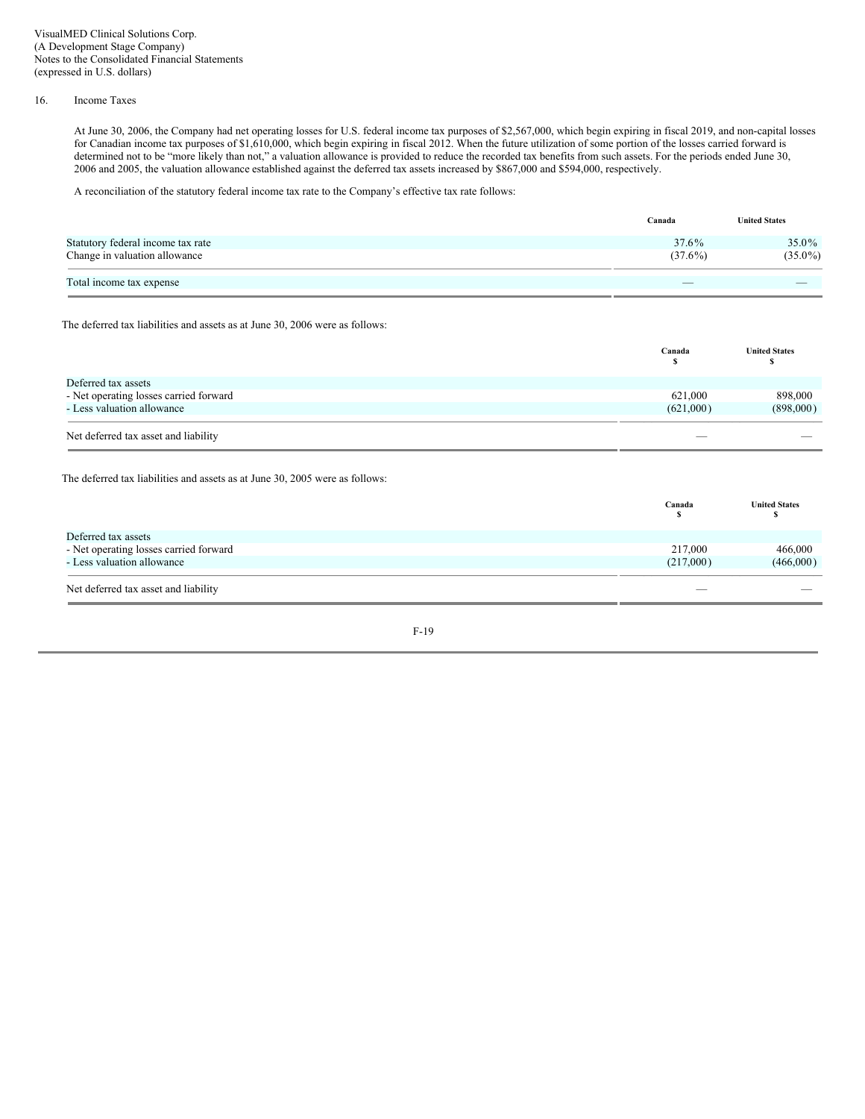## 16. Income Taxes

At June 30, 2006, the Company had net operating losses for U.S. federal income tax purposes of \$2,567,000, which begin expiring in fiscal 2019, and non-capital losses for Canadian income tax purposes of \$1,610,000, which begin expiring in fiscal 2012. When the future utilization of some portion of the losses carried forward is determined not to be "more likely than not," a valuation allowance is provided to reduce the recorded tax benefits from such assets. For the periods ended June 30, 2006 and 2005, the valuation allowance established against the deferred tax assets increased by \$867,000 and \$594,000, respectively.

A reconciliation of the statutory federal income tax rate to the Company's effective tax rate follows:

|                                   | Canada     | <b>United States</b> |
|-----------------------------------|------------|----------------------|
| Statutory federal income tax rate | 37.6%      | 35.0%                |
| Change in valuation allowance     | $(37.6\%)$ | $(35.0\%)$           |
| Total income tax expense          | _          |                      |

The deferred tax liabilities and assets as at June 30, 2006 were as follows:

|                                        | Canada                   | <b>United States</b> |
|----------------------------------------|--------------------------|----------------------|
| Deferred tax assets                    |                          |                      |
| - Net operating losses carried forward | 621,000                  | 898,000              |
| - Less valuation allowance             | (621,000)                | (898,000)            |
| Net deferred tax asset and liability   | $\overline{\phantom{a}}$ |                      |

The deferred tax liabilities and assets as at June 30, 2005 were as follows:

|                                        | Canada    | <b>United States</b> |
|----------------------------------------|-----------|----------------------|
| Deferred tax assets                    |           |                      |
| - Net operating losses carried forward | 217,000   | 466,000              |
| - Less valuation allowance             | (217,000) | (466,000)            |
| Net deferred tax asset and liability   | __        | _                    |
|                                        |           |                      |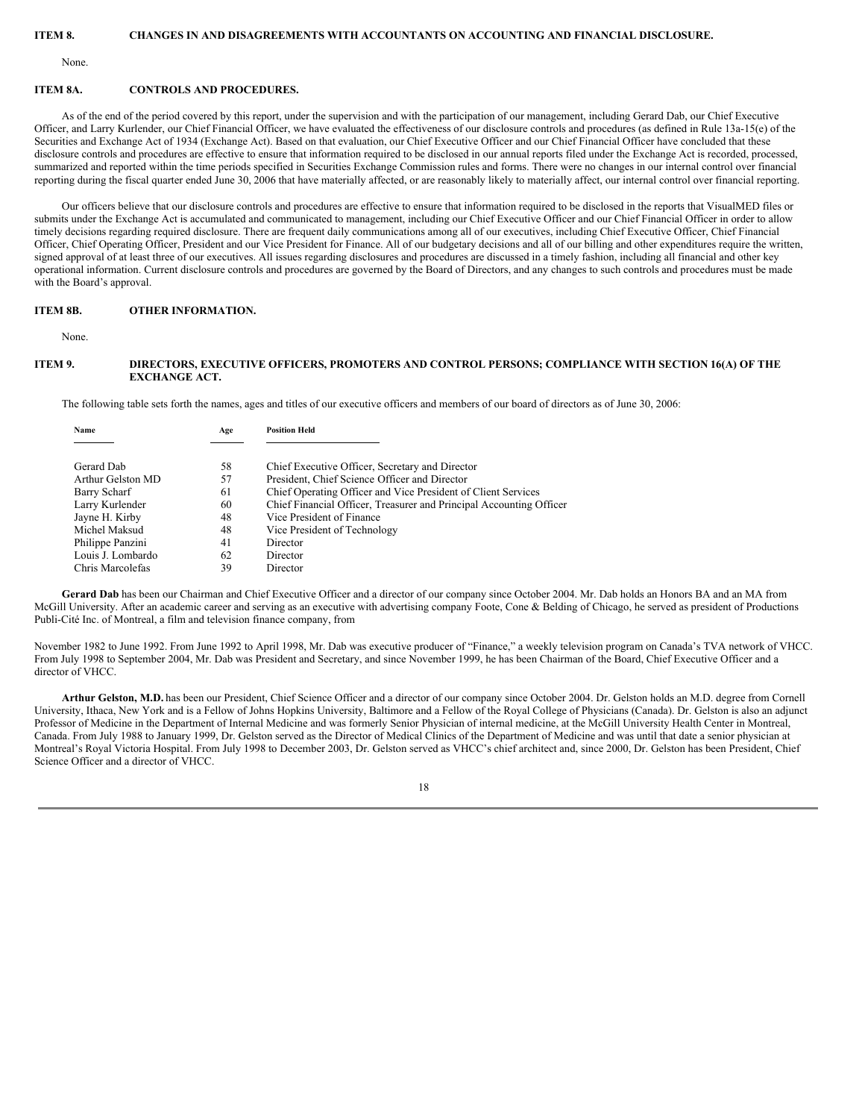<span id="page-39-1"></span><span id="page-39-0"></span>None.

## **ITEM 8A. CONTROLS AND PROCEDURES.**

As of the end of the period covered by this report, under the supervision and with the participation of our management, including Gerard Dab, our Chief Executive Officer, and Larry Kurlender, our Chief Financial Officer, we have evaluated the effectiveness of our disclosure controls and procedures (as defined in Rule 13a-15(e) of the Securities and Exchange Act of 1934 (Exchange Act). Based on that evaluation, our Chief Executive Officer and our Chief Financial Officer have concluded that these disclosure controls and procedures are effective to ensure that information required to be disclosed in our annual reports filed under the Exchange Act is recorded, processed, summarized and reported within the time periods specified in Securities Exchange Commission rules and forms. There were no changes in our internal control over financial reporting during the fiscal quarter ended June 30, 2006 that have materially affected, or are reasonably likely to materially affect, our internal control over financial reporting.

Our officers believe that our disclosure controls and procedures are effective to ensure that information required to be disclosed in the reports that VisualMED files or submits under the Exchange Act is accumulated and communicated to management, including our Chief Executive Officer and our Chief Financial Officer in order to allow timely decisions regarding required disclosure. There are frequent daily communications among all of our executives, including Chief Executive Officer, Chief Financial Officer, Chief Operating Officer, President and our Vice President for Finance. All of our budgetary decisions and all of our billing and other expenditures require the written, signed approval of at least three of our executives. All issues regarding disclosures and procedures are discussed in a timely fashion, including all financial and other key operational information. Current disclosure controls and procedures are governed by the Board of Directors, and any changes to such controls and procedures must be made with the Board's approval.

## **ITEM 8B. OTHER INFORMATION.**

<span id="page-39-3"></span><span id="page-39-2"></span>None.

## **ITEM 9. DIRECTORS, EXECUTIVE OFFICERS, PROMOTERS AND CONTROL PERSONS; COMPLIANCE WITH SECTION 16(A) OF THE EXCHANGE ACT.**

The following table sets forth the names, ages and titles of our executive officers and members of our board of directors as of June 30, 2006:

| <b>Position Held</b><br>Name<br>Age                                      |                                                                     |
|--------------------------------------------------------------------------|---------------------------------------------------------------------|
|                                                                          |                                                                     |
| Chief Executive Officer, Secretary and Director<br>Gerard Dab<br>58      |                                                                     |
| President, Chief Science Officer and Director<br>Arthur Gelston MD<br>57 |                                                                     |
| Barry Scharf<br>61                                                       | Chief Operating Officer and Vice President of Client Services       |
| Larry Kurlender<br>60                                                    | Chief Financial Officer, Treasurer and Principal Accounting Officer |
| Vice President of Finance<br>Jayne H. Kirby<br>48                        |                                                                     |
| Michel Maksud<br>Vice President of Technology<br>48                      |                                                                     |
| Philippe Panzini<br>Director<br>41                                       |                                                                     |
| Louis J. Lombardo<br>Director<br>62                                      |                                                                     |
| Chris Marcolefas<br>39<br>Director                                       |                                                                     |

**Gerard Dab** has been our Chairman and Chief Executive Officer and a director of our company since October 2004. Mr. Dab holds an Honors BA and an MA from McGill University. After an academic career and serving as an executive with advertising company Foote, Cone & Belding of Chicago, he served as president of Productions Publi-Cité Inc. of Montreal, a film and television finance company, from

November 1982 to June 1992. From June 1992 to April 1998, Mr. Dab was executive producer of "Finance," a weekly television program on Canada's TVA network of VHCC. From July 1998 to September 2004, Mr. Dab was President and Secretary, and since November 1999, he has been Chairman of the Board, Chief Executive Officer and a director of VHCC.

**Arthur Gelston, M.D.** has been our President, Chief Science Officer and a director of our company since October 2004. Dr. Gelston holds an M.D. degree from Cornell University, Ithaca, New York and is a Fellow of Johns Hopkins University, Baltimore and a Fellow of the Royal College of Physicians (Canada). Dr. Gelston is also an adjunct Professor of Medicine in the Department of Internal Medicine and was formerly Senior Physician of internal medicine, at the McGill University Health Center in Montreal, Canada. From July 1988 to January 1999, Dr. Gelston served as the Director of Medical Clinics of the Department of Medicine and was until that date a senior physician at Montreal's Royal Victoria Hospital. From July 1998 to December 2003, Dr. Gelston served as VHCC's chief architect and, since 2000, Dr. Gelston has been President, Chief Science Officer and a director of VHCC.

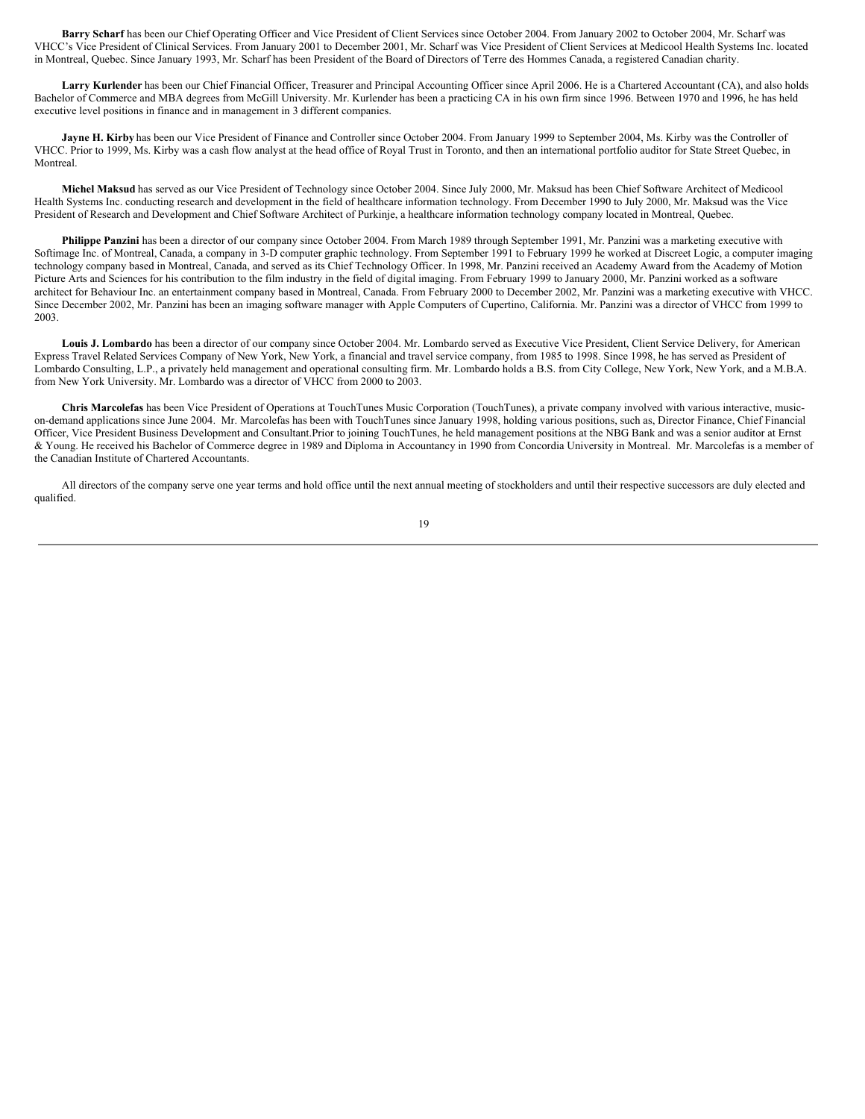**Barry Scharf** has been our Chief Operating Officer and Vice President of Client Services since October 2004. From January 2002 to October 2004, Mr. Scharf was VHCC's Vice President of Clinical Services. From January 2001 to December 2001, Mr. Scharf was Vice President of Client Services at Medicool Health Systems Inc. located in Montreal, Quebec. Since January 1993, Mr. Scharf has been President of the Board of Directors of Terre des Hommes Canada, a registered Canadian charity.

Larry Kurlender has been our Chief Financial Officer, Treasurer and Principal Accounting Officer since April 2006. He is a Chartered Accountant (CA), and also holds Bachelor of Commerce and MBA degrees from McGill University. Mr. Kurlender has been a practicing CA in his own firm since 1996. Between 1970 and 1996, he has held executive level positions in finance and in management in 3 different companies.

**Jayne H. Kirby** has been our Vice President of Finance and Controller since October 2004. From January 1999 to September 2004, Ms. Kirby was the Controller of VHCC. Prior to 1999, Ms. Kirby was a cash flow analyst at the head office of Royal Trust in Toronto, and then an international portfolio auditor for State Street Quebec, in Montreal.

**Michel Maksud** has served as our Vice President of Technology since October 2004. Since July 2000, Mr. Maksud has been Chief Software Architect of Medicool Health Systems Inc. conducting research and development in the field of healthcare information technology. From December 1990 to July 2000, Mr. Maksud was the Vice President of Research and Development and Chief Software Architect of Purkinje, a healthcare information technology company located in Montreal, Quebec.

**Philippe Panzini** has been a director of our company since October 2004. From March 1989 through September 1991, Mr. Panzini was a marketing executive with Softimage Inc. of Montreal, Canada, a company in 3-D computer graphic technology. From September 1991 to February 1999 he worked at Discreet Logic, a computer imaging technology company based in Montreal, Canada, and served as its Chief Technology Officer. In 1998, Mr. Panzini received an Academy Award from the Academy of Motion Picture Arts and Sciences for his contribution to the film industry in the field of digital imaging. From February 1999 to January 2000, Mr. Panzini worked as a software architect for Behaviour Inc. an entertainment company based in Montreal, Canada. From February 2000 to December 2002, Mr. Panzini was a marketing executive with VHCC. Since December 2002, Mr. Panzini has been an imaging software manager with Apple Computers of Cupertino, California. Mr. Panzini was a director of VHCC from 1999 to 2003.

**Louis J. Lombardo** has been a director of our company since October 2004. Mr. Lombardo served as Executive Vice President, Client Service Delivery, for American Express Travel Related Services Company of New York, New York, a financial and travel service company, from 1985 to 1998. Since 1998, he has served as President of Lombardo Consulting, L.P., a privately held management and operational consulting firm. Mr. Lombardo holds a B.S. from City College, New York, New York, and a M.B.A. from New York University. Mr. Lombardo was a director of VHCC from 2000 to 2003.

**Chris Marcolefas** has been Vice President of Operations at TouchTunes Music Corporation (TouchTunes), a private company involved with various interactive, musicon-demand applications since June 2004. Mr. Marcolefas has been with TouchTunes since January 1998, holding various positions, such as, Director Finance, Chief Financial Officer, Vice President Business Development and Consultant.Prior to joining TouchTunes, he held management positions at the NBG Bank and was a senior auditor at Ernst & Young. He received his Bachelor of Commerce degree in 1989 and Diploma in Accountancy in 1990 from Concordia University in Montreal. Mr. Marcolefas is a member of the Canadian Institute of Chartered Accountants.

All directors of the company serve one year terms and hold office until the next annual meeting of stockholders and until their respective successors are duly elected and qualified.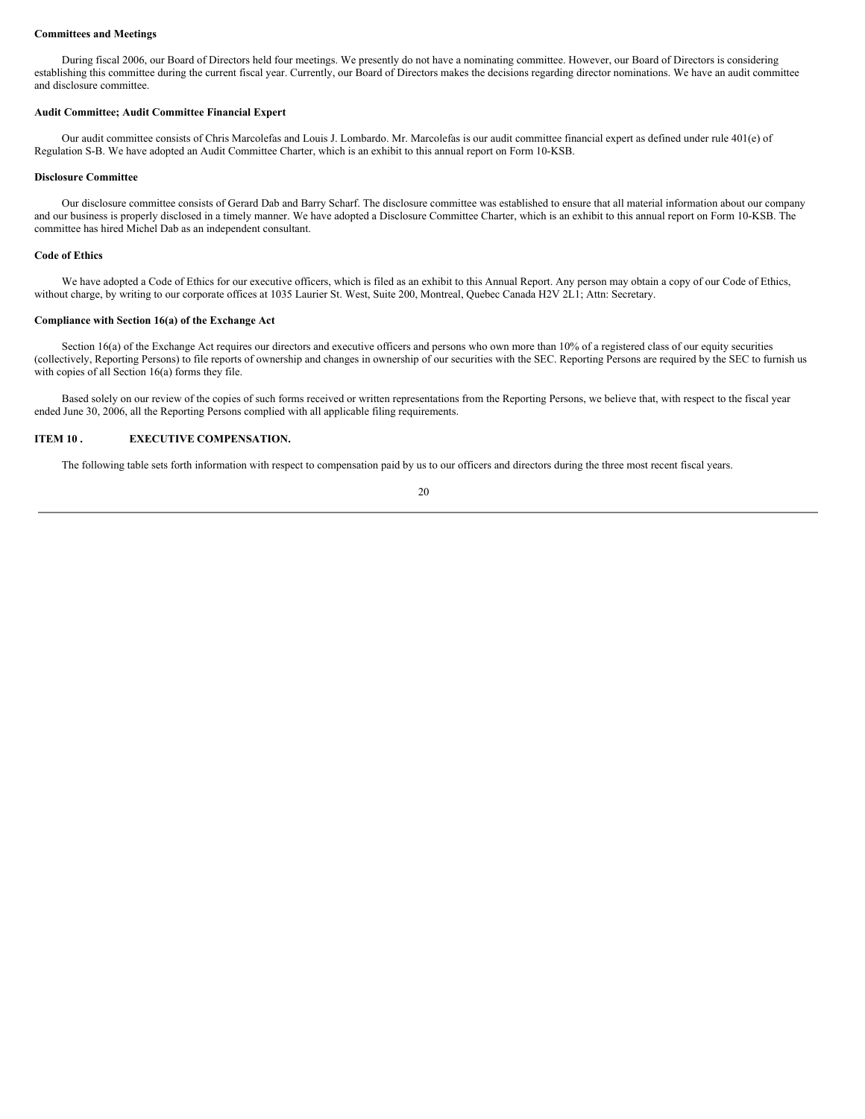#### **Committees and Meetings**

During fiscal 2006, our Board of Directors held four meetings. We presently do not have a nominating committee. However, our Board of Directors is considering establishing this committee during the current fiscal year. Currently, our Board of Directors makes the decisions regarding director nominations. We have an audit committee and disclosure committee.

#### **Audit Committee; Audit Committee Financial Expert**

Our audit committee consists of Chris Marcolefas and Louis J. Lombardo. Mr. Marcolefas is our audit committee financial expert as defined under rule 401(e) of Regulation S-B. We have adopted an Audit Committee Charter, which is an exhibit to this annual report on Form 10-KSB.

#### **Disclosure Committee**

Our disclosure committee consists of Gerard Dab and Barry Scharf. The disclosure committee was established to ensure that all material information about our company and our business is properly disclosed in a timely manner. We have adopted a Disclosure Committee Charter, which is an exhibit to this annual report on Form 10-KSB. The committee has hired Michel Dab as an independent consultant.

## **Code of Ethics**

We have adopted a Code of Ethics for our executive officers, which is filed as an exhibit to this Annual Report. Any person may obtain a copy of our Code of Ethics, without charge, by writing to our corporate offices at 1035 Laurier St. West, Suite 200, Montreal, Quebec Canada H2V 2L1; Attn: Secretary.

## **Compliance with Section 16(a) of the Exchange Act**

Section 16(a) of the Exchange Act requires our directors and executive officers and persons who own more than 10% of a registered class of our equity securities (collectively, Reporting Persons) to file reports of ownership and changes in ownership of our securities with the SEC. Reporting Persons are required by the SEC to furnish us with copies of all Section 16(a) forms they file.

Based solely on our review of the copies of such forms received or written representations from the Reporting Persons, we believe that, with respect to the fiscal year ended June 30, 2006, all the Reporting Persons complied with all applicable filing requirements.

#### **ITEM 10 . EXECUTIVE COMPENSATION.**

<span id="page-41-0"></span>The following table sets forth information with respect to compensation paid by us to our officers and directors during the three most recent fiscal years.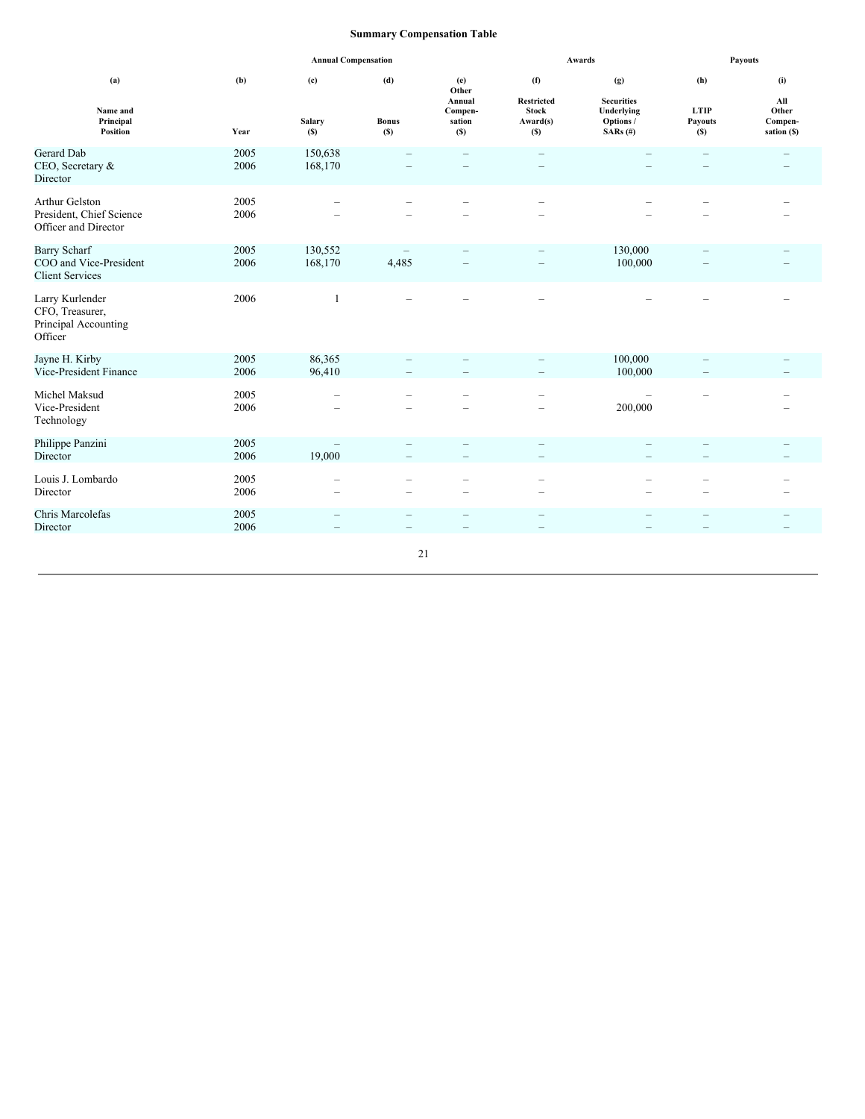## **Summary Compensation Table**

|                                                                         | <b>Annual Compensation</b> |                                                      |                            |                                                    | Awards                                                      | Payouts                                                         |                                             |                                               |
|-------------------------------------------------------------------------|----------------------------|------------------------------------------------------|----------------------------|----------------------------------------------------|-------------------------------------------------------------|-----------------------------------------------------------------|---------------------------------------------|-----------------------------------------------|
| (a)<br>Name and<br>Principal<br><b>Position</b>                         | (b)<br>Year                | (c)<br><b>Salary</b><br>(S)                          | (d)<br><b>Bonus</b><br>(S) | (e)<br>Other<br>Annual<br>Compen-<br>sation<br>(S) | (f)<br><b>Restricted</b><br><b>Stock</b><br>Award(s)<br>(S) | (g)<br><b>Securities</b><br>Underlying<br>Options /<br>SARs (#) | (h)<br><b>LTIP</b><br><b>Payouts</b><br>(S) | (i)<br>All<br>Other<br>Compen-<br>sation (\$) |
| <b>Gerard Dab</b><br>CEO, Secretary &<br>Director                       | 2005<br>2006               | 150,638<br>168,170                                   |                            |                                                    |                                                             |                                                                 |                                             |                                               |
| Arthur Gelston<br>President, Chief Science<br>Officer and Director      | 2005<br>2006               |                                                      |                            |                                                    |                                                             |                                                                 |                                             |                                               |
| <b>Barry Scharf</b><br>COO and Vice-President<br><b>Client Services</b> | 2005<br>2006               | 130,552<br>168,170                                   | 4,485                      |                                                    |                                                             | 130,000<br>100,000                                              |                                             |                                               |
| Larry Kurlender<br>CFO, Treasurer,<br>Principal Accounting<br>Officer   | 2006                       | $\mathbf{1}$                                         |                            |                                                    |                                                             |                                                                 |                                             |                                               |
| Jayne H. Kirby<br>Vice-President Finance                                | 2005<br>2006               | 86,365<br>96,410                                     |                            |                                                    |                                                             | 100,000<br>100,000                                              |                                             |                                               |
| Michel Maksud<br>Vice-President<br>Technology                           | 2005<br>2006               | $\overline{\phantom{m}}$<br>$\overline{\phantom{m}}$ |                            |                                                    | $\overline{\phantom{0}}$<br>-                               | $\overline{\phantom{0}}$<br>200,000                             |                                             |                                               |
| Philippe Panzini<br>Director                                            | 2005<br>2006               | 19,000                                               |                            |                                                    |                                                             |                                                                 |                                             |                                               |
| Louis J. Lombardo<br>Director                                           | 2005<br>2006               | $\overline{\phantom{m}}$<br>$\overline{\phantom{a}}$ |                            |                                                    | $\overline{\phantom{0}}$<br>$\overline{\phantom{a}}$        |                                                                 |                                             |                                               |
| Chris Marcolefas<br>Director                                            | 2005<br>2006               |                                                      |                            |                                                    | $\overline{\phantom{0}}$                                    |                                                                 |                                             | $\qquad \qquad -$                             |
|                                                                         |                            |                                                      | 21                         |                                                    |                                                             |                                                                 |                                             |                                               |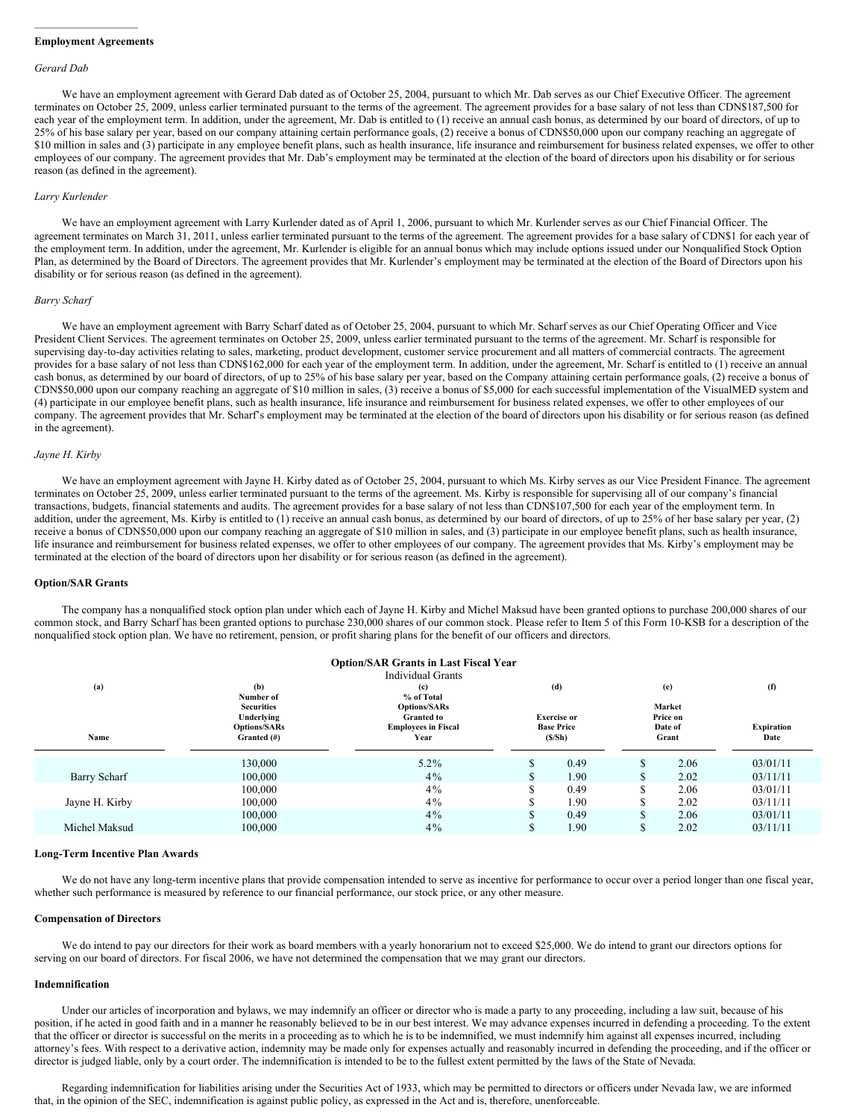#### **Employment Agreements**

#### *Gerard Dab*

We have an employment agreement with Gerard Dab dated as of October 25, 2004, pursuant to which Mr. Dab serves as our Chief Executive Officer. The agreement terminates on October 25, 2009, unless earlier terminated pursuant to the terms of the agreement. The agreement provides for a base salary of not less than CDN\$187,500 for each year of the employment term. In addition, under the agreement, Mr. Dab is entitled to (1) receive an annual cash bonus, as determined by our board of directors, of up to 25% of his base salary per year, based on our company attaining certain performance goals, (2) receive a bonus of CDN\$50,000 upon our company reaching an aggregate of \$10 million in sales and (3) participate in any employee benefit plans, such as health insurance, life insurance and reimbursement for business related expenses, we offer to other employees of our company. The agreement provides that Mr. Dab's employment may be terminated at the election of the board of directors upon his disability or for serious reason (as defined in the agreement).

#### *Larry Kurlender*

We have an employment agreement with Larry Kurlender dated as of April 1, 2006, pursuant to which Mr. Kurlender serves as our Chief Financial Officer. The agreement terminates on March 31, 2011, unless earlier terminated pursuant to the terms of the agreement. The agreement provides for a base salary of CDN\$1 for each year of the employment term. In addition, under the agreement, Mr. Kurlender is eligible for an annual bonus which may include options issued under our Nonqualified Stock Option Plan, as determined by the Board of Directors. The agreement provides that Mr. Kurlender's employment may be terminated at the election of the Board of Directors upon his disability or for serious reason (as defined in the agreement).

#### *Barry Scharf*

We have an employment agreement with Barry Scharf dated as of October 25, 2004, pursuant to which Mr. Scharf serves as our Chief Operating Officer and Vice President Client Services. The agreement terminates on October 25, 2009, unless earlier terminated pursuant to the terms of the agreement. Mr. Scharf is responsible for supervising day-to-day activities relating to sales, marketing, product development, customer service procurement and all matters of commercial contracts. The agreement provides for a base salary of not less than CDN\$162,000 for each year of the employment term. In addition, under the agreement, Mr. Scharf is entitled to (1) receive an annual cash bonus, as determined by our board of directors, of up to 25% of his base salary per year, based on the Company attaining certain performance goals, (2) receive a bonus of CDN\$50,000 upon our company reaching an aggregate of \$10 million in sales, (3) receive a bonus of \$5,000 for each successful implementation of the VisualMED system and (4) participate in our employee benefit plans, such as health insurance, life insurance and reimbursement for business related expenses, we offer to other employees of our company. The agreement provides that Mr. Scharf's employment may be terminated at the election of the board of directors upon his disability or for serious reason (as defined in the agreement).

#### *Jayne H. Kirby*

We have an employment agreement with Jayne H. Kirby dated as of October 25, 2004, pursuant to which Ms. Kirby serves as our Vice President Finance. The agreement terminates on October 25, 2009, unless earlier terminated pursuant to the terms of the agreement. Ms. Kirby is responsible for supervising all of our company's financial transactions, budgets, financial statements and audits. The agreement provides for a base salary of not less than CDN\$107,500 for each year of the employment term. In addition, under the agreement, Ms. Kirby is entitled to (1) receive an annual cash bonus, as determined by our board of directors, of up to 25% of her base salary per year, (2) receive a bonus of CDN\$50,000 upon our company reaching an aggregate of \$10 million in sales, and (3) participate in our employee benefit plans, such as health insurance, life insurance and reimbursement for business related expenses, we offer to other employees of our company. The agreement provides that Ms. Kirby's employment may be terminated at the election of the board of directors upon her disability or for serious reason (as defined in the agreement).

#### **Option/SAR Grants**

The company has a nonqualified stock option plan under which each of Jayne H. Kirby and Michel Maksud have been granted options to purchase 200,000 shares of our common stock, and Barry Scharf has been granted options to purchase 230,000 shares of our common stock. Please refer to Item 5 of this Form 10-KSB for a description of the nonqualified stock option plan. We have no retirement, pension, or profit sharing plans for the benefit of our officers and directors.

|                |                                | <b>Option/SAR Grants in Last Fiscal Year</b> |   |                    |                |          |                   |
|----------------|--------------------------------|----------------------------------------------|---|--------------------|----------------|----------|-------------------|
|                |                                | <b>Individual Grants</b>                     |   |                    |                |          |                   |
| (a)            | (b)                            | $\left( \mathrm{c} \right)$                  |   | (d)                |                | (e)      | (f)               |
|                | Number of<br><b>Securities</b> | % of Total<br><b>Options/SARs</b>            |   |                    |                | Market   |                   |
|                | Underlying                     | <b>Granted to</b>                            |   | <b>Exercise</b> or |                | Price on |                   |
|                | <b>Options/SARs</b>            | <b>Employees in Fiscal</b>                   |   | <b>Base Price</b>  |                | Date of  | <b>Expiration</b> |
| Name           | Granted (#)                    | Year                                         |   | (S/Sh)             |                | Grant    | Date              |
|                |                                |                                              |   |                    |                |          |                   |
|                | 130,000                        | $5.2\%$                                      | S | 0.49               | \$             | 2.06     | 03/01/11          |
| Barry Scharf   | 100,000                        | $4\%$                                        |   | 1.90               | S              | 2.02     | 03/11/11          |
|                | 100,000                        | $4\%$                                        | ¢ | 0.49               | $\sigma$<br>ъ. | 2.06     | 03/01/11          |
| Jayne H. Kirby | 100,000                        | $4\%$                                        |   | 1.90               | ¢<br>J.        | 2.02     | 03/11/11          |
|                | 100,000                        | $4\%$                                        |   | 0.49               | \$.            | 2.06     | 03/01/11          |
| Michel Maksud  | 100,000                        | $4\%$                                        |   | 1.90               | $\mathcal{P}$  | 2.02     | 03/11/11          |

## **Long-Term Incentive Plan Awards**

We do not have any long-term incentive plans that provide compensation intended to serve as incentive for performance to occur over a period longer than one fiscal year, whether such performance is measured by reference to our financial performance, our stock price, or any other measure.

#### **Compensation of Directors**

We do intend to pay our directors for their work as board members with a yearly honorarium not to exceed \$25,000. We do intend to grant our directors options for serving on our board of directors. For fiscal 2006, we have not determined the compensation that we may grant our directors.

#### **Indemnification**

Under our articles of incorporation and bylaws, we may indemnify an officer or director who is made a party to any proceeding, including a law suit, because of his position, if he acted in good faith and in a manner he reasonably believed to be in our best interest. We may advance expenses incurred in defending a proceeding. To the extent that the officer or director is successful on the merits in a proceeding as to which he is to be indemnified, we must indemnify him against all expenses incurred, including attorney's fees. With respect to a derivative action, indemnity may be made only for expenses actually and reasonably incurred in defending the proceeding, and if the officer or director is judged liable, only by a court order. The indemnification is intended to be to the fullest extent permitted by the laws of the State of Nevada.

Regarding indemnification for liabilities arising under the Securities Act of 1933, which may be permitted to directors or officers under Nevada law, we are informed that, in the opinion of the SEC, indemnification is against public policy, as expressed in the Act and is, therefore, unenforceable.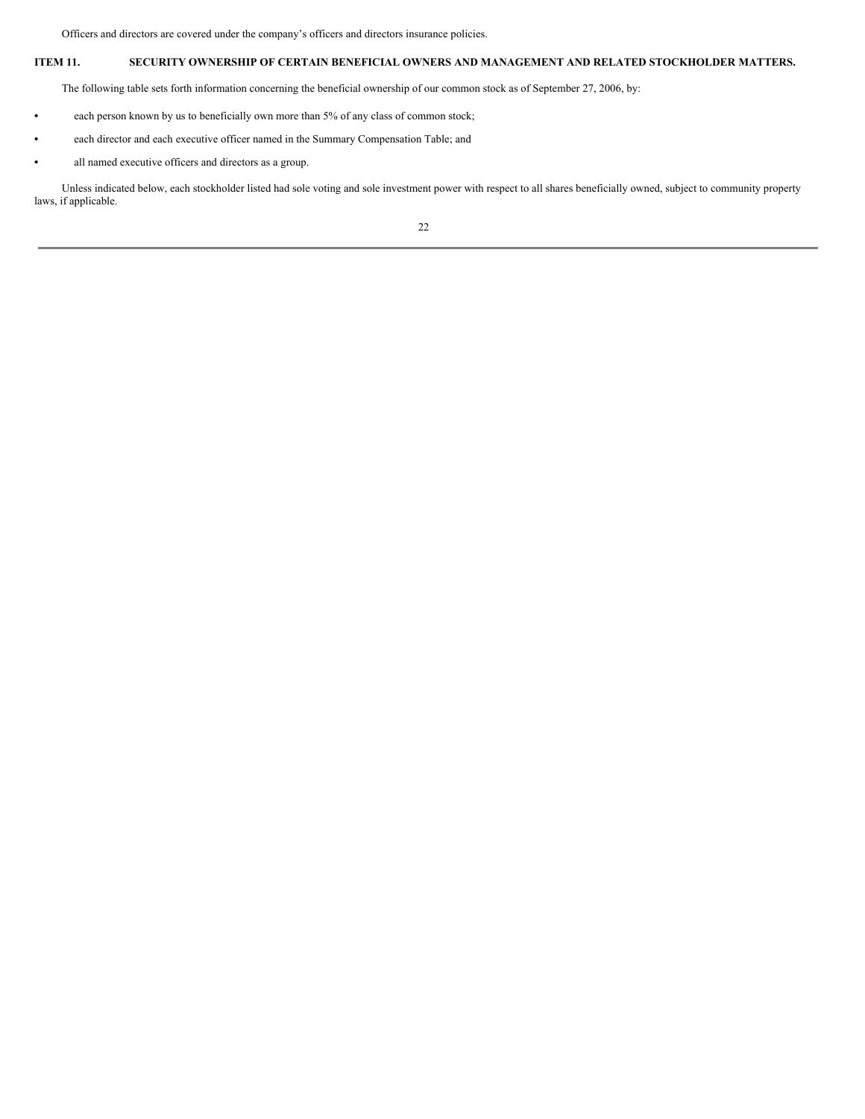<span id="page-44-0"></span>Officers and directors are covered under the company's officers and directors insurance policies.

## **ITEM 11. SECURITY OWNERSHIP OF CERTAIN BENEFICIAL OWNERS AND MANAGEMENT AND RELATED STOCKHOLDER MATTERS.**

The following table sets forth information concerning the beneficial ownership of our common stock as of September 27, 2006, by:

- **•** each person known by us to beneficially own more than 5% of any class of common stock;
- **•** each director and each executive officer named in the Summary Compensation Table; and
- **•** all named executive officers and directors as a group.

Unless indicated below, each stockholder listed had sole voting and sole investment power with respect to all shares beneficially owned, subject to community property laws, if applicable.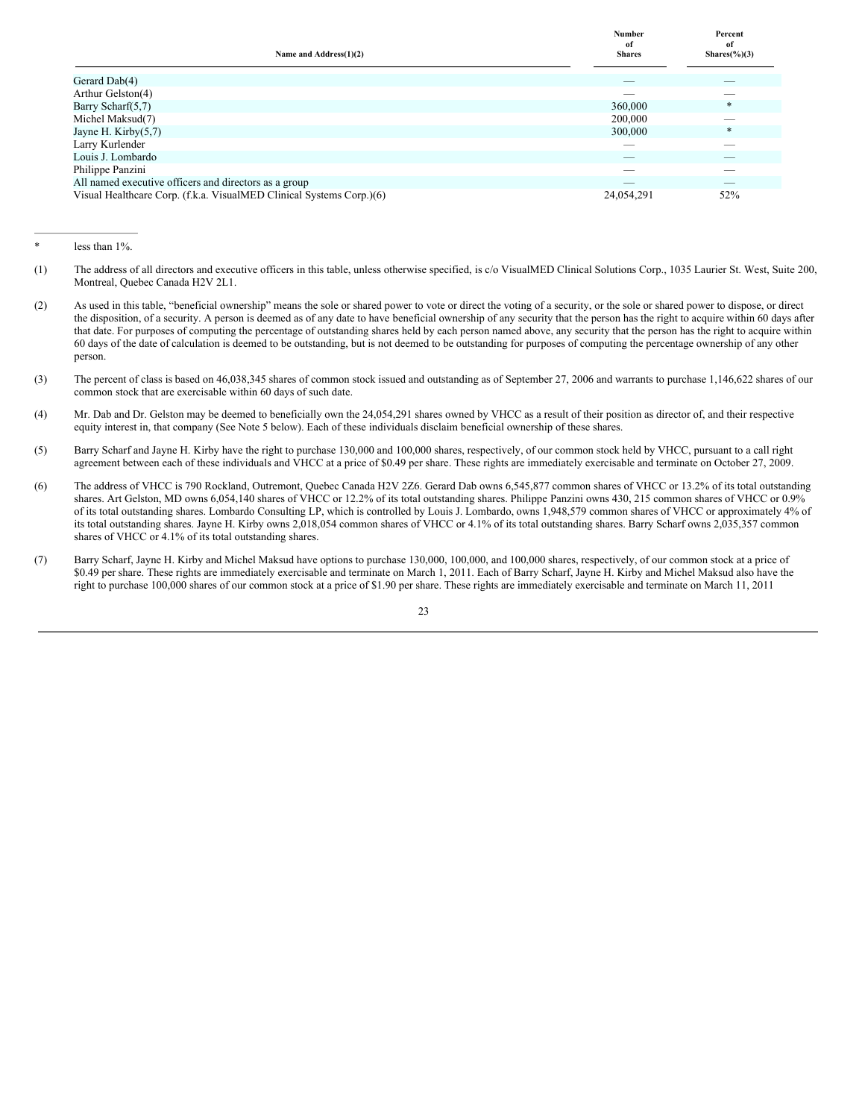| Name and Address(1)(2)                                               | Number<br>of<br><b>Shares</b> | Percent<br>of<br>Shares $(\frac{6}{6})(3)$ |
|----------------------------------------------------------------------|-------------------------------|--------------------------------------------|
| Gerard Dab(4)                                                        | _                             | $\overline{\phantom{a}}$                   |
| Arthur Gelston(4)                                                    |                               | ___                                        |
| Barry Scharf(5,7)                                                    | 360,000                       | $\ast$                                     |
| Michel Maksud(7)                                                     | 200,000                       |                                            |
| Jayne H. Kirby $(5,7)$                                               | 300,000                       | *                                          |
| Larry Kurlender                                                      |                               |                                            |
| Louis J. Lombardo                                                    | $\overline{\phantom{a}}$      | $-$                                        |
| Philippe Panzini                                                     |                               |                                            |
| All named executive officers and directors as a group                | $\overline{\phantom{a}}$      | _                                          |
| Visual Healthcare Corp. (f.k.a. VisualMED Clinical Systems Corp.)(6) | 24,054,291                    | 52%                                        |

less than  $1\%$ .

- (2) As used in this table, "beneficial ownership" means the sole or shared power to vote or direct the voting of a security, or the sole or shared power to dispose, or direct the disposition, of a security. A person is deemed as of any date to have beneficial ownership of any security that the person has the right to acquire within 60 days after that date. For purposes of computing the percentage of outstanding shares held by each person named above, any security that the person has the right to acquire within 60 days of the date of calculation is deemed to be outstanding, but is not deemed to be outstanding for purposes of computing the percentage ownership of any other person.
- (3) The percent of class is based on 46,038,345 shares of common stock issued and outstanding as of September 27, 2006 and warrants to purchase 1,146,622 shares of our common stock that are exercisable within 60 days of such date.
- (4) Mr. Dab and Dr. Gelston may be deemed to beneficially own the 24,054,291 shares owned by VHCC as a result of their position as director of, and their respective equity interest in, that company (See Note 5 below). Each of these individuals disclaim beneficial ownership of these shares.
- (5) Barry Scharf and Jayne H. Kirby have the right to purchase 130,000 and 100,000 shares, respectively, of our common stock held by VHCC, pursuant to a call right agreement between each of these individuals and VHCC at a price of \$0.49 per share. These rights are immediately exercisable and terminate on October 27, 2009.
- (6) The address of VHCC is 790 Rockland, Outremont, Quebec Canada H2V 2Z6. Gerard Dab owns 6,545,877 common shares of VHCC or 13.2% of its total outstanding shares. Art Gelston, MD owns 6,054,140 shares of VHCC or 12.2% of its total outstanding shares. Philippe Panzini owns 430, 215 common shares of VHCC or 0.9% of its total outstanding shares. Lombardo Consulting LP, which is controlled by Louis J. Lombardo, owns 1,948,579 common shares of VHCC or approximately 4% of its total outstanding shares. Jayne H. Kirby owns 2,018,054 common shares of VHCC or 4.1% of its total outstanding shares. Barry Scharf owns 2,035,357 common shares of VHCC or 4.1% of its total outstanding shares.
- (7) Barry Scharf, Jayne H. Kirby and Michel Maksud have options to purchase 130,000, 100,000, and 100,000 shares, respectively, of our common stock at a price of \$0.49 per share. These rights are immediately exercisable and terminate on March 1, 2011. Each of Barry Scharf, Jayne H. Kirby and Michel Maksud also have the right to purchase 100,000 shares of our common stock at a price of \$1.90 per share. These rights are immediately exercisable and terminate on March 11, 2011



<sup>(1)</sup> The address of all directors and executive officers in this table, unless otherwise specified, is c/o VisualMED Clinical Solutions Corp., 1035 Laurier St. West, Suite 200, Montreal, Quebec Canada H2V 2L1.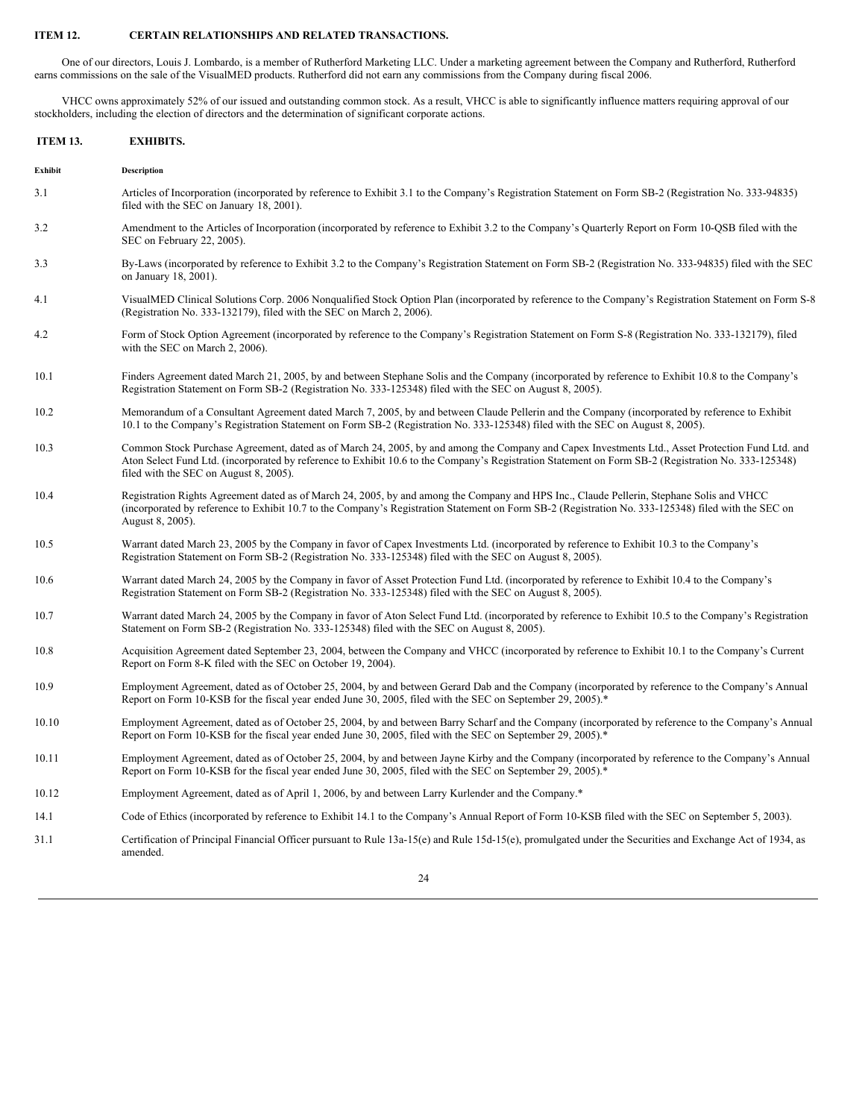## <span id="page-46-0"></span>**ITEM 12. CERTAIN RELATIONSHIPS AND RELATED TRANSACTIONS.**

One of our directors, Louis J. Lombardo, is a member of Rutherford Marketing LLC. Under a marketing agreement between the Company and Rutherford, Rutherford earns commissions on the sale of the VisualMED products. Rutherford did not earn any commissions from the Company during fiscal 2006.

VHCC owns approximately 52% of our issued and outstanding common stock. As a result, VHCC is able to significantly influence matters requiring approval of our stockholders, including the election of directors and the determination of significant corporate actions.

<span id="page-46-1"></span>

| <b>ITEM 13.</b> | <b>EXHIBITS.</b>                                                                                                                                                                                                                                                                                                                                  |
|-----------------|---------------------------------------------------------------------------------------------------------------------------------------------------------------------------------------------------------------------------------------------------------------------------------------------------------------------------------------------------|
| Exhibit         | <b>Description</b>                                                                                                                                                                                                                                                                                                                                |
| 3.1             | Articles of Incorporation (incorporated by reference to Exhibit 3.1 to the Company's Registration Statement on Form SB-2 (Registration No. 333-94835)<br>filed with the SEC on January 18, 2001).                                                                                                                                                 |
| 3.2             | Amendment to the Articles of Incorporation (incorporated by reference to Exhibit 3.2 to the Company's Quarterly Report on Form 10-OSB filed with the<br>SEC on February 22, 2005).                                                                                                                                                                |
| 3.3             | By-Laws (incorporated by reference to Exhibit 3.2 to the Company's Registration Statement on Form SB-2 (Registration No. 333-94835) filed with the SEC<br>on January 18, 2001).                                                                                                                                                                   |
| 4.1             | VisualMED Clinical Solutions Corp. 2006 Nonqualified Stock Option Plan (incorporated by reference to the Company's Registration Statement on Form S-8<br>(Registration No. 333-132179), filed with the SEC on March 2, 2006).                                                                                                                     |
| 4.2             | Form of Stock Option Agreement (incorporated by reference to the Company's Registration Statement on Form S-8 (Registration No. 333-132179), filed<br>with the SEC on March 2, 2006).                                                                                                                                                             |
| 10.1            | Finders Agreement dated March 21, 2005, by and between Stephane Solis and the Company (incorporated by reference to Exhibit 10.8 to the Company's<br>Registration Statement on Form SB-2 (Registration No. 333-125348) filed with the SEC on August 8, 2005).                                                                                     |
| 10.2            | Memorandum of a Consultant Agreement dated March 7, 2005, by and between Claude Pellerin and the Company (incorporated by reference to Exhibit<br>10.1 to the Company's Registration Statement on Form SB-2 (Registration No. 333-125348) filed with the SEC on August 8, 2005).                                                                  |
| 10.3            | Common Stock Purchase Agreement, dated as of March 24, 2005, by and among the Company and Capex Investments Ltd., Asset Protection Fund Ltd. and<br>Aton Select Fund Ltd. (incorporated by reference to Exhibit 10.6 to the Company's Registration Statement on Form SB-2 (Registration No. 333-125348)<br>filed with the SEC on August 8, 2005). |
| 10.4            | Registration Rights Agreement dated as of March 24, 2005, by and among the Company and HPS Inc., Claude Pellerin, Stephane Solis and VHCC<br>(incorporated by reference to Exhibit 10.7 to the Company's Registration Statement on Form SB-2 (Registration No. 333-125348) filed with the SEC on<br>August 8, 2005).                              |
| 10.5            | Warrant dated March 23, 2005 by the Company in favor of Capex Investments Ltd. (incorporated by reference to Exhibit 10.3 to the Company's<br>Registration Statement on Form SB-2 (Registration No. 333-125348) filed with the SEC on August 8, 2005).                                                                                            |
| 10.6            | Warrant dated March 24, 2005 by the Company in favor of Asset Protection Fund Ltd. (incorporated by reference to Exhibit 10.4 to the Company's<br>Registration Statement on Form SB-2 (Registration No. 333-125348) filed with the SEC on August 8, 2005).                                                                                        |
| 10.7            | Warrant dated March 24, 2005 by the Company in favor of Aton Select Fund Ltd. (incorporated by reference to Exhibit 10.5 to the Company's Registration<br>Statement on Form SB-2 (Registration No. 333-125348) filed with the SEC on August 8, 2005).                                                                                             |
| 10.8            | Acquisition Agreement dated September 23, 2004, between the Company and VHCC (incorporated by reference to Exhibit 10.1 to the Company's Current<br>Report on Form 8-K filed with the SEC on October 19, 2004).                                                                                                                                   |
| 10.9            | Employment Agreement, dated as of October 25, 2004, by and between Gerard Dab and the Company (incorporated by reference to the Company's Annual<br>Report on Form 10-KSB for the fiscal year ended June 30, 2005, filed with the SEC on September 29, 2005). <sup>*</sup>                                                                        |
| 10.10           | Employment Agreement, dated as of October 25, 2004, by and between Barry Scharf and the Company (incorporated by reference to the Company's Annual<br>Report on Form 10-KSB for the fiscal year ended June 30, 2005, filed with the SEC on September 29, 2005).*                                                                                  |
| 10.11           | Employment Agreement, dated as of October 25, 2004, by and between Jayne Kirby and the Company (incorporated by reference to the Company's Annual<br>Report on Form 10-KSB for the fiscal year ended June 30, 2005, filed with the SEC on September 29, 2005). <sup>*</sup>                                                                       |
| 10.12           | Employment Agreement, dated as of April 1, 2006, by and between Larry Kurlender and the Company.*                                                                                                                                                                                                                                                 |
| 14.1            | Code of Ethics (incorporated by reference to Exhibit 14.1 to the Company's Annual Report of Form 10-KSB filed with the SEC on September 5, 2003).                                                                                                                                                                                                 |
| 31.1            | Certification of Principal Financial Officer pursuant to Rule 13a-15(e) and Rule 15d-15(e), promulgated under the Securities and Exchange Act of 1934, as<br>amended.                                                                                                                                                                             |
|                 | 24                                                                                                                                                                                                                                                                                                                                                |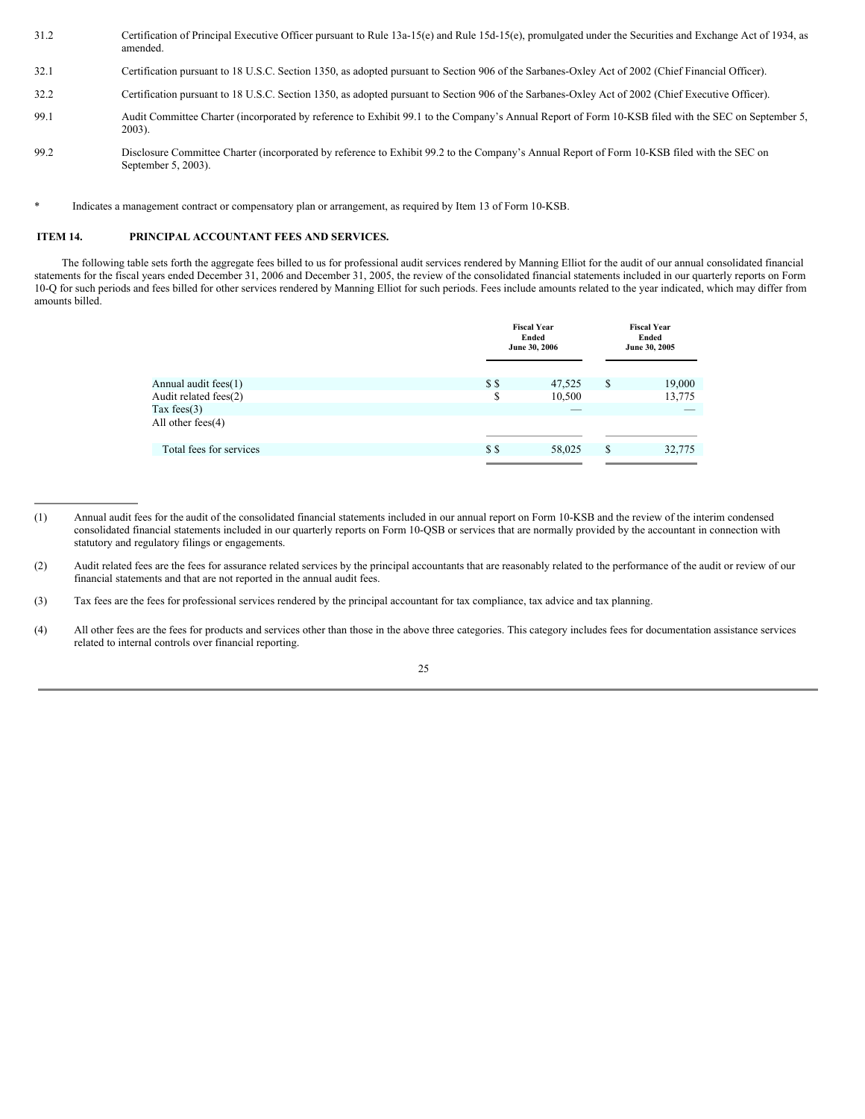- 31.2 Certification of Principal Executive Officer pursuant to Rule 13a-15(e) and Rule 15d-15(e), promulgated under the Securities and Exchange Act of 1934, as amended.
- 32.1 Certification pursuant to 18 U.S.C. Section 1350, as adopted pursuant to Section 906 of the Sarbanes-Oxley Act of 2002 (Chief Financial Officer).
- 32.2 Certification pursuant to 18 U.S.C. Section 1350, as adopted pursuant to Section 906 of the Sarbanes-Oxley Act of 2002 (Chief Executive Officer).
- 99.1 Audit Committee Charter (incorporated by reference to Exhibit 99.1 to the Company's Annual Report of Form 10-KSB filed with the SEC on September 5, 2003).
- 99.2 Disclosure Committee Charter (incorporated by reference to Exhibit 99.2 to the Company's Annual Report of Form 10-KSB filed with the SEC on September 5, 2003).

Indicates a management contract or compensatory plan or arrangement, as required by Item 13 of Form 10-KSB.

## <span id="page-47-0"></span>**ITEM 14. PRINCIPAL ACCOUNTANT FEES AND SERVICES.**

The following table sets forth the aggregate fees billed to us for professional audit services rendered by Manning Elliot for the audit of our annual consolidated financial statements for the fiscal years ended December 31, 2006 and December 31, 2005, the review of the consolidated financial statements included in our quarterly reports on Form 10-Q for such periods and fees billed for other services rendered by Manning Elliot for such periods. Fees include amounts related to the year indicated, which may differ from amounts billed.

|      |        |                                              | <b>Fiscal Year</b><br>Ended<br>June 30, 2005 |
|------|--------|----------------------------------------------|----------------------------------------------|
| \$\$ | 47,525 | \$                                           | 19,000                                       |
| S    | 10,500 |                                              | 13,775                                       |
|      | _      |                                              |                                              |
|      |        |                                              |                                              |
|      |        |                                              |                                              |
| \$S  | 58,025 | \$                                           | 32,775                                       |
|      |        | <b>Fiscal Year</b><br>Ended<br>June 30, 2006 |                                              |

<sup>(1)</sup> Annual audit fees for the audit of the consolidated financial statements included in our annual report on Form 10-KSB and the review of the interim condensed consolidated financial statements included in our quarterly reports on Form 10-QSB or services that are normally provided by the accountant in connection with statutory and regulatory filings or engagements.

(2) Audit related fees are the fees for assurance related services by the principal accountants that are reasonably related to the performance of the audit or review of our financial statements and that are not reported in the annual audit fees.

(3) Tax fees are the fees for professional services rendered by the principal accountant for tax compliance, tax advice and tax planning.

(4) All other fees are the fees for products and services other than those in the above three categories. This category includes fees for documentation assistance services related to internal controls over financial reporting.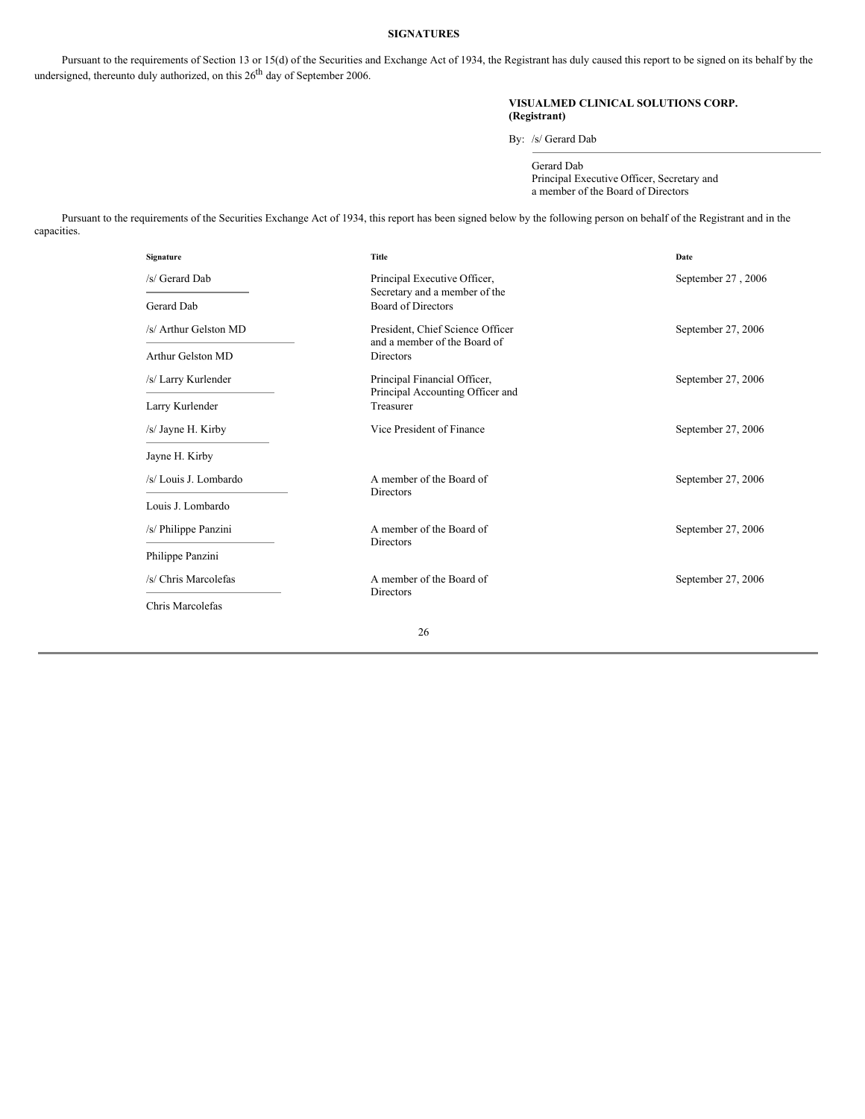## **SIGNATURES**

Pursuant to the requirements of Section 13 or 15(d) of the Securities and Exchange Act of 1934, the Registrant has duly caused this report to be signed on its behalf by the undersigned, thereunto duly authorized, on this  $26<sup>th</sup>$  day of September 2006.

## **VISUALMED CLINICAL SOLUTIONS CORP. (Registrant)**

By: /s/ Gerard Dab

Gerard Dab Principal Executive Officer, Secretary and a member of the Board of Directors

Pursuant to the requirements of the Securities Exchange Act of 1934, this report has been signed below by the following person on behalf of the Registrant and in the capacities.

| Signature             | <b>Title</b>                                                     | Date               |
|-----------------------|------------------------------------------------------------------|--------------------|
| /s/ Gerard Dab        | Principal Executive Officer,<br>Secretary and a member of the    | September 27, 2006 |
| Gerard Dab            | <b>Board of Directors</b>                                        |                    |
| /s/ Arthur Gelston MD | President, Chief Science Officer<br>and a member of the Board of | September 27, 2006 |
| Arthur Gelston MD     | Directors                                                        |                    |
| /s/ Larry Kurlender   | Principal Financial Officer,<br>Principal Accounting Officer and | September 27, 2006 |
| Larry Kurlender       | Treasurer                                                        |                    |
| /s/ Jayne H. Kirby    | Vice President of Finance                                        | September 27, 2006 |
| Jayne H. Kirby        |                                                                  |                    |
| /s/ Louis J. Lombardo | A member of the Board of<br>Directors                            | September 27, 2006 |
| Louis J. Lombardo     |                                                                  |                    |
| /s/ Philippe Panzini  | A member of the Board of<br>Directors                            | September 27, 2006 |
| Philippe Panzini      |                                                                  |                    |
| /s/ Chris Marcolefas  | A member of the Board of<br>Directors                            | September 27, 2006 |
| Chris Marcolefas      |                                                                  |                    |
|                       | 26                                                               |                    |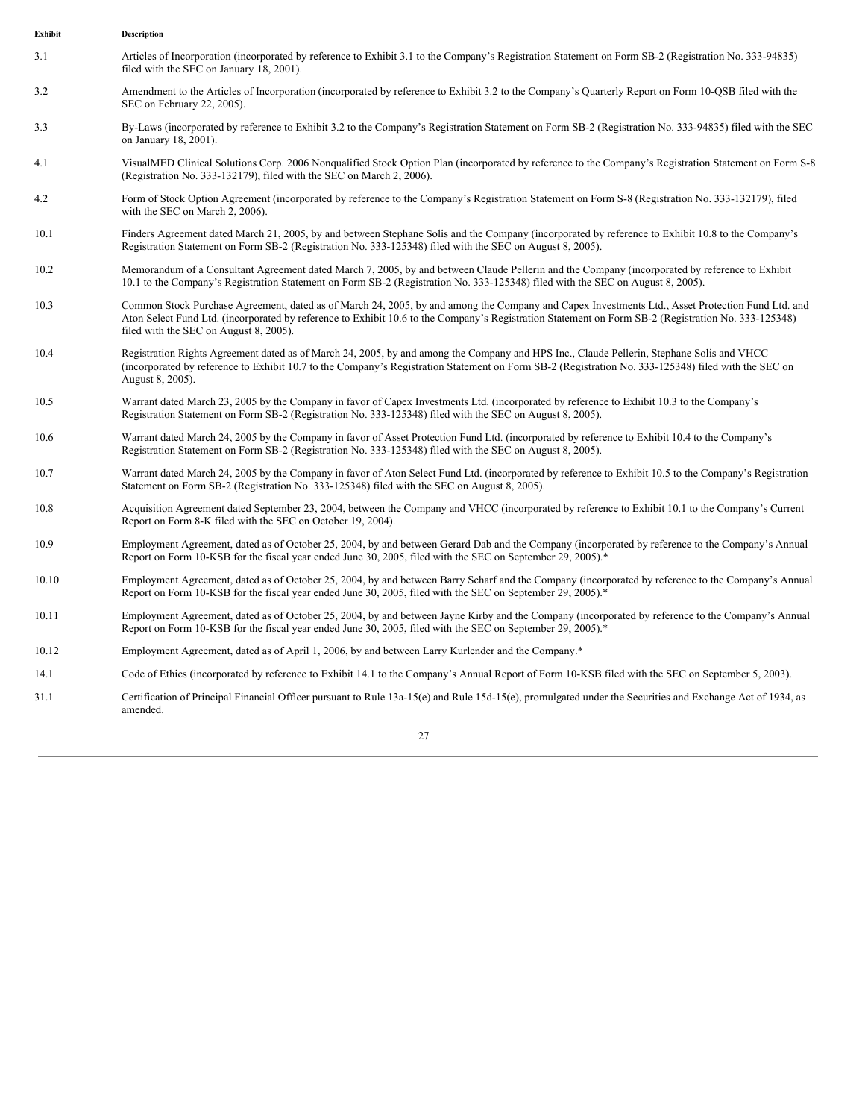| Exhibit | Description                                                                                                                                                                                                                                                                                                                                       |
|---------|---------------------------------------------------------------------------------------------------------------------------------------------------------------------------------------------------------------------------------------------------------------------------------------------------------------------------------------------------|
| 3.1     | Articles of Incorporation (incorporated by reference to Exhibit 3.1 to the Company's Registration Statement on Form SB-2 (Registration No. 333-94835)<br>filed with the SEC on January 18, 2001).                                                                                                                                                 |
| 3.2     | Amendment to the Articles of Incorporation (incorporated by reference to Exhibit 3.2 to the Company's Quarterly Report on Form 10-QSB filed with the<br>SEC on February 22, 2005).                                                                                                                                                                |
| 3.3     | By-Laws (incorporated by reference to Exhibit 3.2 to the Company's Registration Statement on Form SB-2 (Registration No. 333-94835) filed with the SEC<br>on January 18, 2001).                                                                                                                                                                   |
| 4.1     | VisualMED Clinical Solutions Corp. 2006 Nonqualified Stock Option Plan (incorporated by reference to the Company's Registration Statement on Form S-8<br>(Registration No. 333-132179), filed with the SEC on March 2, 2006).                                                                                                                     |
| 4.2     | Form of Stock Option Agreement (incorporated by reference to the Company's Registration Statement on Form S-8 (Registration No. 333-132179), filed<br>with the SEC on March 2, 2006).                                                                                                                                                             |
| 10.1    | Finders Agreement dated March 21, 2005, by and between Stephane Solis and the Company (incorporated by reference to Exhibit 10.8 to the Company's<br>Registration Statement on Form SB-2 (Registration No. 333-125348) filed with the SEC on August 8, 2005).                                                                                     |
| 10.2    | Memorandum of a Consultant Agreement dated March 7, 2005, by and between Claude Pellerin and the Company (incorporated by reference to Exhibit<br>10.1 to the Company's Registration Statement on Form SB-2 (Registration No. 333-125348) filed with the SEC on August 8, 2005).                                                                  |
| 10.3    | Common Stock Purchase Agreement, dated as of March 24, 2005, by and among the Company and Capex Investments Ltd., Asset Protection Fund Ltd. and<br>Aton Select Fund Ltd. (incorporated by reference to Exhibit 10.6 to the Company's Registration Statement on Form SB-2 (Registration No. 333-125348)<br>filed with the SEC on August 8, 2005). |
| 10.4    | Registration Rights Agreement dated as of March 24, 2005, by and among the Company and HPS Inc., Claude Pellerin, Stephane Solis and VHCC<br>(incorporated by reference to Exhibit 10.7 to the Company's Registration Statement on Form SB-2 (Registration No. 333-125348) filed with the SEC on<br>August 8, 2005).                              |
| 10.5    | Warrant dated March 23, 2005 by the Company in favor of Capex Investments Ltd. (incorporated by reference to Exhibit 10.3 to the Company's<br>Registration Statement on Form SB-2 (Registration No. 333-125348) filed with the SEC on August 8, 2005).                                                                                            |
| 10.6    | Warrant dated March 24, 2005 by the Company in favor of Asset Protection Fund Ltd. (incorporated by reference to Exhibit 10.4 to the Company's<br>Registration Statement on Form SB-2 (Registration No. 333-125348) filed with the SEC on August 8, 2005).                                                                                        |
| 10.7    | Warrant dated March 24, 2005 by the Company in favor of Aton Select Fund Ltd. (incorporated by reference to Exhibit 10.5 to the Company's Registration<br>Statement on Form SB-2 (Registration No. 333-125348) filed with the SEC on August 8, 2005).                                                                                             |
| 10.8    | Acquisition Agreement dated September 23, 2004, between the Company and VHCC (incorporated by reference to Exhibit 10.1 to the Company's Current<br>Report on Form 8-K filed with the SEC on October 19, 2004).                                                                                                                                   |
| 10.9    | Employment Agreement, dated as of October 25, 2004, by and between Gerard Dab and the Company (incorporated by reference to the Company's Annual<br>Report on Form 10-KSB for the fiscal year ended June 30, 2005, filed with the SEC on September 29, 2005). <sup>*</sup>                                                                        |
| 10.10   | Employment Agreement, dated as of October 25, 2004, by and between Barry Scharf and the Company (incorporated by reference to the Company's Annual<br>Report on Form 10-KSB for the fiscal year ended June 30, 2005, filed with the SEC on September 29, 2005).*                                                                                  |
| 10.11   | Employment Agreement, dated as of October 25, 2004, by and between Jayne Kirby and the Company (incorporated by reference to the Company's Annual<br>Report on Form 10-KSB for the fiscal year ended June 30, 2005, filed with the SEC on September 29, 2005). <sup>*</sup>                                                                       |
| 10.12   | Employment Agreement, dated as of April 1, 2006, by and between Larry Kurlender and the Company.*                                                                                                                                                                                                                                                 |

- 14.1 Code of Ethics (incorporated by reference to Exhibit 14.1 to the Company's Annual Report of Form 10-KSB filed with the SEC on September 5, 2003).
- 31.1 Certification of Principal Financial Officer pursuant to Rule 13a-15(e) and Rule 15d-15(e), promulgated under the Securities and Exchange Act of 1934, as amended.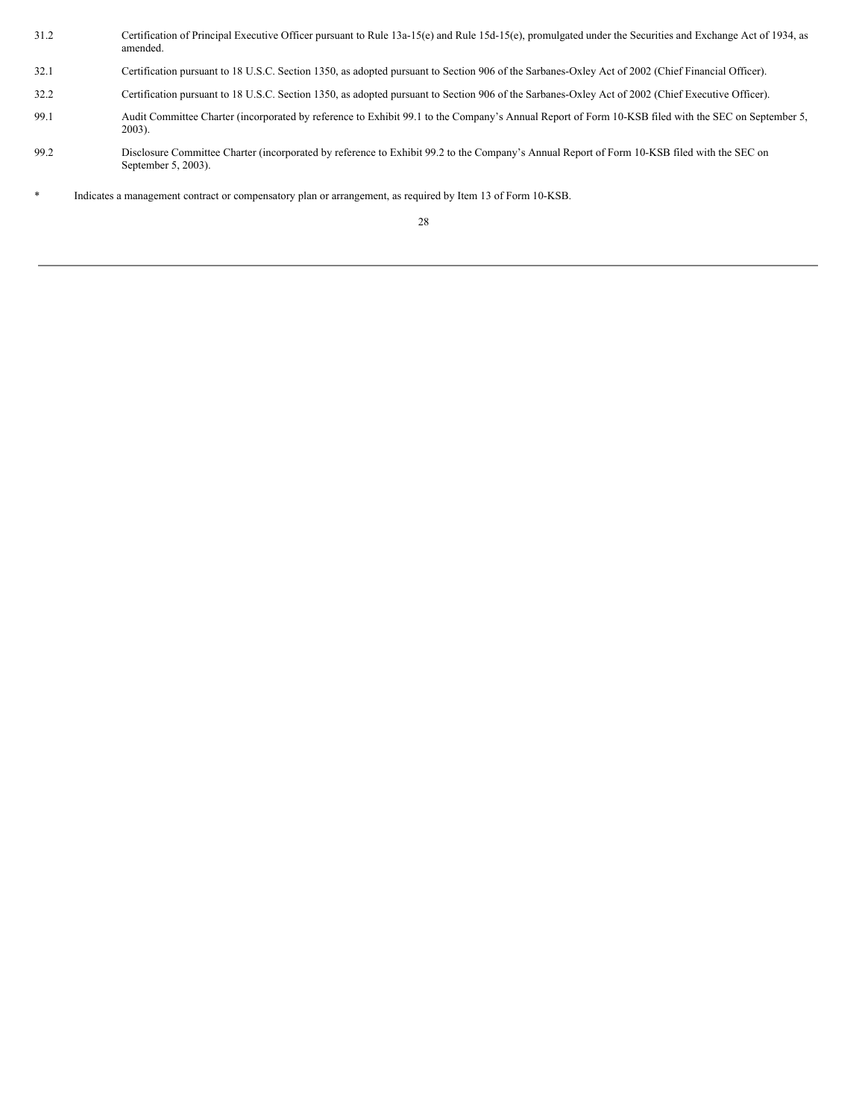- 31.2 Certification of Principal Executive Officer pursuant to Rule 13a-15(e) and Rule 15d-15(e), promulgated under the Securities and Exchange Act of 1934, as amended.
- 32.1 Certification pursuant to 18 U.S.C. Section 1350, as adopted pursuant to Section 906 of the Sarbanes-Oxley Act of 2002 (Chief Financial Officer).
- 32.2 Certification pursuant to 18 U.S.C. Section 1350, as adopted pursuant to Section 906 of the Sarbanes-Oxley Act of 2002 (Chief Executive Officer).
- 99.1 Audit Committee Charter (incorporated by reference to Exhibit 99.1 to the Company's Annual Report of Form 10-KSB filed with the SEC on September 5, 2003).
- 99.2 Disclosure Committee Charter (incorporated by reference to Exhibit 99.2 to the Company's Annual Report of Form 10-KSB filed with the SEC on September 5, 2003).
- \* Indicates a management contract or compensatory plan or arrangement, as required by Item 13 of Form 10-KSB.

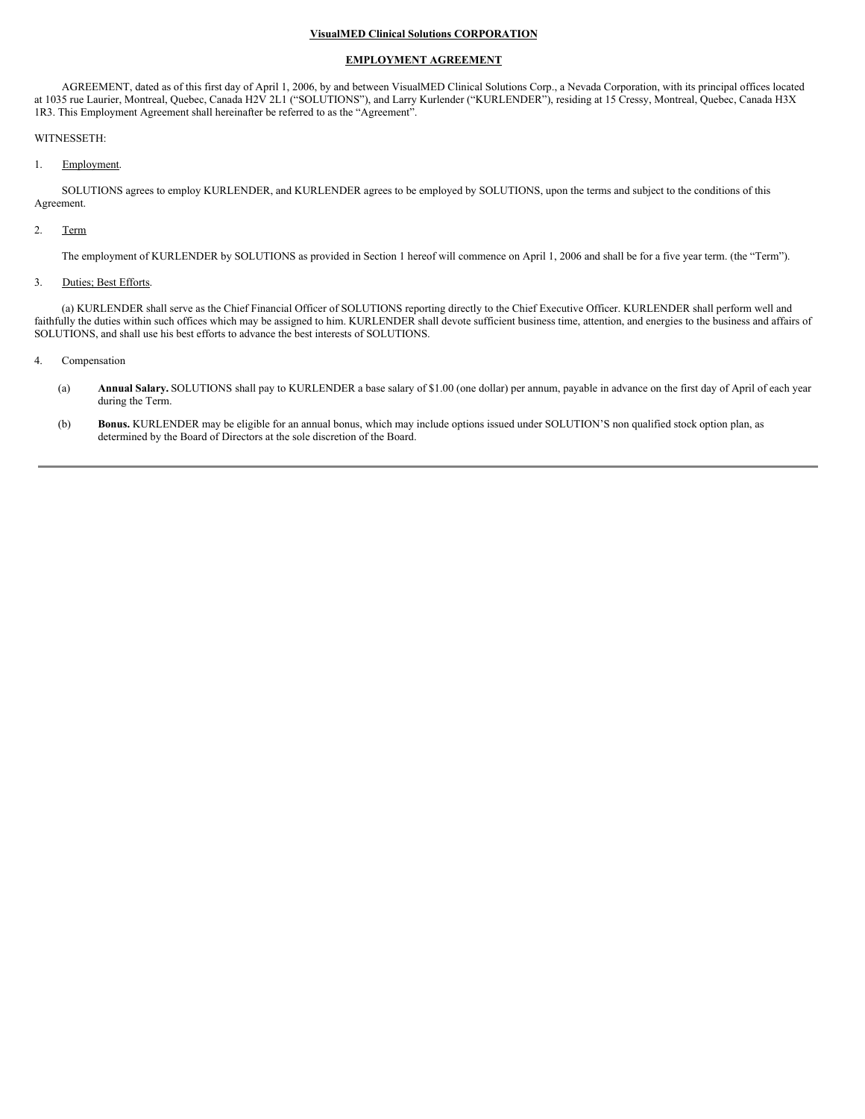## **VisualMED Clinical Solutions CORPORATION**

## **EMPLOYMENT AGREEMENT**

AGREEMENT, dated as of this first day of April 1, 2006, by and between VisualMED Clinical Solutions Corp., a Nevada Corporation, with its principal offices located at 1035 rue Laurier, Montreal, Quebec, Canada H2V 2L1 ("SOLUTIONS"), and Larry Kurlender ("KURLENDER"), residing at 15 Cressy, Montreal, Quebec, Canada H3X 1R3. This Employment Agreement shall hereinafter be referred to as the "Agreement".

## WITNESSETH:

1. Employment.

SOLUTIONS agrees to employ KURLENDER, and KURLENDER agrees to be employed by SOLUTIONS, upon the terms and subject to the conditions of this Agreement.

#### 2. Term

The employment of KURLENDER by SOLUTIONS as provided in Section 1 hereof will commence on April 1, 2006 and shall be for a five year term. (the "Term").

3. Duties; Best Efforts.

(a) KURLENDER shall serve as the Chief Financial Officer of SOLUTIONS reporting directly to the Chief Executive Officer. KURLENDER shall perform well and faithfully the duties within such offices which may be assigned to him. KURLENDER shall devote sufficient business time, attention, and energies to the business and affairs of SOLUTIONS, and shall use his best efforts to advance the best interests of SOLUTIONS.

#### 4. Compensation

- (a) **Annual Salary.** SOLUTIONS shall pay to KURLENDER a base salary of \$1.00 (one dollar) per annum, payable in advance on the first day of April of each year during the Term.
- (b) **Bonus.** KURLENDER may be eligible for an annual bonus, which may include options issued under SOLUTION'S non qualified stock option plan, as determined by the Board of Directors at the sole discretion of the Board.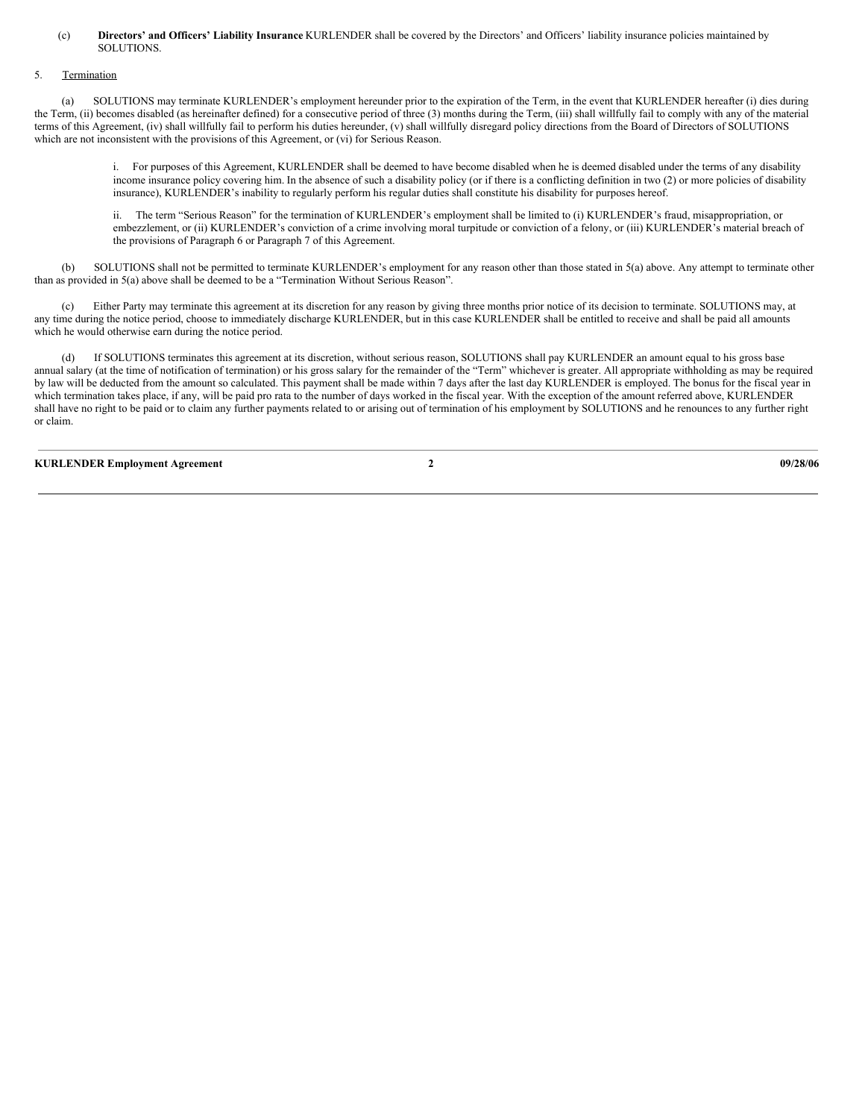## (c) **Directors' and Officers' Liability Insurance** KURLENDER shall be covered by the Directors' and Officers' liability insurance policies maintained by SOLUTIONS.

## 5. Termination

(a) SOLUTIONS may terminate KURLENDER's employment hereunder prior to the expiration of the Term, in the event that KURLENDER hereafter (i) dies during the Term, (ii) becomes disabled (as hereinafter defined) for a consecutive period of three (3) months during the Term, (iii) shall willfully fail to comply with any of the material terms of this Agreement, (iv) shall willfully fail to perform his duties hereunder, (v) shall willfully disregard policy directions from the Board of Directors of SOLUTIONS which are not inconsistent with the provisions of this Agreement, or (vi) for Serious Reason.

> i. For purposes of this Agreement, KURLENDER shall be deemed to have become disabled when he is deemed disabled under the terms of any disability income insurance policy covering him. In the absence of such a disability policy (or if there is a conflicting definition in two (2) or more policies of disability insurance), KURLENDER's inability to regularly perform his regular duties shall constitute his disability for purposes hereof.

> ii. The term "Serious Reason" for the termination of KURLENDER's employment shall be limited to (i) KURLENDER's fraud, misappropriation, or embezzlement, or (ii) KURLENDER's conviction of a crime involving moral turpitude or conviction of a felony, or (iii) KURLENDER's material breach of the provisions of Paragraph 6 or Paragraph 7 of this Agreement.

(b) SOLUTIONS shall not be permitted to terminate KURLENDER's employment for any reason other than those stated in 5(a) above. Any attempt to terminate other than as provided in 5(a) above shall be deemed to be a "Termination Without Serious Reason".

(c) Either Party may terminate this agreement at its discretion for any reason by giving three months prior notice of its decision to terminate. SOLUTIONS may, at any time during the notice period, choose to immediately discharge KURLENDER, but in this case KURLENDER shall be entitled to receive and shall be paid all amounts which he would otherwise earn during the notice period.

If SOLUTIONS terminates this agreement at its discretion, without serious reason, SOLUTIONS shall pay KURLENDER an amount equal to his gross base annual salary (at the time of notification of termination) or his gross salary for the remainder of the "Term" whichever is greater. All appropriate withholding as may be required by law will be deducted from the amount so calculated. This payment shall be made within 7 days after the last day KURLENDER is employed. The bonus for the fiscal year in which termination takes place, if any, will be paid pro rata to the number of days worked in the fiscal year. With the exception of the amount referred above, KURLENDER shall have no right to be paid or to claim any further payments related to or arising out of termination of his employment by SOLUTIONS and he renounces to any further right or claim.

| <b>KURLENDER Employment Agreement</b> |  | 09/28/06 |
|---------------------------------------|--|----------|
|---------------------------------------|--|----------|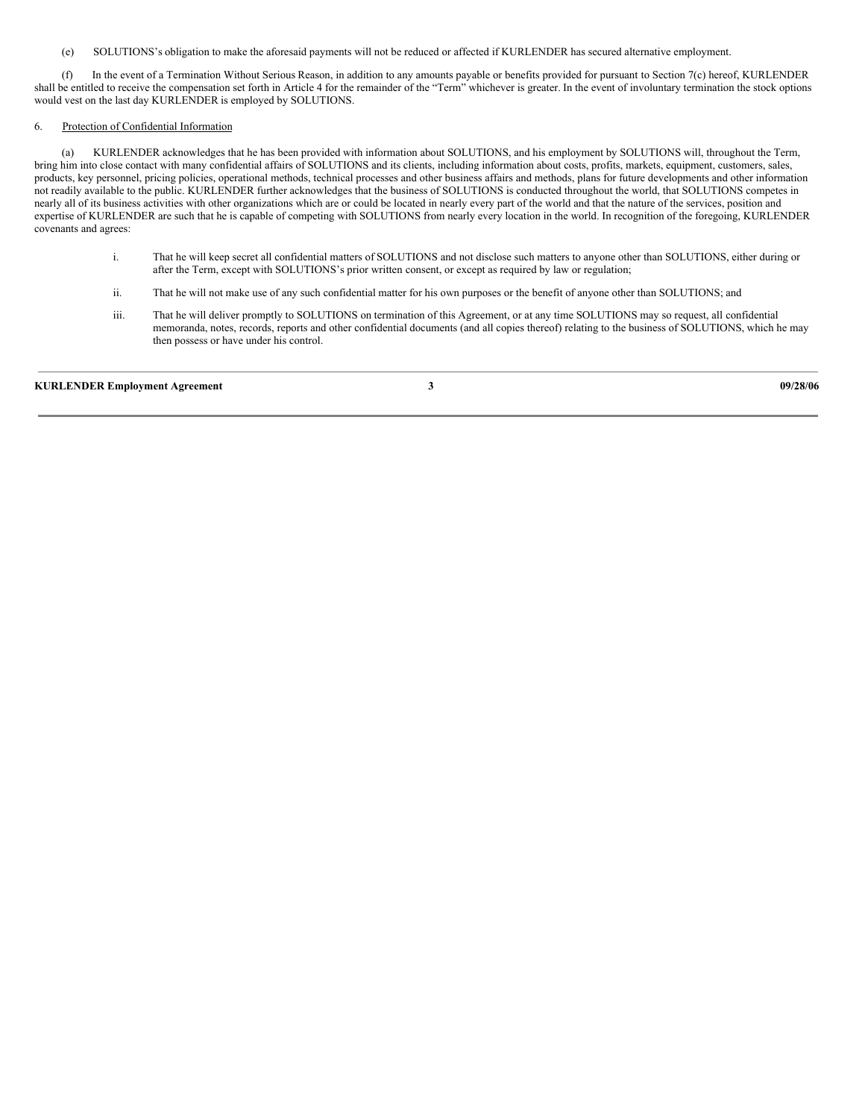(e) SOLUTIONS's obligation to make the aforesaid payments will not be reduced or affected if KURLENDER has secured alternative employment.

(f) In the event of a Termination Without Serious Reason, in addition to any amounts payable or benefits provided for pursuant to Section 7(c) hereof, KURLENDER shall be entitled to receive the compensation set forth in Article 4 for the remainder of the "Term" whichever is greater. In the event of involuntary termination the stock options would vest on the last day KURLENDER is employed by SOLUTIONS.

## 6. Protection of Confidential Information

(a) KURLENDER acknowledges that he has been provided with information about SOLUTIONS, and his employment by SOLUTIONS will, throughout the Term, bring him into close contact with many confidential affairs of SOLUTIONS and its clients, including information about costs, profits, markets, equipment, customers, sales, products, key personnel, pricing policies, operational methods, technical processes and other business affairs and methods, plans for future developments and other information not readily available to the public. KURLENDER further acknowledges that the business of SOLUTIONS is conducted throughout the world, that SOLUTIONS competes in nearly all of its business activities with other organizations which are or could be located in nearly every part of the world and that the nature of the services, position and expertise of KURLENDER are such that he is capable of competing with SOLUTIONS from nearly every location in the world. In recognition of the foregoing, KURLENDER covenants and agrees:

- i. That he will keep secret all confidential matters of SOLUTIONS and not disclose such matters to anyone other than SOLUTIONS, either during or after the Term, except with SOLUTIONS's prior written consent, or except as required by law or regulation;
- ii. That he will not make use of any such confidential matter for his own purposes or the benefit of anyone other than SOLUTIONS; and
- iii. That he will deliver promptly to SOLUTIONS on termination of this Agreement, or at any time SOLUTIONS may so request, all confidential memoranda, notes, records, reports and other confidential documents (and all copies thereof) relating to the business of SOLUTIONS, which he may then possess or have under his control.

## **KURLENDER Employment Agreement 3 09/28/06**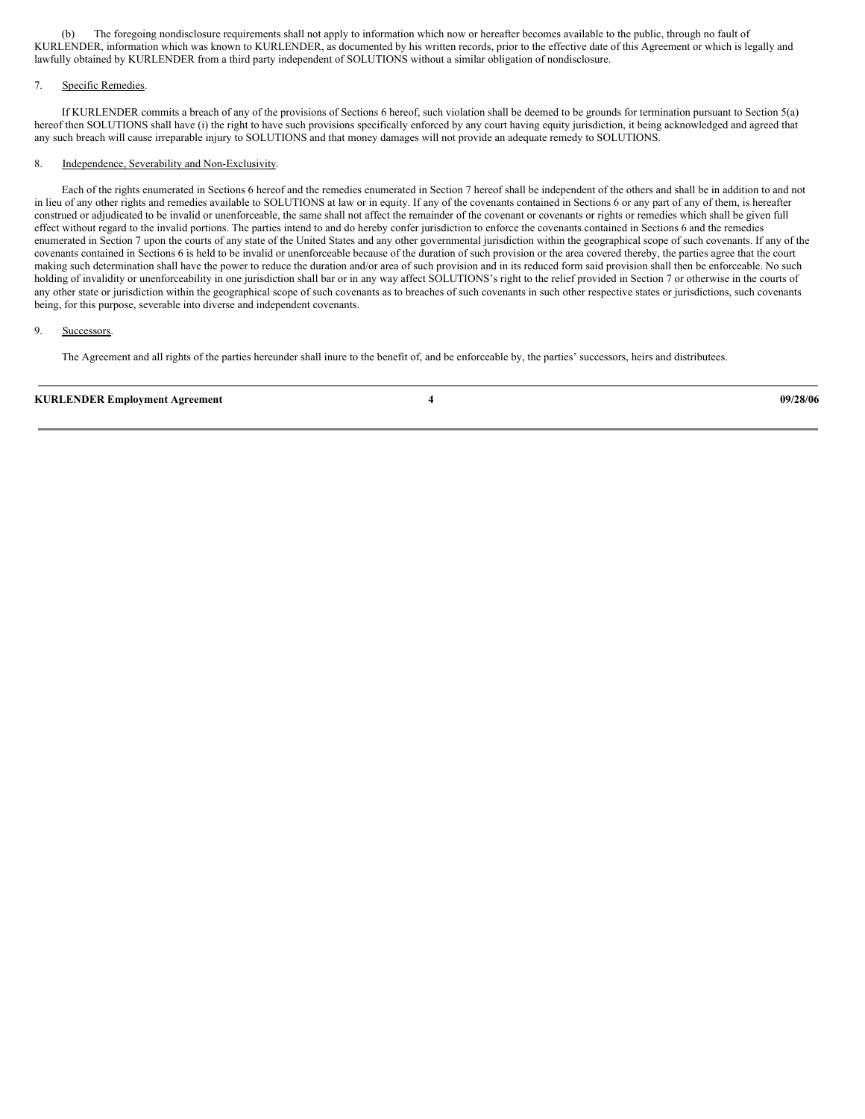(b) The foregoing nondisclosure requirements shall not apply to information which now or hereafter becomes available to the public, through no fault of KURLENDER, information which was known to KURLENDER, as documented by his written records, prior to the effective date of this Agreement or which is legally and lawfully obtained by KURLENDER from a third party independent of SOLUTIONS without a similar obligation of nondisclosure.

## 7. Specific Remedies.

If KURLENDER commits a breach of any of the provisions of Sections 6 hereof, such violation shall be deemed to be grounds for termination pursuant to Section 5(a) hereof then SOLUTIONS shall have (i) the right to have such provisions specifically enforced by any court having equity jurisdiction, it being acknowledged and agreed that any such breach will cause irreparable injury to SOLUTIONS and that money damages will not provide an adequate remedy to SOLUTIONS.

## 8. Independence, Severability and Non-Exclusivity.

Each of the rights enumerated in Sections 6 hereof and the remedies enumerated in Section 7 hereof shall be independent of the others and shall be in addition to and not in lieu of any other rights and remedies available to SOLUTIONS at law or in equity. If any of the covenants contained in Sections 6 or any part of any of them, is hereafter construed or adjudicated to be invalid or unenforceable, the same shall not affect the remainder of the covenant or covenants or rights or remedies which shall be given full effect without regard to the invalid portions. The parties intend to and do hereby confer jurisdiction to enforce the covenants contained in Sections 6 and the remedies enumerated in Section 7 upon the courts of any state of the United States and any other governmental jurisdiction within the geographical scope of such covenants. If any of the covenants contained in Sections 6 is held to be invalid or unenforceable because of the duration of such provision or the area covered thereby, the parties agree that the court making such determination shall have the power to reduce the duration and/or area of such provision and in its reduced form said provision shall then be enforceable. No such holding of invalidity or unenforceability in one jurisdiction shall bar or in any way affect SOLUTIONS's right to the relief provided in Section 7 or otherwise in the courts of any other state or jurisdiction within the geographical scope of such covenants as to breaches of such covenants in such other respective states or jurisdictions, such covenants being, for this purpose, severable into diverse and independent covenants.

## 9. Successors.

The Agreement and all rights of the parties hereunder shall inure to the benefit of, and be enforceable by, the parties' successors, heirs and distributees.

## **KURLENDER Employment Agreement 4 09/28/06**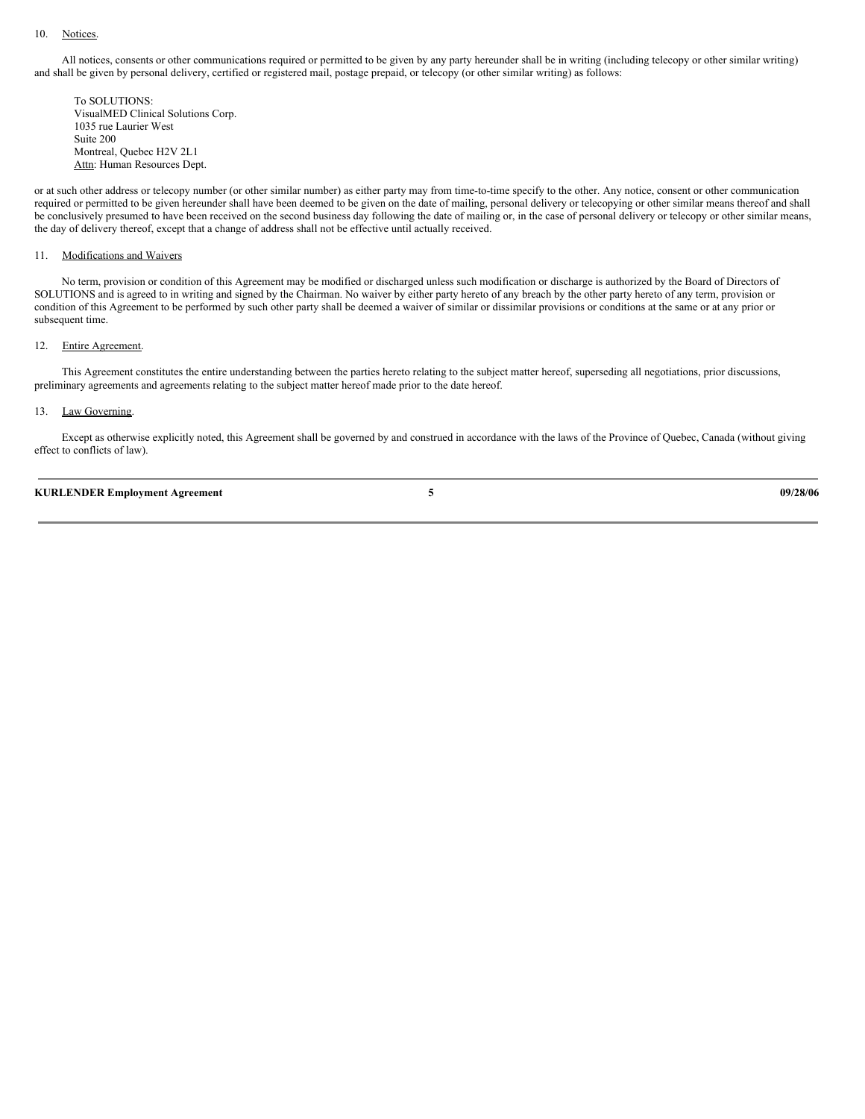#### 10. Notices.

All notices, consents or other communications required or permitted to be given by any party hereunder shall be in writing (including telecopy or other similar writing) and shall be given by personal delivery, certified or registered mail, postage prepaid, or telecopy (or other similar writing) as follows:

To SOLUTIONS: VisualMED Clinical Solutions Corp. 1035 rue Laurier West Suite 200 Montreal, Quebec H2V 2L1 Attn: Human Resources Dept.

or at such other address or telecopy number (or other similar number) as either party may from time-to-time specify to the other. Any notice, consent or other communication required or permitted to be given hereunder shall have been deemed to be given on the date of mailing, personal delivery or telecopying or other similar means thereof and shall be conclusively presumed to have been received on the second business day following the date of mailing or, in the case of personal delivery or telecopy or other similar means, the day of delivery thereof, except that a change of address shall not be effective until actually received.

## 11. Modifications and Waivers

No term, provision or condition of this Agreement may be modified or discharged unless such modification or discharge is authorized by the Board of Directors of SOLUTIONS and is agreed to in writing and signed by the Chairman. No waiver by either party hereto of any breach by the other party hereto of any term, provision or condition of this Agreement to be performed by such other party shall be deemed a waiver of similar or dissimilar provisions or conditions at the same or at any prior or subsequent time.

#### 12. Entire Agreement.

This Agreement constitutes the entire understanding between the parties hereto relating to the subject matter hereof, superseding all negotiations, prior discussions, preliminary agreements and agreements relating to the subject matter hereof made prior to the date hereof.

#### 13. Law Governing.

Except as otherwise explicitly noted, this Agreement shall be governed by and construed in accordance with the laws of the Province of Quebec, Canada (without giving effect to conflicts of law).

| <b>KURLENDER Employment Agreement</b> |  | 09/28/06 |
|---------------------------------------|--|----------|
|---------------------------------------|--|----------|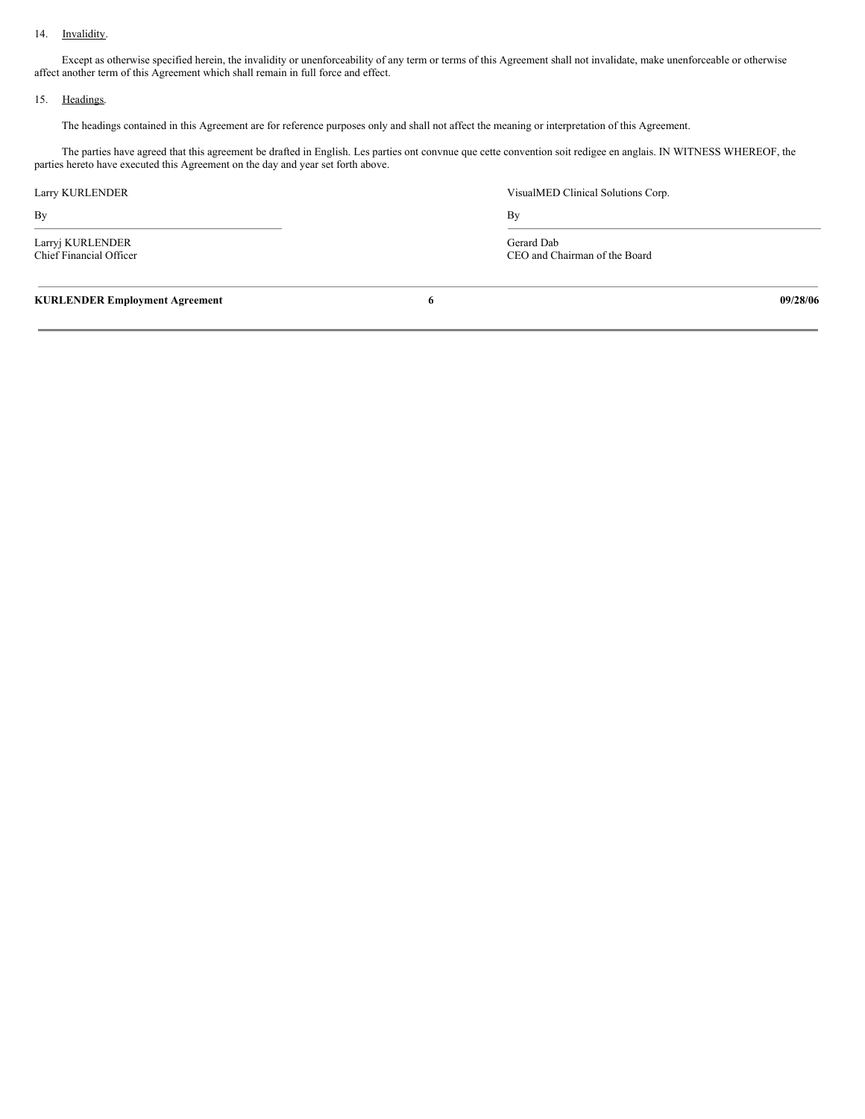## 14. Invalidity.

Except as otherwise specified herein, the invalidity or unenforceability of any term or terms of this Agreement shall not invalidate, make unenforceable or otherwise affect another term of this Agreement which shall remain in full force and effect.

## 15. Headings.

The headings contained in this Agreement are for reference purposes only and shall not affect the meaning or interpretation of this Agreement.

The parties have agreed that this agreement be drafted in English. Les parties ont convnue que cette convention soit redigee en anglais. IN WITNESS WHEREOF, the parties hereto have executed this Agreement on the day and year set forth above.

| Larry KURLENDER                             |             | VisualMED Clinical Solutions Corp.<br>By    |          |
|---------------------------------------------|-------------|---------------------------------------------|----------|
| By                                          |             |                                             |          |
| Larryj KURLENDER<br>Chief Financial Officer |             | Gerard Dab<br>CEO and Chairman of the Board |          |
| <b>KURLENDER Employment Agreement</b>       | $\mathbf b$ |                                             | 09/28/06 |
|                                             |             |                                             |          |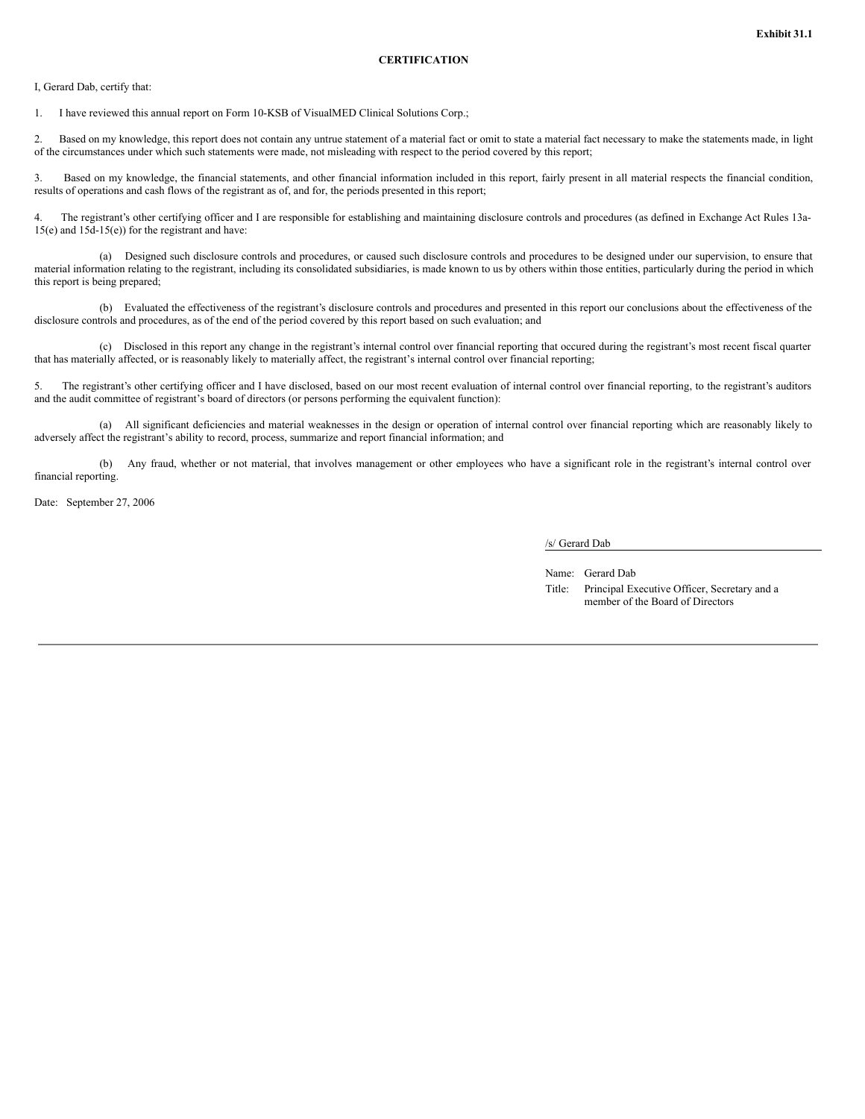I, Gerard Dab, certify that:

1. I have reviewed this annual report on Form 10-KSB of VisualMED Clinical Solutions Corp.;

2. Based on my knowledge, this report does not contain any untrue statement of a material fact or omit to state a material fact necessary to make the statements made, in light of the circumstances under which such statements were made, not misleading with respect to the period covered by this report;

3. Based on my knowledge, the financial statements, and other financial information included in this report, fairly present in all material respects the financial condition, results of operations and cash flows of the registrant as of, and for, the periods presented in this report;

4. The registrant's other certifying officer and I are responsible for establishing and maintaining disclosure controls and procedures (as defined in Exchange Act Rules 13a-15(e) and 15d-15(e)) for the registrant and have:

(a) Designed such disclosure controls and procedures, or caused such disclosure controls and procedures to be designed under our supervision, to ensure that material information relating to the registrant, including its consolidated subsidiaries, is made known to us by others within those entities, particularly during the period in which this report is being prepared;

(b) Evaluated the effectiveness of the registrant's disclosure controls and procedures and presented in this report our conclusions about the effectiveness of the disclosure controls and procedures, as of the end of the period covered by this report based on such evaluation; and

(c) Disclosed in this report any change in the registrant's internal control over financial reporting that occured during the registrant's most recent fiscal quarter that has materially affected, or is reasonably likely to materially affect, the registrant's internal control over financial reporting;

5. The registrant's other certifying officer and I have disclosed, based on our most recent evaluation of internal control over financial reporting, to the registrant's auditors and the audit committee of registrant's board of directors (or persons performing the equivalent function):

(a) All significant deficiencies and material weaknesses in the design or operation of internal control over financial reporting which are reasonably likely to adversely affect the registrant's ability to record, process, summarize and report financial information; and

(b) Any fraud, whether or not material, that involves management or other employees who have a significant role in the registrant's internal control over financial reporting.

Date: September 27, 2006

/s/ Gerard Dab

Name: Gerard Dab

Title: Principal Executive Officer, Secretary and a member of the Board of Directors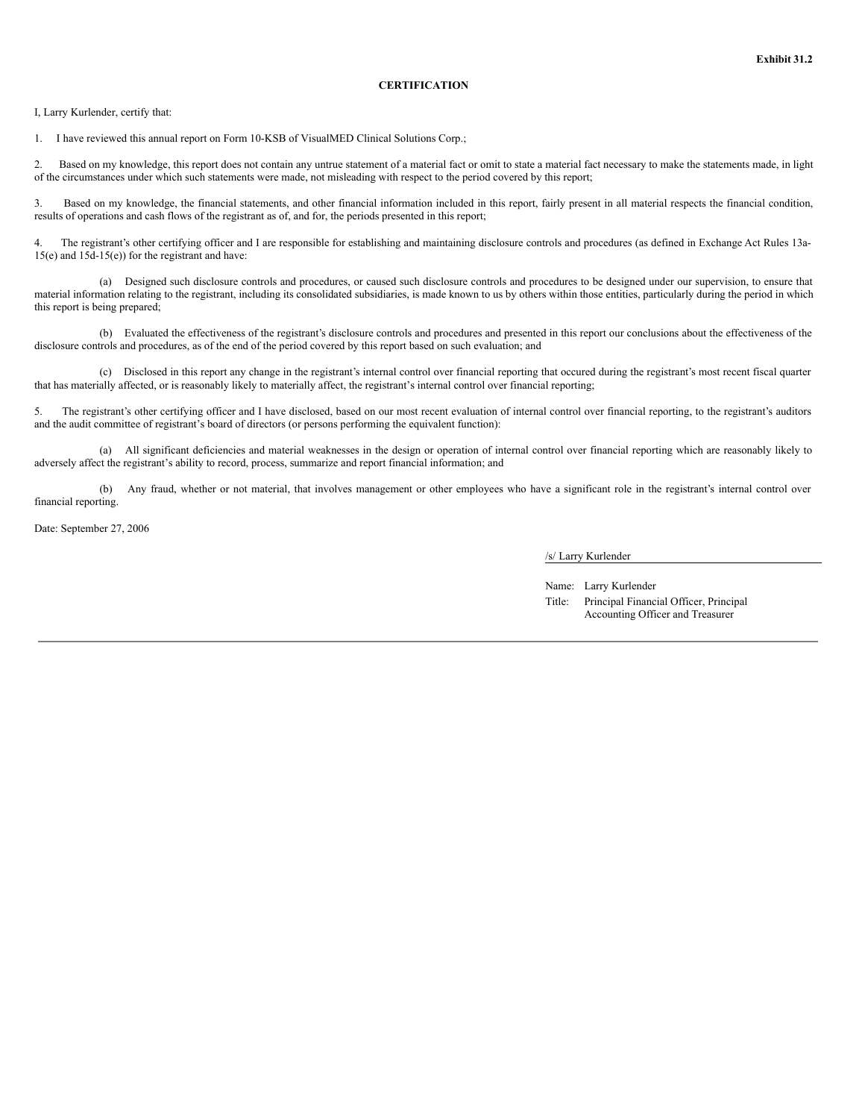## **CERTIFICATION**

I, Larry Kurlender, certify that:

1. I have reviewed this annual report on Form 10-KSB of VisualMED Clinical Solutions Corp.;

2. Based on my knowledge, this report does not contain any untrue statement of a material fact or omit to state a material fact necessary to make the statements made, in light of the circumstances under which such statements were made, not misleading with respect to the period covered by this report;

3. Based on my knowledge, the financial statements, and other financial information included in this report, fairly present in all material respects the financial condition, results of operations and cash flows of the registrant as of, and for, the periods presented in this report;

The registrant's other certifying officer and I are responsible for establishing and maintaining disclosure controls and procedures (as defined in Exchange Act Rules 13a-15(e) and 15d-15(e)) for the registrant and have:

(a) Designed such disclosure controls and procedures, or caused such disclosure controls and procedures to be designed under our supervision, to ensure that material information relating to the registrant, including its consolidated subsidiaries, is made known to us by others within those entities, particularly during the period in which this report is being prepared;

(b) Evaluated the effectiveness of the registrant's disclosure controls and procedures and presented in this report our conclusions about the effectiveness of the disclosure controls and procedures, as of the end of the period covered by this report based on such evaluation; and

(c) Disclosed in this report any change in the registrant's internal control over financial reporting that occured during the registrant's most recent fiscal quarter that has materially affected, or is reasonably likely to materially affect, the registrant's internal control over financial reporting;

5. The registrant's other certifying officer and I have disclosed, based on our most recent evaluation of internal control over financial reporting, to the registrant's auditors and the audit committee of registrant's board of directors (or persons performing the equivalent function):

(a) All significant deficiencies and material weaknesses in the design or operation of internal control over financial reporting which are reasonably likely to adversely affect the registrant's ability to record, process, summarize and report financial information; and

(b) Any fraud, whether or not material, that involves management or other employees who have a significant role in the registrant's internal control over financial reporting.

Date: September 27, 2006

/s/ Larry Kurlender

Name: Larry Kurlender Title: Principal Financial Officer, Principal Accounting Officer and Treasurer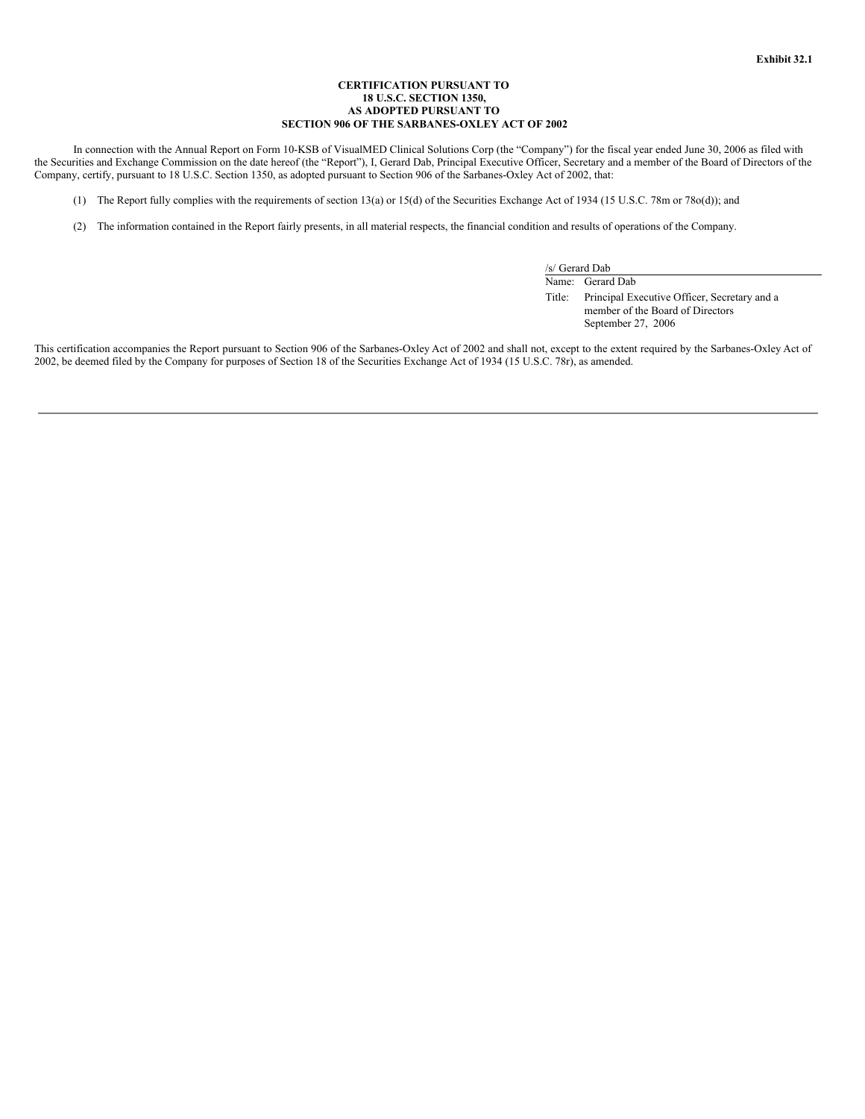## **CERTIFICATION PURSUANT TO 18 U.S.C. SECTION 1350, AS ADOPTED PURSUANT TO SECTION 906 OF THE SARBANES-OXLEY ACT OF 2002**

In connection with the Annual Report on Form 10-KSB of VisualMED Clinical Solutions Corp (the "Company") for the fiscal year ended June 30, 2006 as filed with the Securities and Exchange Commission on the date hereof (the "Report"), I, Gerard Dab, Principal Executive Officer, Secretary and a member of the Board of Directors of the Company, certify, pursuant to 18 U.S.C. Section 1350, as adopted pursuant to Section 906 of the Sarbanes-Oxley Act of 2002, that:

- (1) The Report fully complies with the requirements of section 13(a) or 15(d) of the Securities Exchange Act of 1934 (15 U.S.C. 78m or 78o(d)); and
- (2) The information contained in the Report fairly presents, in all material respects, the financial condition and results of operations of the Company.

/s/ Gerard Dab

Name: Gerard Dab

Title: Principal Executive Officer, Secretary and a member of the Board of Directors September 27, 2006

This certification accompanies the Report pursuant to Section 906 of the Sarbanes-Oxley Act of 2002 and shall not, except to the extent required by the Sarbanes-Oxley Act of 2002, be deemed filed by the Company for purposes of Section 18 of the Securities Exchange Act of 1934 (15 U.S.C. 78r), as amended.